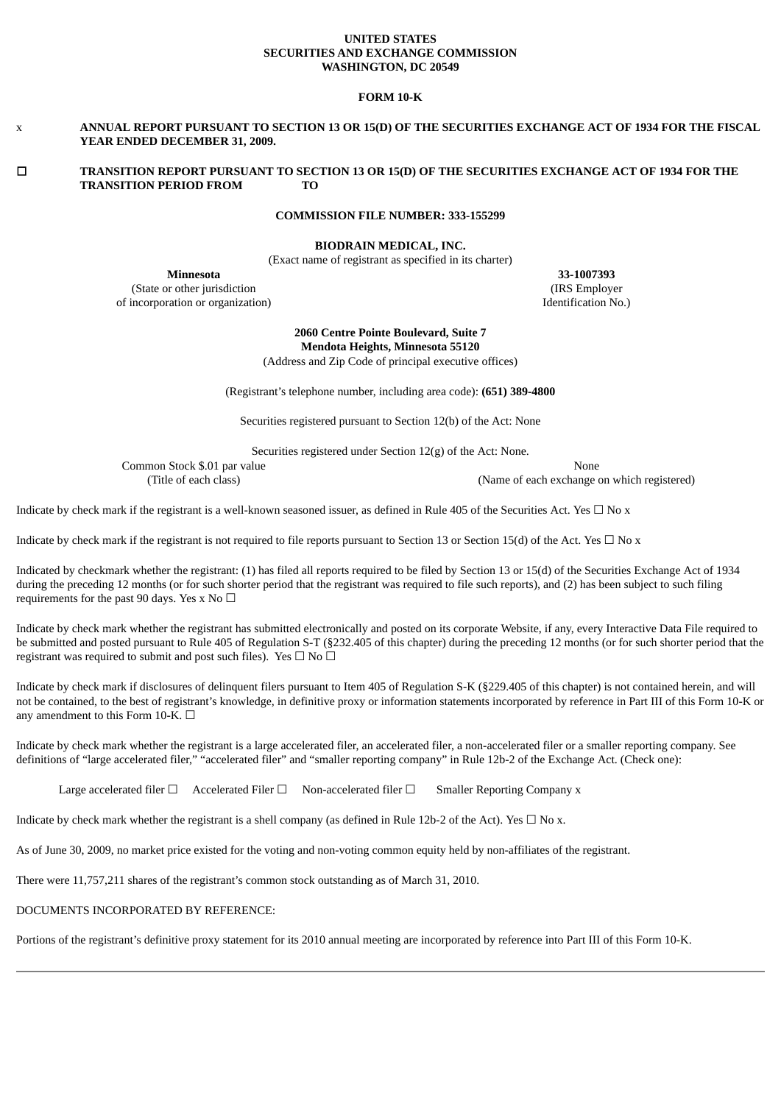#### **UNITED STATES SECURITIES AND EXCHANGE COMMISSION WASHINGTON, DC 20549**

### **FORM 10-K**

### x ANNUAL REPORT PURSUANT TO SECTION 13 OR 15(D) OF THE SECURITIES EXCHANGE ACT OF 1934 FOR THE FISCAL **YEAR ENDED DECEMBER 31, 2009.**

### ☐ **TRANSITION REPORT PURSUANT TO SECTION 13 OR 15(D) OF THE SECURITIES EXCHANGE ACT OF 1934 FOR THE TRANSITION PERIOD FROM TO**

### **COMMISSION FILE NUMBER: 333-155299**

**BIODRAIN MEDICAL, INC.**

(Exact name of registrant as specified in its charter)

**Minnesota 33-1007393** (State or other jurisdiction (IRS Employer of incorporation or organization) Identification No.)

**2060 Centre Pointe Boulevard, Suite 7 Mendota Heights, Minnesota 55120**

(Address and Zip Code of principal executive offices)

(Registrant's telephone number, including area code): **(651) 389-4800**

Securities registered pursuant to Section 12(b) of the Act: None

Securities registered under Section 12(g) of the Act: None.

Common Stock \$.01 par value None<br>(Title of each class) (Name of each exchange of each exchange of each exchange of each exchange of each exchange of each exchange of each exchange of each exchange of each exchange of each

(Name of each exchange on which registered)

Indicate by check mark if the registrant is a well-known seasoned issuer, as defined in Rule 405 of the Securities Act. Yes  $\Box$  No x

Indicate by check mark if the registrant is not required to file reports pursuant to Section 13 or Section 15(d) of the Act. Yes  $\Box$  No x

Indicated by checkmark whether the registrant: (1) has filed all reports required to be filed by Section 13 or 15(d) of the Securities Exchange Act of 1934 during the preceding 12 months (or for such shorter period that the registrant was required to file such reports), and (2) has been subject to such filing requirements for the past 90 days. Yes x No  $\Box$ 

Indicate by check mark whether the registrant has submitted electronically and posted on its corporate Website, if any, every Interactive Data File required to be submitted and posted pursuant to Rule 405 of Regulation S-T (§232.405 of this chapter) during the preceding 12 months (or for such shorter period that the registrant was required to submit and post such files). Yes  $\Box$  No  $\Box$ 

Indicate by check mark if disclosures of delinquent filers pursuant to Item 405 of Regulation S-K (§229.405 of this chapter) is not contained herein, and will not be contained, to the best of registrant's knowledge, in definitive proxy or information statements incorporated by reference in Part III of this Form 10-K or any amendment to this Form 10-K.  $\Box$ 

Indicate by check mark whether the registrant is a large accelerated filer, an accelerated filer, a non-accelerated filer or a smaller reporting company. See definitions of "large accelerated filer," "accelerated filer" and "smaller reporting company" in Rule 12b-2 of the Exchange Act. (Check one):

Large accelerated filer □ Accelerated Filer □ Non-accelerated filer □ Smaller Reporting Company x

Indicate by check mark whether the registrant is a shell company (as defined in Rule 12b-2 of the Act). Yes  $\Box$  No x.

As of June 30, 2009, no market price existed for the voting and non-voting common equity held by non-affiliates of the registrant.

There were 11,757,211 shares of the registrant's common stock outstanding as of March 31, 2010.

### DOCUMENTS INCORPORATED BY REFERENCE:

Portions of the registrant's definitive proxy statement for its 2010 annual meeting are incorporated by reference into Part III of this Form 10-K.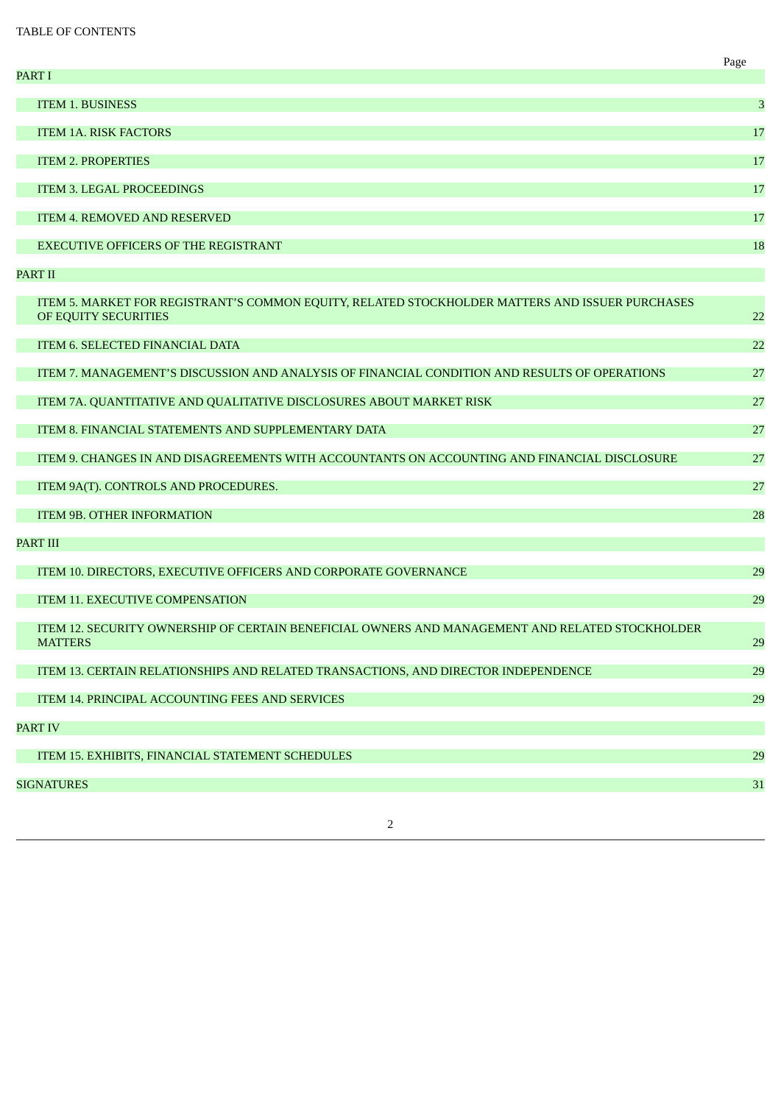# TABLE OF CONTENTS

| <b>ITEM 1. BUSINESS</b><br>3<br><b>ITEM 1A. RISK FACTORS</b><br>17<br><b>ITEM 2. PROPERTIES</b><br>17<br><b>ITEM 3. LEGAL PROCEEDINGS</b><br>17<br><b>ITEM 4. REMOVED AND RESERVED</b><br>17<br><b>EXECUTIVE OFFICERS OF THE REGISTRANT</b><br>18<br><b>PART II</b><br>ITEM 5. MARKET FOR REGISTRANT'S COMMON EQUITY, RELATED STOCKHOLDER MATTERS AND ISSUER PURCHASES<br>OF EQUITY SECURITIES<br>22<br>ITEM 6. SELECTED FINANCIAL DATA<br>22<br>ITEM 7. MANAGEMENT'S DISCUSSION AND ANALYSIS OF FINANCIAL CONDITION AND RESULTS OF OPERATIONS<br>27<br>ITEM 7A. QUANTITATIVE AND QUALITATIVE DISCLOSURES ABOUT MARKET RISK<br>27<br>ITEM 8. FINANCIAL STATEMENTS AND SUPPLEMENTARY DATA<br>27<br>ITEM 9. CHANGES IN AND DISAGREEMENTS WITH ACCOUNTANTS ON ACCOUNTING AND FINANCIAL DISCLOSURE<br>27<br>ITEM 9A(T). CONTROLS AND PROCEDURES.<br>27<br>ITEM 9B. OTHER INFORMATION<br>28<br><b>PART III</b><br>ITEM 10. DIRECTORS, EXECUTIVE OFFICERS AND CORPORATE GOVERNANCE<br>29<br><b>ITEM 11. EXECUTIVE COMPENSATION</b><br>29<br><u>ITEM 12. SECURITY OWNERSHIP OF CERTAIN BENEFICIAL OWNERS AND MANAGEMENT AND RELATED STOCKHOLDER</u><br><b>MATTERS</b><br>29<br>ITEM 13. CERTAIN RELATIONSHIPS AND RELATED TRANSACTIONS, AND DIRECTOR INDEPENDENCE<br>29<br>ITEM 14. PRINCIPAL ACCOUNTING FEES AND SERVICES<br>29<br><b>PART IV</b><br>ITEM 15. EXHIBITS, FINANCIAL STATEMENT SCHEDULES<br>29<br><b>SIGNATURES</b><br>31 | <b>PART I</b> | Page |
|----------------------------------------------------------------------------------------------------------------------------------------------------------------------------------------------------------------------------------------------------------------------------------------------------------------------------------------------------------------------------------------------------------------------------------------------------------------------------------------------------------------------------------------------------------------------------------------------------------------------------------------------------------------------------------------------------------------------------------------------------------------------------------------------------------------------------------------------------------------------------------------------------------------------------------------------------------------------------------------------------------------------------------------------------------------------------------------------------------------------------------------------------------------------------------------------------------------------------------------------------------------------------------------------------------------------------------------------------------------------------------------------------------------------------------|---------------|------|
|                                                                                                                                                                                                                                                                                                                                                                                                                                                                                                                                                                                                                                                                                                                                                                                                                                                                                                                                                                                                                                                                                                                                                                                                                                                                                                                                                                                                                                  |               |      |
|                                                                                                                                                                                                                                                                                                                                                                                                                                                                                                                                                                                                                                                                                                                                                                                                                                                                                                                                                                                                                                                                                                                                                                                                                                                                                                                                                                                                                                  |               |      |
|                                                                                                                                                                                                                                                                                                                                                                                                                                                                                                                                                                                                                                                                                                                                                                                                                                                                                                                                                                                                                                                                                                                                                                                                                                                                                                                                                                                                                                  |               |      |
|                                                                                                                                                                                                                                                                                                                                                                                                                                                                                                                                                                                                                                                                                                                                                                                                                                                                                                                                                                                                                                                                                                                                                                                                                                                                                                                                                                                                                                  |               |      |
|                                                                                                                                                                                                                                                                                                                                                                                                                                                                                                                                                                                                                                                                                                                                                                                                                                                                                                                                                                                                                                                                                                                                                                                                                                                                                                                                                                                                                                  |               |      |
|                                                                                                                                                                                                                                                                                                                                                                                                                                                                                                                                                                                                                                                                                                                                                                                                                                                                                                                                                                                                                                                                                                                                                                                                                                                                                                                                                                                                                                  |               |      |
|                                                                                                                                                                                                                                                                                                                                                                                                                                                                                                                                                                                                                                                                                                                                                                                                                                                                                                                                                                                                                                                                                                                                                                                                                                                                                                                                                                                                                                  |               |      |
|                                                                                                                                                                                                                                                                                                                                                                                                                                                                                                                                                                                                                                                                                                                                                                                                                                                                                                                                                                                                                                                                                                                                                                                                                                                                                                                                                                                                                                  |               |      |
|                                                                                                                                                                                                                                                                                                                                                                                                                                                                                                                                                                                                                                                                                                                                                                                                                                                                                                                                                                                                                                                                                                                                                                                                                                                                                                                                                                                                                                  |               |      |
|                                                                                                                                                                                                                                                                                                                                                                                                                                                                                                                                                                                                                                                                                                                                                                                                                                                                                                                                                                                                                                                                                                                                                                                                                                                                                                                                                                                                                                  |               |      |
|                                                                                                                                                                                                                                                                                                                                                                                                                                                                                                                                                                                                                                                                                                                                                                                                                                                                                                                                                                                                                                                                                                                                                                                                                                                                                                                                                                                                                                  |               |      |
|                                                                                                                                                                                                                                                                                                                                                                                                                                                                                                                                                                                                                                                                                                                                                                                                                                                                                                                                                                                                                                                                                                                                                                                                                                                                                                                                                                                                                                  |               |      |
|                                                                                                                                                                                                                                                                                                                                                                                                                                                                                                                                                                                                                                                                                                                                                                                                                                                                                                                                                                                                                                                                                                                                                                                                                                                                                                                                                                                                                                  |               |      |
|                                                                                                                                                                                                                                                                                                                                                                                                                                                                                                                                                                                                                                                                                                                                                                                                                                                                                                                                                                                                                                                                                                                                                                                                                                                                                                                                                                                                                                  |               |      |
|                                                                                                                                                                                                                                                                                                                                                                                                                                                                                                                                                                                                                                                                                                                                                                                                                                                                                                                                                                                                                                                                                                                                                                                                                                                                                                                                                                                                                                  |               |      |
|                                                                                                                                                                                                                                                                                                                                                                                                                                                                                                                                                                                                                                                                                                                                                                                                                                                                                                                                                                                                                                                                                                                                                                                                                                                                                                                                                                                                                                  |               |      |
|                                                                                                                                                                                                                                                                                                                                                                                                                                                                                                                                                                                                                                                                                                                                                                                                                                                                                                                                                                                                                                                                                                                                                                                                                                                                                                                                                                                                                                  |               |      |
|                                                                                                                                                                                                                                                                                                                                                                                                                                                                                                                                                                                                                                                                                                                                                                                                                                                                                                                                                                                                                                                                                                                                                                                                                                                                                                                                                                                                                                  |               |      |
|                                                                                                                                                                                                                                                                                                                                                                                                                                                                                                                                                                                                                                                                                                                                                                                                                                                                                                                                                                                                                                                                                                                                                                                                                                                                                                                                                                                                                                  |               |      |
|                                                                                                                                                                                                                                                                                                                                                                                                                                                                                                                                                                                                                                                                                                                                                                                                                                                                                                                                                                                                                                                                                                                                                                                                                                                                                                                                                                                                                                  |               |      |
|                                                                                                                                                                                                                                                                                                                                                                                                                                                                                                                                                                                                                                                                                                                                                                                                                                                                                                                                                                                                                                                                                                                                                                                                                                                                                                                                                                                                                                  |               |      |
|                                                                                                                                                                                                                                                                                                                                                                                                                                                                                                                                                                                                                                                                                                                                                                                                                                                                                                                                                                                                                                                                                                                                                                                                                                                                                                                                                                                                                                  |               |      |
|                                                                                                                                                                                                                                                                                                                                                                                                                                                                                                                                                                                                                                                                                                                                                                                                                                                                                                                                                                                                                                                                                                                                                                                                                                                                                                                                                                                                                                  |               |      |
|                                                                                                                                                                                                                                                                                                                                                                                                                                                                                                                                                                                                                                                                                                                                                                                                                                                                                                                                                                                                                                                                                                                                                                                                                                                                                                                                                                                                                                  |               |      |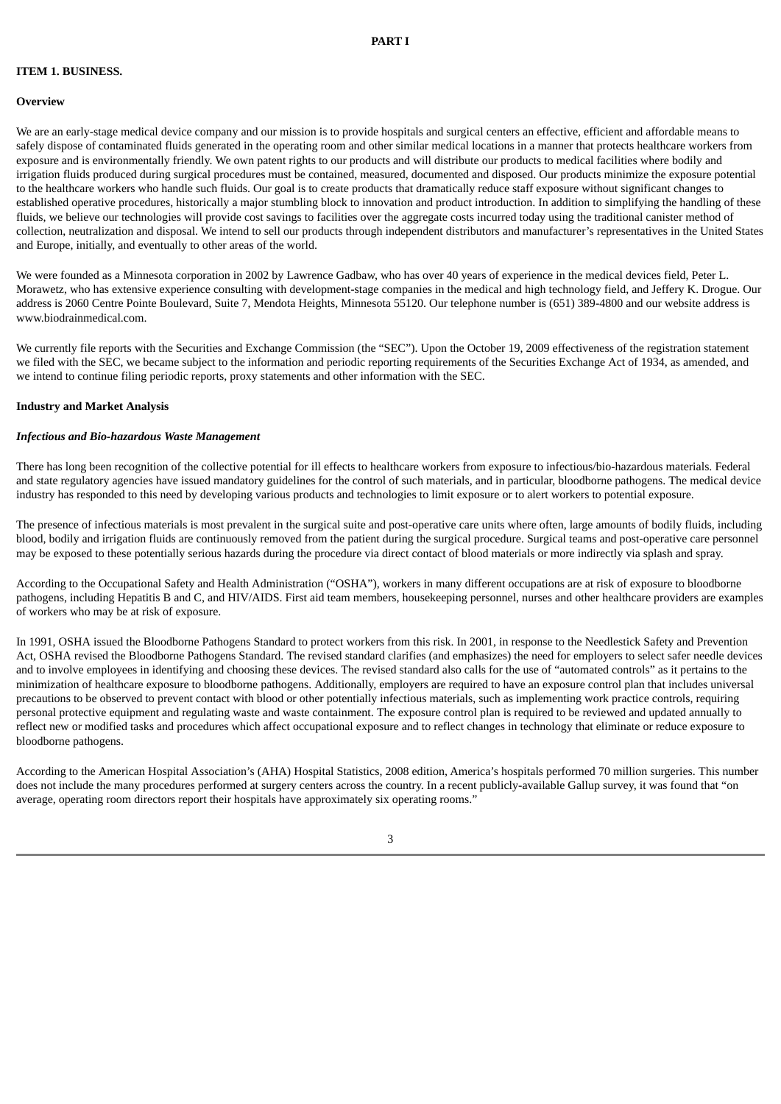### **ITEM 1. BUSINESS.**

#### **Overview**

We are an early-stage medical device company and our mission is to provide hospitals and surgical centers an effective, efficient and affordable means to safely dispose of contaminated fluids generated in the operating room and other similar medical locations in a manner that protects healthcare workers from exposure and is environmentally friendly. We own patent rights to our products and will distribute our products to medical facilities where bodily and irrigation fluids produced during surgical procedures must be contained, measured, documented and disposed. Our products minimize the exposure potential to the healthcare workers who handle such fluids. Our goal is to create products that dramatically reduce staff exposure without significant changes to established operative procedures, historically a major stumbling block to innovation and product introduction. In addition to simplifying the handling of these fluids, we believe our technologies will provide cost savings to facilities over the aggregate costs incurred today using the traditional canister method of collection, neutralization and disposal. We intend to sell our products through independent distributors and manufacturer's representatives in the United States and Europe, initially, and eventually to other areas of the world.

We were founded as a Minnesota corporation in 2002 by Lawrence Gadbaw, who has over 40 years of experience in the medical devices field, Peter L. Morawetz, who has extensive experience consulting with development-stage companies in the medical and high technology field, and Jeffery K. Drogue. Our address is 2060 Centre Pointe Boulevard, Suite 7, Mendota Heights, Minnesota 55120. Our telephone number is (651) 389-4800 and our website address is www.biodrainmedical.com.

We currently file reports with the Securities and Exchange Commission (the "SEC"). Upon the October 19, 2009 effectiveness of the registration statement we filed with the SEC, we became subject to the information and periodic reporting requirements of the Securities Exchange Act of 1934, as amended, and we intend to continue filing periodic reports, proxy statements and other information with the SEC.

#### **Industry and Market Analysis**

#### *Infectious and Bio-hazardous Waste Management*

There has long been recognition of the collective potential for ill effects to healthcare workers from exposure to infectious/bio-hazardous materials. Federal and state regulatory agencies have issued mandatory guidelines for the control of such materials, and in particular, bloodborne pathogens. The medical device industry has responded to this need by developing various products and technologies to limit exposure or to alert workers to potential exposure.

The presence of infectious materials is most prevalent in the surgical suite and post-operative care units where often, large amounts of bodily fluids, including blood, bodily and irrigation fluids are continuously removed from the patient during the surgical procedure. Surgical teams and post-operative care personnel may be exposed to these potentially serious hazards during the procedure via direct contact of blood materials or more indirectly via splash and spray.

According to the Occupational Safety and Health Administration ("OSHA"), workers in many different occupations are at risk of exposure to bloodborne pathogens, including Hepatitis B and C, and HIV/AIDS. First aid team members, housekeeping personnel, nurses and other healthcare providers are examples of workers who may be at risk of exposure.

In 1991, OSHA issued the Bloodborne Pathogens Standard to protect workers from this risk. In 2001, in response to the Needlestick Safety and Prevention Act, OSHA revised the Bloodborne Pathogens Standard. The revised standard clarifies (and emphasizes) the need for employers to select safer needle devices and to involve employees in identifying and choosing these devices. The revised standard also calls for the use of "automated controls" as it pertains to the minimization of healthcare exposure to bloodborne pathogens. Additionally, employers are required to have an exposure control plan that includes universal precautions to be observed to prevent contact with blood or other potentially infectious materials, such as implementing work practice controls, requiring personal protective equipment and regulating waste and waste containment. The exposure control plan is required to be reviewed and updated annually to reflect new or modified tasks and procedures which affect occupational exposure and to reflect changes in technology that eliminate or reduce exposure to bloodborne pathogens.

According to the American Hospital Association's (AHA) Hospital Statistics, 2008 edition, America's hospitals performed 70 million surgeries. This number does not include the many procedures performed at surgery centers across the country. In a recent publicly-available Gallup survey, it was found that "on average, operating room directors report their hospitals have approximately six operating rooms."

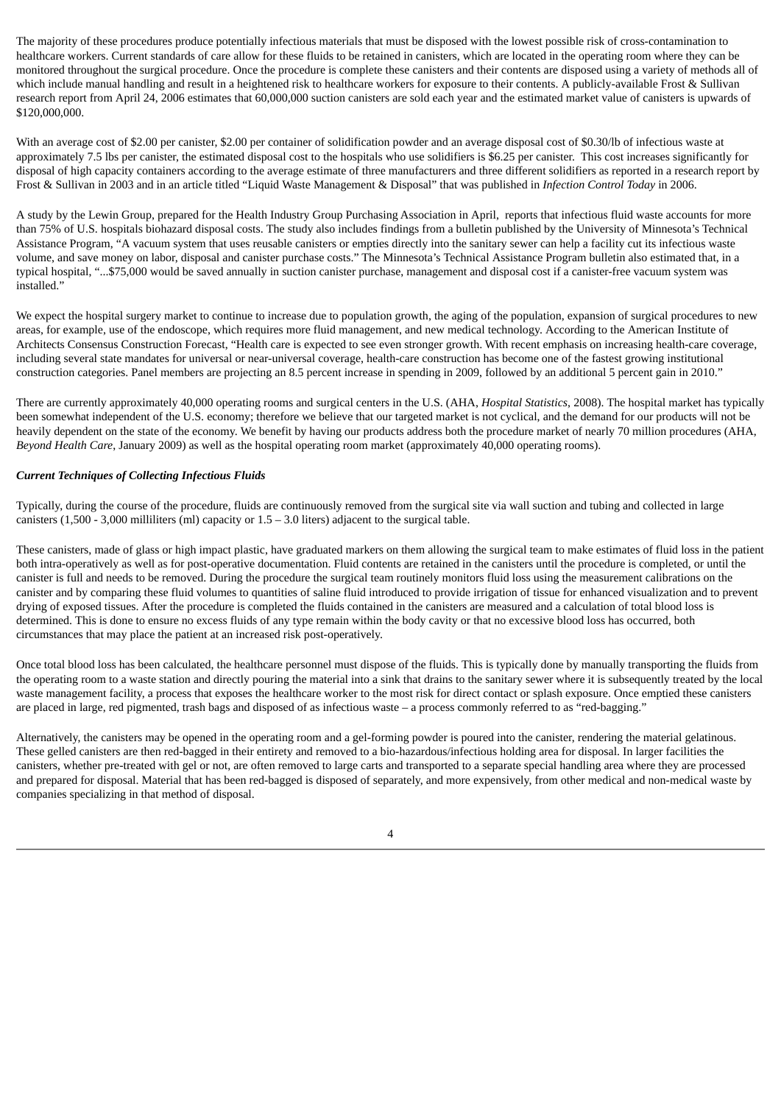The majority of these procedures produce potentially infectious materials that must be disposed with the lowest possible risk of cross-contamination to healthcare workers. Current standards of care allow for these fluids to be retained in canisters, which are located in the operating room where they can be monitored throughout the surgical procedure. Once the procedure is complete these canisters and their contents are disposed using a variety of methods all of which include manual handling and result in a heightened risk to healthcare workers for exposure to their contents. A publicly-available Frost & Sullivan research report from April 24, 2006 estimates that 60,000,000 suction canisters are sold each year and the estimated market value of canisters is upwards of \$120,000,000.

With an average cost of \$2.00 per canister, \$2.00 per container of solidification powder and an average disposal cost of \$0.30/lb of infectious waste at approximately 7.5 lbs per canister, the estimated disposal cost to the hospitals who use solidifiers is \$6.25 per canister. This cost increases significantly for disposal of high capacity containers according to the average estimate of three manufacturers and three different solidifiers as reported in a research report by Frost & Sullivan in 2003 and in an article titled "Liquid Waste Management & Disposal" that was published in *Infection Control Today* in 2006.

A study by the Lewin Group, prepared for the Health Industry Group Purchasing Association in April, reports that infectious fluid waste accounts for more than 75% of U.S. hospitals biohazard disposal costs. The study also includes findings from a bulletin published by the University of Minnesota's Technical Assistance Program, "A vacuum system that uses reusable canisters or empties directly into the sanitary sewer can help a facility cut its infectious waste volume, and save money on labor, disposal and canister purchase costs." The Minnesota's Technical Assistance Program bulletin also estimated that, in a typical hospital, "...\$75,000 would be saved annually in suction canister purchase, management and disposal cost if a canister-free vacuum system was installed."

We expect the hospital surgery market to continue to increase due to population growth, the aging of the population, expansion of surgical procedures to new areas, for example, use of the endoscope, which requires more fluid management, and new medical technology. According to the American Institute of Architects Consensus Construction Forecast, "Health care is expected to see even stronger growth. With recent emphasis on increasing health-care coverage, including several state mandates for universal or near-universal coverage, health-care construction has become one of the fastest growing institutional construction categories. Panel members are projecting an 8.5 percent increase in spending in 2009, followed by an additional 5 percent gain in 2010."

There are currently approximately 40,000 operating rooms and surgical centers in the U.S. (AHA, *Hospital Statistics*, 2008). The hospital market has typically been somewhat independent of the U.S. economy; therefore we believe that our targeted market is not cyclical, and the demand for our products will not be heavily dependent on the state of the economy. We benefit by having our products address both the procedure market of nearly 70 million procedures (AHA, *Beyond Health Care*, January 2009) as well as the hospital operating room market (approximately 40,000 operating rooms).

### *Current Techniques of Collecting Infectious Fluids*

Typically, during the course of the procedure, fluids are continuously removed from the surgical site via wall suction and tubing and collected in large canisters (1,500 - 3,000 milliliters (ml) capacity or  $1.5 - 3.0$  liters) adjacent to the surgical table.

These canisters, made of glass or high impact plastic, have graduated markers on them allowing the surgical team to make estimates of fluid loss in the patient both intra-operatively as well as for post-operative documentation. Fluid contents are retained in the canisters until the procedure is completed, or until the canister is full and needs to be removed. During the procedure the surgical team routinely monitors fluid loss using the measurement calibrations on the canister and by comparing these fluid volumes to quantities of saline fluid introduced to provide irrigation of tissue for enhanced visualization and to prevent drying of exposed tissues. After the procedure is completed the fluids contained in the canisters are measured and a calculation of total blood loss is determined. This is done to ensure no excess fluids of any type remain within the body cavity or that no excessive blood loss has occurred, both circumstances that may place the patient at an increased risk post-operatively.

Once total blood loss has been calculated, the healthcare personnel must dispose of the fluids. This is typically done by manually transporting the fluids from the operating room to a waste station and directly pouring the material into a sink that drains to the sanitary sewer where it is subsequently treated by the local waste management facility, a process that exposes the healthcare worker to the most risk for direct contact or splash exposure. Once emptied these canisters are placed in large, red pigmented, trash bags and disposed of as infectious waste – a process commonly referred to as "red-bagging."

Alternatively, the canisters may be opened in the operating room and a gel-forming powder is poured into the canister, rendering the material gelatinous. These gelled canisters are then red-bagged in their entirety and removed to a bio-hazardous/infectious holding area for disposal. In larger facilities the canisters, whether pre-treated with gel or not, are often removed to large carts and transported to a separate special handling area where they are processed and prepared for disposal. Material that has been red-bagged is disposed of separately, and more expensively, from other medical and non-medical waste by companies specializing in that method of disposal.

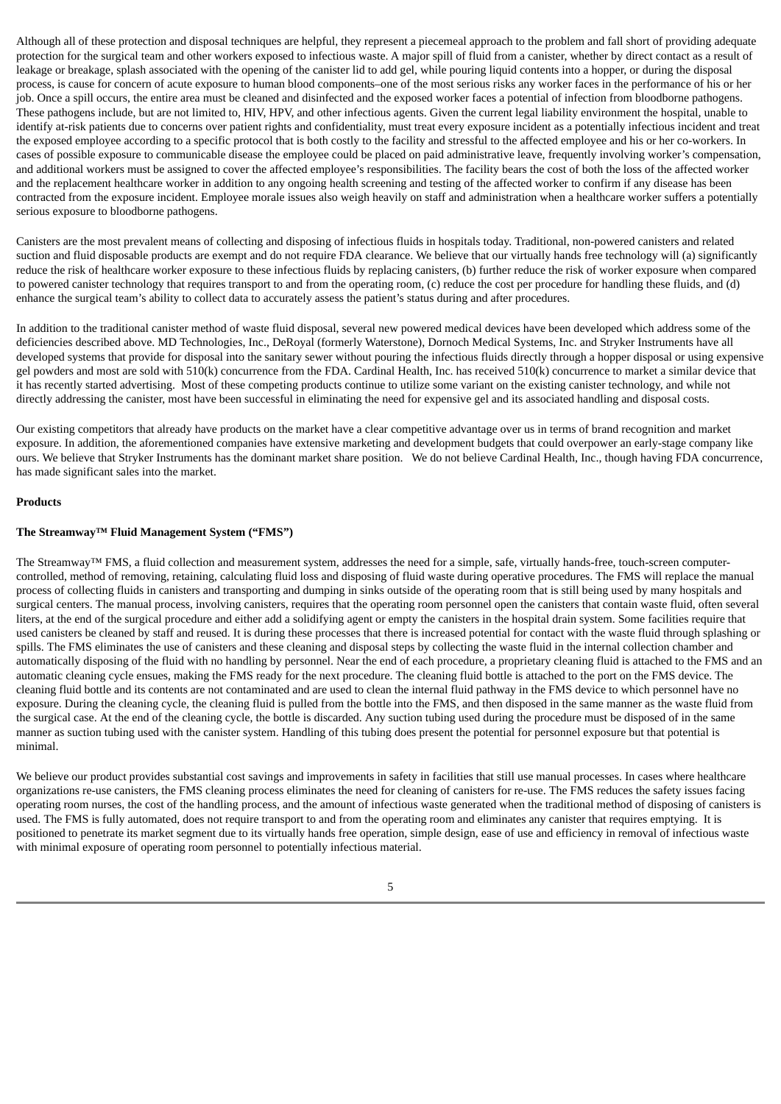Although all of these protection and disposal techniques are helpful, they represent a piecemeal approach to the problem and fall short of providing adequate protection for the surgical team and other workers exposed to infectious waste. A major spill of fluid from a canister, whether by direct contact as a result of leakage or breakage, splash associated with the opening of the canister lid to add gel, while pouring liquid contents into a hopper, or during the disposal process, is cause for concern of acute exposure to human blood components–one of the most serious risks any worker faces in the performance of his or her job. Once a spill occurs, the entire area must be cleaned and disinfected and the exposed worker faces a potential of infection from bloodborne pathogens. These pathogens include, but are not limited to, HIV, HPV, and other infectious agents. Given the current legal liability environment the hospital, unable to identify at-risk patients due to concerns over patient rights and confidentiality, must treat every exposure incident as a potentially infectious incident and treat the exposed employee according to a specific protocol that is both costly to the facility and stressful to the affected employee and his or her co-workers. In cases of possible exposure to communicable disease the employee could be placed on paid administrative leave, frequently involving worker's compensation, and additional workers must be assigned to cover the affected employee's responsibilities. The facility bears the cost of both the loss of the affected worker and the replacement healthcare worker in addition to any ongoing health screening and testing of the affected worker to confirm if any disease has been contracted from the exposure incident. Employee morale issues also weigh heavily on staff and administration when a healthcare worker suffers a potentially serious exposure to bloodborne pathogens.

Canisters are the most prevalent means of collecting and disposing of infectious fluids in hospitals today. Traditional, non-powered canisters and related suction and fluid disposable products are exempt and do not require FDA clearance. We believe that our virtually hands free technology will (a) significantly reduce the risk of healthcare worker exposure to these infectious fluids by replacing canisters, (b) further reduce the risk of worker exposure when compared to powered canister technology that requires transport to and from the operating room, (c) reduce the cost per procedure for handling these fluids, and (d) enhance the surgical team's ability to collect data to accurately assess the patient's status during and after procedures.

In addition to the traditional canister method of waste fluid disposal, several new powered medical devices have been developed which address some of the deficiencies described above. MD Technologies, Inc., DeRoyal (formerly Waterstone), Dornoch Medical Systems, Inc. and Stryker Instruments have all developed systems that provide for disposal into the sanitary sewer without pouring the infectious fluids directly through a hopper disposal or using expensive gel powders and most are sold with 510(k) concurrence from the FDA. Cardinal Health, Inc. has received 510(k) concurrence to market a similar device that it has recently started advertising. Most of these competing products continue to utilize some variant on the existing canister technology, and while not directly addressing the canister, most have been successful in eliminating the need for expensive gel and its associated handling and disposal costs.

Our existing competitors that already have products on the market have a clear competitive advantage over us in terms of brand recognition and market exposure. In addition, the aforementioned companies have extensive marketing and development budgets that could overpower an early-stage company like ours. We believe that Stryker Instruments has the dominant market share position. We do not believe Cardinal Health, Inc., though having FDA concurrence, has made significant sales into the market.

### **Products**

### **The Streamway™ Fluid Management System ("FMS")**

The Streamway™ FMS, a fluid collection and measurement system, addresses the need for a simple, safe, virtually hands-free, touch-screen computercontrolled, method of removing, retaining, calculating fluid loss and disposing of fluid waste during operative procedures. The FMS will replace the manual process of collecting fluids in canisters and transporting and dumping in sinks outside of the operating room that is still being used by many hospitals and surgical centers. The manual process, involving canisters, requires that the operating room personnel open the canisters that contain waste fluid, often several liters, at the end of the surgical procedure and either add a solidifying agent or empty the canisters in the hospital drain system. Some facilities require that used canisters be cleaned by staff and reused. It is during these processes that there is increased potential for contact with the waste fluid through splashing or spills. The FMS eliminates the use of canisters and these cleaning and disposal steps by collecting the waste fluid in the internal collection chamber and automatically disposing of the fluid with no handling by personnel. Near the end of each procedure, a proprietary cleaning fluid is attached to the FMS and an automatic cleaning cycle ensues, making the FMS ready for the next procedure. The cleaning fluid bottle is attached to the port on the FMS device. The cleaning fluid bottle and its contents are not contaminated and are used to clean the internal fluid pathway in the FMS device to which personnel have no exposure. During the cleaning cycle, the cleaning fluid is pulled from the bottle into the FMS, and then disposed in the same manner as the waste fluid from the surgical case. At the end of the cleaning cycle, the bottle is discarded. Any suction tubing used during the procedure must be disposed of in the same manner as suction tubing used with the canister system. Handling of this tubing does present the potential for personnel exposure but that potential is minimal.

We believe our product provides substantial cost savings and improvements in safety in facilities that still use manual processes. In cases where healthcare organizations re-use canisters, the FMS cleaning process eliminates the need for cleaning of canisters for re-use. The FMS reduces the safety issues facing operating room nurses, the cost of the handling process, and the amount of infectious waste generated when the traditional method of disposing of canisters is used. The FMS is fully automated, does not require transport to and from the operating room and eliminates any canister that requires emptying. It is positioned to penetrate its market segment due to its virtually hands free operation, simple design, ease of use and efficiency in removal of infectious waste with minimal exposure of operating room personnel to potentially infectious material.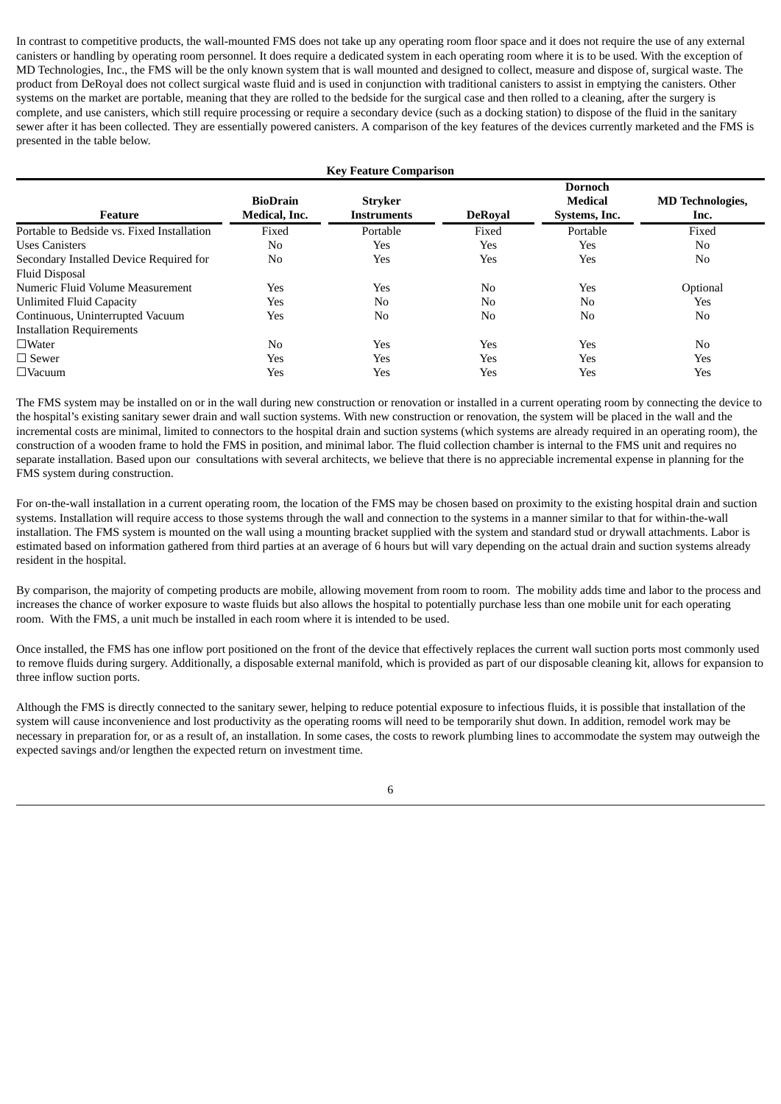In contrast to competitive products, the wall-mounted FMS does not take up any operating room floor space and it does not require the use of any external canisters or handling by operating room personnel. It does require a dedicated system in each operating room where it is to be used. With the exception of MD Technologies, Inc., the FMS will be the only known system that is wall mounted and designed to collect, measure and dispose of, surgical waste. The product from DeRoyal does not collect surgical waste fluid and is used in conjunction with traditional canisters to assist in emptying the canisters. Other systems on the market are portable, meaning that they are rolled to the bedside for the surgical case and then rolled to a cleaning, after the surgery is complete, and use canisters, which still require processing or require a secondary device (such as a docking station) to dispose of the fluid in the sanitary sewer after it has been collected. They are essentially powered canisters. A comparison of the key features of the devices currently marketed and the FMS is presented in the table below.

| <b>Key Feature Comparison</b>              |                                  |                               |                |                                            |                                 |  |  |  |
|--------------------------------------------|----------------------------------|-------------------------------|----------------|--------------------------------------------|---------------------------------|--|--|--|
| Feature                                    | <b>BioDrain</b><br>Medical, Inc. | <b>Stryker</b><br>Instruments | <b>DeRoval</b> | <b>Dornoch</b><br>Medical<br>Systems, Inc. | <b>MD</b> Technologies,<br>Inc. |  |  |  |
| Portable to Bedside vs. Fixed Installation | Fixed                            | Portable                      | Fixed          | Portable                                   | Fixed                           |  |  |  |
| <b>Uses Canisters</b>                      | No                               | Yes                           | Yes            | Yes                                        | N <sub>0</sub>                  |  |  |  |
| Secondary Installed Device Required for    | No                               | Yes                           | Yes            | Yes                                        | N <sub>0</sub>                  |  |  |  |
| <b>Fluid Disposal</b>                      |                                  |                               |                |                                            |                                 |  |  |  |
| Numeric Fluid Volume Measurement           | Yes                              | Yes                           | N <sub>0</sub> | Yes                                        | Optional                        |  |  |  |
| <b>Unlimited Fluid Capacity</b>            | Yes                              | N <sub>0</sub>                | N <sub>0</sub> | N <sub>0</sub>                             | Yes                             |  |  |  |
| Continuous, Uninterrupted Vacuum           | Yes                              | N <sub>0</sub>                | N <sub>0</sub> | N <sub>0</sub>                             | N <sub>0</sub>                  |  |  |  |
| <b>Installation Requirements</b>           |                                  |                               |                |                                            |                                 |  |  |  |
| $\square$ Water                            | No                               | Yes                           | Yes            | Yes                                        | N <sub>0</sub>                  |  |  |  |
| $\Box$ Sewer                               | Yes                              | Yes                           | Yes            | Yes                                        | Yes                             |  |  |  |
| $\Box$ Vacuum                              | Yes                              | Yes                           | Yes            | Yes                                        | Yes                             |  |  |  |

The FMS system may be installed on or in the wall during new construction or renovation or installed in a current operating room by connecting the device to the hospital's existing sanitary sewer drain and wall suction systems. With new construction or renovation, the system will be placed in the wall and the incremental costs are minimal, limited to connectors to the hospital drain and suction systems (which systems are already required in an operating room), the construction of a wooden frame to hold the FMS in position, and minimal labor. The fluid collection chamber is internal to the FMS unit and requires no separate installation. Based upon our consultations with several architects, we believe that there is no appreciable incremental expense in planning for the FMS system during construction.

For on-the-wall installation in a current operating room, the location of the FMS may be chosen based on proximity to the existing hospital drain and suction systems. Installation will require access to those systems through the wall and connection to the systems in a manner similar to that for within-the-wall installation. The FMS system is mounted on the wall using a mounting bracket supplied with the system and standard stud or drywall attachments. Labor is estimated based on information gathered from third parties at an average of 6 hours but will vary depending on the actual drain and suction systems already resident in the hospital.

By comparison, the majority of competing products are mobile, allowing movement from room to room. The mobility adds time and labor to the process and increases the chance of worker exposure to waste fluids but also allows the hospital to potentially purchase less than one mobile unit for each operating room. With the FMS, a unit much be installed in each room where it is intended to be used.

Once installed, the FMS has one inflow port positioned on the front of the device that effectively replaces the current wall suction ports most commonly used to remove fluids during surgery. Additionally, a disposable external manifold, which is provided as part of our disposable cleaning kit, allows for expansion to three inflow suction ports.

Although the FMS is directly connected to the sanitary sewer, helping to reduce potential exposure to infectious fluids, it is possible that installation of the system will cause inconvenience and lost productivity as the operating rooms will need to be temporarily shut down. In addition, remodel work may be necessary in preparation for, or as a result of, an installation. In some cases, the costs to rework plumbing lines to accommodate the system may outweigh the expected savings and/or lengthen the expected return on investment time.

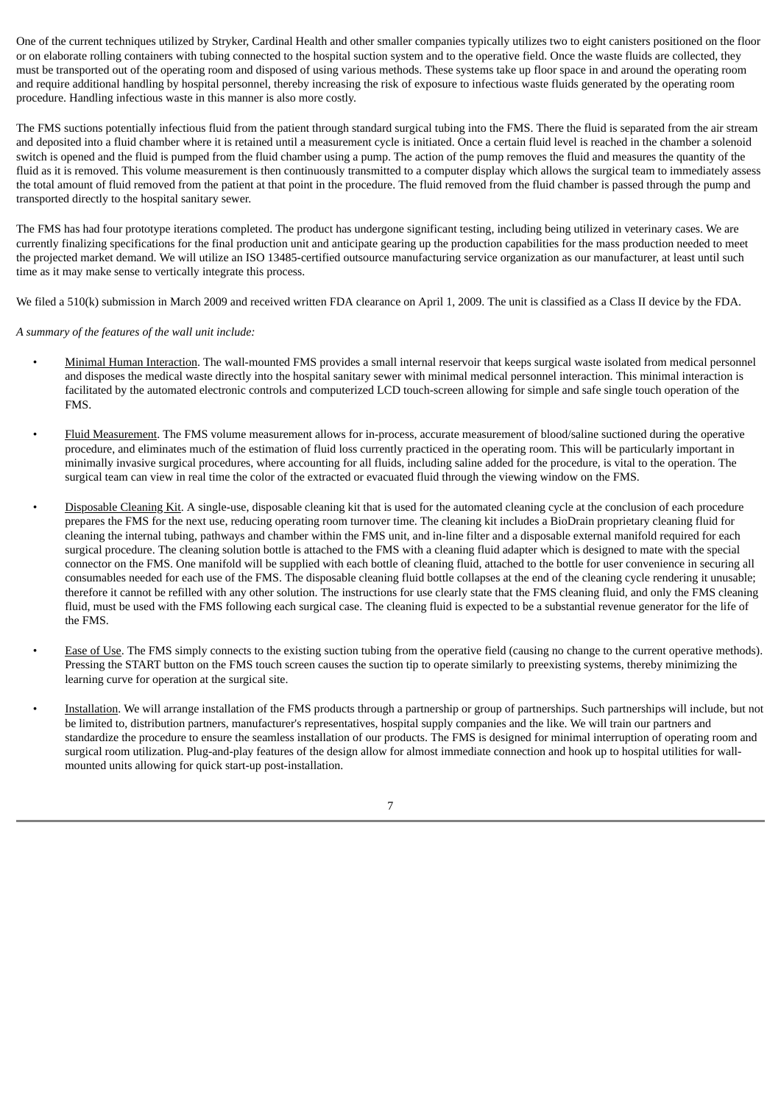One of the current techniques utilized by Stryker, Cardinal Health and other smaller companies typically utilizes two to eight canisters positioned on the floor or on elaborate rolling containers with tubing connected to the hospital suction system and to the operative field. Once the waste fluids are collected, they must be transported out of the operating room and disposed of using various methods. These systems take up floor space in and around the operating room and require additional handling by hospital personnel, thereby increasing the risk of exposure to infectious waste fluids generated by the operating room procedure. Handling infectious waste in this manner is also more costly.

The FMS suctions potentially infectious fluid from the patient through standard surgical tubing into the FMS. There the fluid is separated from the air stream and deposited into a fluid chamber where it is retained until a measurement cycle is initiated. Once a certain fluid level is reached in the chamber a solenoid switch is opened and the fluid is pumped from the fluid chamber using a pump. The action of the pump removes the fluid and measures the quantity of the fluid as it is removed. This volume measurement is then continuously transmitted to a computer display which allows the surgical team to immediately assess the total amount of fluid removed from the patient at that point in the procedure. The fluid removed from the fluid chamber is passed through the pump and transported directly to the hospital sanitary sewer.

The FMS has had four prototype iterations completed. The product has undergone significant testing, including being utilized in veterinary cases. We are currently finalizing specifications for the final production unit and anticipate gearing up the production capabilities for the mass production needed to meet the projected market demand. We will utilize an ISO 13485-certified outsource manufacturing service organization as our manufacturer, at least until such time as it may make sense to vertically integrate this process.

We filed a 510(k) submission in March 2009 and received written FDA clearance on April 1, 2009. The unit is classified as a Class II device by the FDA.

*A summary of the features of the wall unit include:*

- Minimal Human Interaction. The wall-mounted FMS provides a small internal reservoir that keeps surgical waste isolated from medical personnel and disposes the medical waste directly into the hospital sanitary sewer with minimal medical personnel interaction. This minimal interaction is facilitated by the automated electronic controls and computerized LCD touch-screen allowing for simple and safe single touch operation of the FMS.
- Fluid Measurement. The FMS volume measurement allows for in-process, accurate measurement of blood/saline suctioned during the operative procedure, and eliminates much of the estimation of fluid loss currently practiced in the operating room. This will be particularly important in minimally invasive surgical procedures, where accounting for all fluids, including saline added for the procedure, is vital to the operation. The surgical team can view in real time the color of the extracted or evacuated fluid through the viewing window on the FMS.
- Disposable Cleaning Kit. A single-use, disposable cleaning kit that is used for the automated cleaning cycle at the conclusion of each procedure prepares the FMS for the next use, reducing operating room turnover time. The cleaning kit includes a BioDrain proprietary cleaning fluid for cleaning the internal tubing, pathways and chamber within the FMS unit, and in-line filter and a disposable external manifold required for each surgical procedure. The cleaning solution bottle is attached to the FMS with a cleaning fluid adapter which is designed to mate with the special connector on the FMS. One manifold will be supplied with each bottle of cleaning fluid, attached to the bottle for user convenience in securing all consumables needed for each use of the FMS. The disposable cleaning fluid bottle collapses at the end of the cleaning cycle rendering it unusable; therefore it cannot be refilled with any other solution. The instructions for use clearly state that the FMS cleaning fluid, and only the FMS cleaning fluid, must be used with the FMS following each surgical case. The cleaning fluid is expected to be a substantial revenue generator for the life of the FMS.
- Ease of Use. The FMS simply connects to the existing suction tubing from the operative field (causing no change to the current operative methods). Pressing the START button on the FMS touch screen causes the suction tip to operate similarly to preexisting systems, thereby minimizing the learning curve for operation at the surgical site.
- Installation. We will arrange installation of the FMS products through a partnership or group of partnerships. Such partnerships will include, but not be limited to, distribution partners, manufacturer's representatives, hospital supply companies and the like. We will train our partners and standardize the procedure to ensure the seamless installation of our products. The FMS is designed for minimal interruption of operating room and surgical room utilization. Plug-and-play features of the design allow for almost immediate connection and hook up to hospital utilities for wallmounted units allowing for quick start-up post-installation.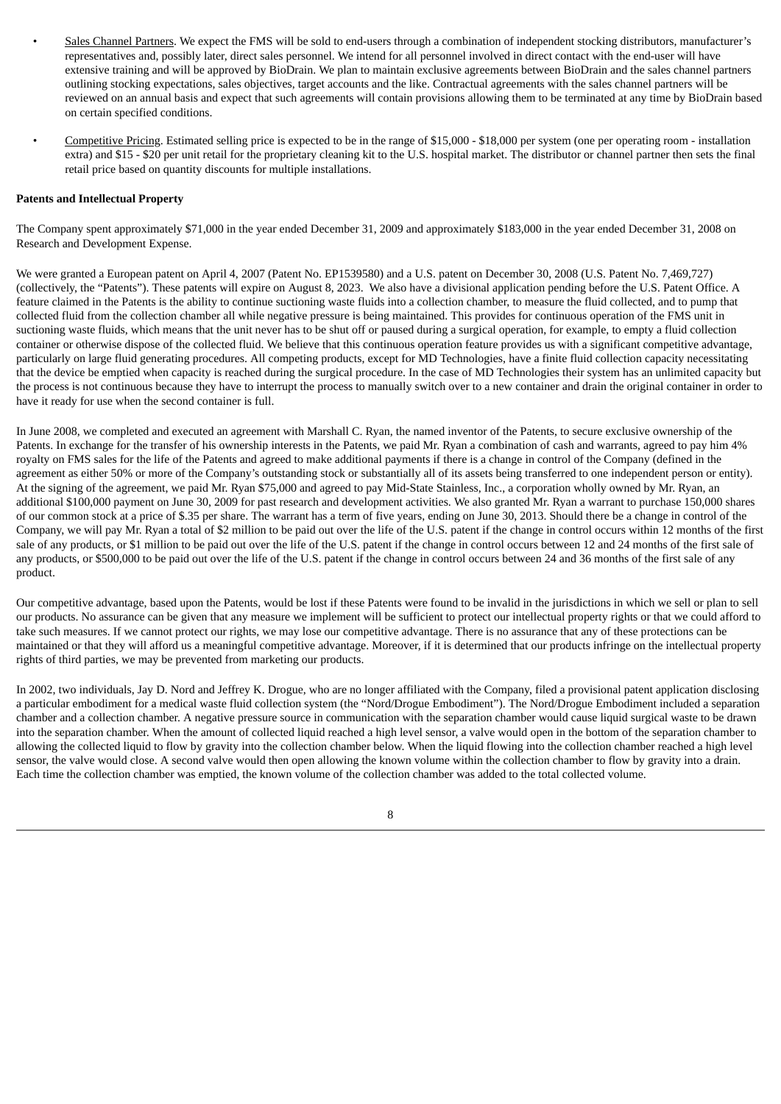- Sales Channel Partners. We expect the FMS will be sold to end-users through a combination of independent stocking distributors, manufacturer's representatives and, possibly later, direct sales personnel. We intend for all personnel involved in direct contact with the end-user will have extensive training and will be approved by BioDrain. We plan to maintain exclusive agreements between BioDrain and the sales channel partners outlining stocking expectations, sales objectives, target accounts and the like. Contractual agreements with the sales channel partners will be reviewed on an annual basis and expect that such agreements will contain provisions allowing them to be terminated at any time by BioDrain based on certain specified conditions.
- Competitive Pricing. Estimated selling price is expected to be in the range of \$15,000 \$18,000 per system (one per operating room installation extra) and \$15 - \$20 per unit retail for the proprietary cleaning kit to the U.S. hospital market. The distributor or channel partner then sets the final retail price based on quantity discounts for multiple installations.

### **Patents and Intellectual Property**

The Company spent approximately \$71,000 in the year ended December 31, 2009 and approximately \$183,000 in the year ended December 31, 2008 on Research and Development Expense.

We were granted a European patent on April 4, 2007 (Patent No. EP1539580) and a U.S. patent on December 30, 2008 (U.S. Patent No. 7,469,727) (collectively, the "Patents"). These patents will expire on August 8, 2023. We also have a divisional application pending before the U.S. Patent Office. A feature claimed in the Patents is the ability to continue suctioning waste fluids into a collection chamber, to measure the fluid collected, and to pump that collected fluid from the collection chamber all while negative pressure is being maintained. This provides for continuous operation of the FMS unit in suctioning waste fluids, which means that the unit never has to be shut off or paused during a surgical operation, for example, to empty a fluid collection container or otherwise dispose of the collected fluid. We believe that this continuous operation feature provides us with a significant competitive advantage, particularly on large fluid generating procedures. All competing products, except for MD Technologies, have a finite fluid collection capacity necessitating that the device be emptied when capacity is reached during the surgical procedure. In the case of MD Technologies their system has an unlimited capacity but the process is not continuous because they have to interrupt the process to manually switch over to a new container and drain the original container in order to have it ready for use when the second container is full.

In June 2008, we completed and executed an agreement with Marshall C. Ryan, the named inventor of the Patents, to secure exclusive ownership of the Patents. In exchange for the transfer of his ownership interests in the Patents, we paid Mr. Ryan a combination of cash and warrants, agreed to pay him 4% royalty on FMS sales for the life of the Patents and agreed to make additional payments if there is a change in control of the Company (defined in the agreement as either 50% or more of the Company's outstanding stock or substantially all of its assets being transferred to one independent person or entity). At the signing of the agreement, we paid Mr. Ryan \$75,000 and agreed to pay Mid-State Stainless, Inc., a corporation wholly owned by Mr. Ryan, an additional \$100,000 payment on June 30, 2009 for past research and development activities. We also granted Mr. Ryan a warrant to purchase 150,000 shares of our common stock at a price of \$.35 per share. The warrant has a term of five years, ending on June 30, 2013. Should there be a change in control of the Company, we will pay Mr. Ryan a total of \$2 million to be paid out over the life of the U.S. patent if the change in control occurs within 12 months of the first sale of any products, or \$1 million to be paid out over the life of the U.S. patent if the change in control occurs between 12 and 24 months of the first sale of any products, or \$500,000 to be paid out over the life of the U.S. patent if the change in control occurs between 24 and 36 months of the first sale of any product.

Our competitive advantage, based upon the Patents, would be lost if these Patents were found to be invalid in the jurisdictions in which we sell or plan to sell our products. No assurance can be given that any measure we implement will be sufficient to protect our intellectual property rights or that we could afford to take such measures. If we cannot protect our rights, we may lose our competitive advantage. There is no assurance that any of these protections can be maintained or that they will afford us a meaningful competitive advantage. Moreover, if it is determined that our products infringe on the intellectual property rights of third parties, we may be prevented from marketing our products.

In 2002, two individuals, Jay D. Nord and Jeffrey K. Drogue, who are no longer affiliated with the Company, filed a provisional patent application disclosing a particular embodiment for a medical waste fluid collection system (the "Nord/Drogue Embodiment"). The Nord/Drogue Embodiment included a separation chamber and a collection chamber. A negative pressure source in communication with the separation chamber would cause liquid surgical waste to be drawn into the separation chamber. When the amount of collected liquid reached a high level sensor, a valve would open in the bottom of the separation chamber to allowing the collected liquid to flow by gravity into the collection chamber below. When the liquid flowing into the collection chamber reached a high level sensor, the valve would close. A second valve would then open allowing the known volume within the collection chamber to flow by gravity into a drain. Each time the collection chamber was emptied, the known volume of the collection chamber was added to the total collected volume.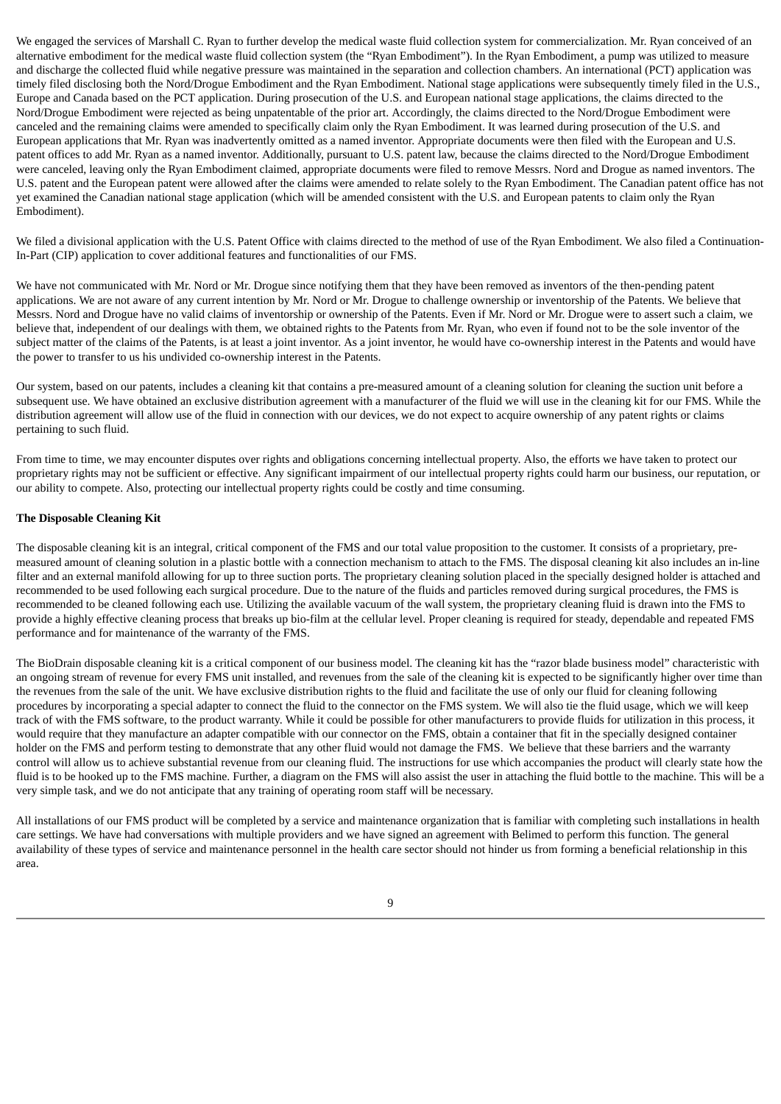We engaged the services of Marshall C. Ryan to further develop the medical waste fluid collection system for commercialization. Mr. Ryan conceived of an alternative embodiment for the medical waste fluid collection system (the "Ryan Embodiment"). In the Ryan Embodiment, a pump was utilized to measure and discharge the collected fluid while negative pressure was maintained in the separation and collection chambers. An international (PCT) application was timely filed disclosing both the Nord/Drogue Embodiment and the Ryan Embodiment. National stage applications were subsequently timely filed in the U.S., Europe and Canada based on the PCT application. During prosecution of the U.S. and European national stage applications, the claims directed to the Nord/Drogue Embodiment were rejected as being unpatentable of the prior art. Accordingly, the claims directed to the Nord/Drogue Embodiment were canceled and the remaining claims were amended to specifically claim only the Ryan Embodiment. It was learned during prosecution of the U.S. and European applications that Mr. Ryan was inadvertently omitted as a named inventor. Appropriate documents were then filed with the European and U.S. patent offices to add Mr. Ryan as a named inventor. Additionally, pursuant to U.S. patent law, because the claims directed to the Nord/Drogue Embodiment were canceled, leaving only the Ryan Embodiment claimed, appropriate documents were filed to remove Messrs. Nord and Drogue as named inventors. The U.S. patent and the European patent were allowed after the claims were amended to relate solely to the Ryan Embodiment. The Canadian patent office has not yet examined the Canadian national stage application (which will be amended consistent with the U.S. and European patents to claim only the Ryan Embodiment).

We filed a divisional application with the U.S. Patent Office with claims directed to the method of use of the Ryan Embodiment. We also filed a Continuation-In-Part (CIP) application to cover additional features and functionalities of our FMS.

We have not communicated with Mr. Nord or Mr. Drogue since notifying them that they have been removed as inventors of the then-pending patent applications. We are not aware of any current intention by Mr. Nord or Mr. Drogue to challenge ownership or inventorship of the Patents. We believe that Messrs. Nord and Drogue have no valid claims of inventorship or ownership of the Patents. Even if Mr. Nord or Mr. Drogue were to assert such a claim, we believe that, independent of our dealings with them, we obtained rights to the Patents from Mr. Ryan, who even if found not to be the sole inventor of the subject matter of the claims of the Patents, is at least a joint inventor. As a joint inventor, he would have co-ownership interest in the Patents and would have the power to transfer to us his undivided co-ownership interest in the Patents.

Our system, based on our patents, includes a cleaning kit that contains a pre-measured amount of a cleaning solution for cleaning the suction unit before a subsequent use. We have obtained an exclusive distribution agreement with a manufacturer of the fluid we will use in the cleaning kit for our FMS. While the distribution agreement will allow use of the fluid in connection with our devices, we do not expect to acquire ownership of any patent rights or claims pertaining to such fluid.

From time to time, we may encounter disputes over rights and obligations concerning intellectual property. Also, the efforts we have taken to protect our proprietary rights may not be sufficient or effective. Any significant impairment of our intellectual property rights could harm our business, our reputation, or our ability to compete. Also, protecting our intellectual property rights could be costly and time consuming.

### **The Disposable Cleaning Kit**

The disposable cleaning kit is an integral, critical component of the FMS and our total value proposition to the customer. It consists of a proprietary, premeasured amount of cleaning solution in a plastic bottle with a connection mechanism to attach to the FMS. The disposal cleaning kit also includes an in-line filter and an external manifold allowing for up to three suction ports. The proprietary cleaning solution placed in the specially designed holder is attached and recommended to be used following each surgical procedure. Due to the nature of the fluids and particles removed during surgical procedures, the FMS is recommended to be cleaned following each use. Utilizing the available vacuum of the wall system, the proprietary cleaning fluid is drawn into the FMS to provide a highly effective cleaning process that breaks up bio-film at the cellular level. Proper cleaning is required for steady, dependable and repeated FMS performance and for maintenance of the warranty of the FMS.

The BioDrain disposable cleaning kit is a critical component of our business model. The cleaning kit has the "razor blade business model" characteristic with an ongoing stream of revenue for every FMS unit installed, and revenues from the sale of the cleaning kit is expected to be significantly higher over time than the revenues from the sale of the unit. We have exclusive distribution rights to the fluid and facilitate the use of only our fluid for cleaning following procedures by incorporating a special adapter to connect the fluid to the connector on the FMS system. We will also tie the fluid usage, which we will keep track of with the FMS software, to the product warranty. While it could be possible for other manufacturers to provide fluids for utilization in this process, it would require that they manufacture an adapter compatible with our connector on the FMS, obtain a container that fit in the specially designed container holder on the FMS and perform testing to demonstrate that any other fluid would not damage the FMS. We believe that these barriers and the warranty control will allow us to achieve substantial revenue from our cleaning fluid. The instructions for use which accompanies the product will clearly state how the fluid is to be hooked up to the FMS machine. Further, a diagram on the FMS will also assist the user in attaching the fluid bottle to the machine. This will be a very simple task, and we do not anticipate that any training of operating room staff will be necessary.

All installations of our FMS product will be completed by a service and maintenance organization that is familiar with completing such installations in health care settings. We have had conversations with multiple providers and we have signed an agreement with Belimed to perform this function. The general availability of these types of service and maintenance personnel in the health care sector should not hinder us from forming a beneficial relationship in this area.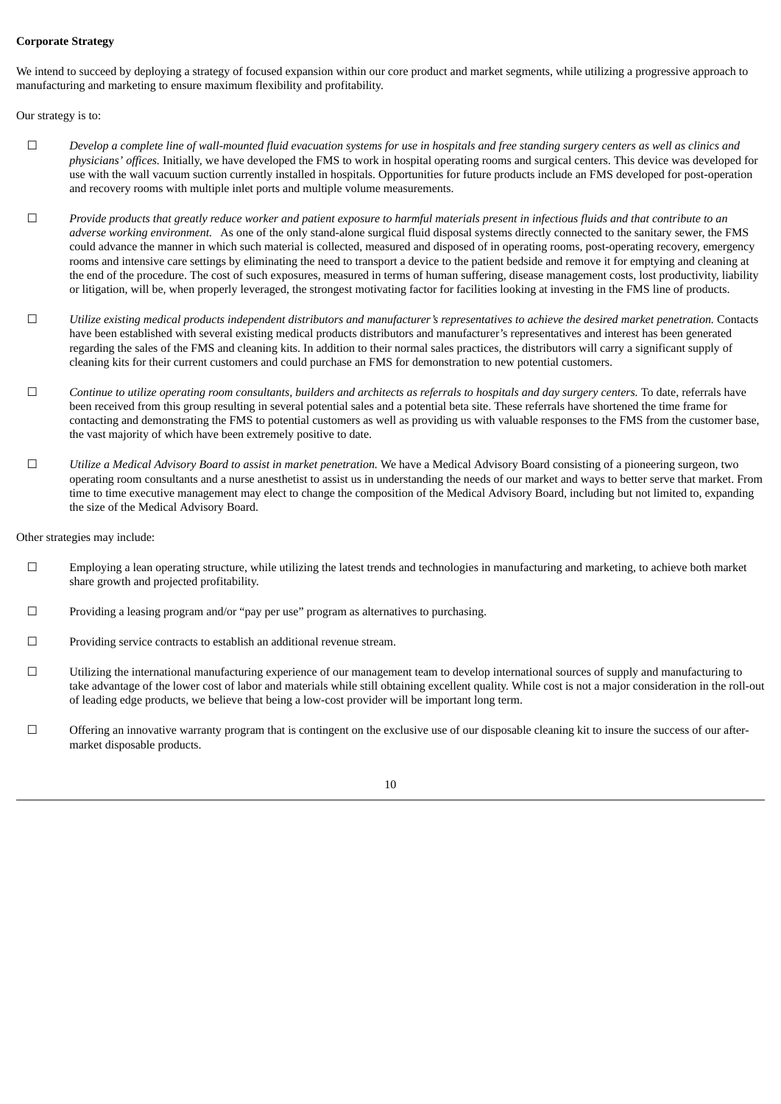### **Corporate Strategy**

We intend to succeed by deploying a strategy of focused expansion within our core product and market segments, while utilizing a progressive approach to manufacturing and marketing to ensure maximum flexibility and profitability.

Our strategy is to:

- $\Box$  Develop a complete line of wall-mounted fluid evacuation systems for use in hospitals and free standing surgery centers as well as clinics and *physicians' offices.* Initially, we have developed the FMS to work in hospital operating rooms and surgical centers. This device was developed for use with the wall vacuum suction currently installed in hospitals. Opportunities for future products include an FMS developed for post-operation and recovery rooms with multiple inlet ports and multiple volume measurements.
- $\Box$  Provide products that greatly reduce worker and patient exposure to harmful materials present in infectious fluids and that contribute to an *adverse working environment.* As one of the only stand-alone surgical fluid disposal systems directly connected to the sanitary sewer, the FMS could advance the manner in which such material is collected, measured and disposed of in operating rooms, post-operating recovery, emergency rooms and intensive care settings by eliminating the need to transport a device to the patient bedside and remove it for emptying and cleaning at the end of the procedure. The cost of such exposures, measured in terms of human suffering, disease management costs, lost productivity, liability or litigation, will be, when properly leveraged, the strongest motivating factor for facilities looking at investing in the FMS line of products.
- $\square$  Utilize existing medical products independent distributors and manufacturer's representatives to achieve the desired market penetration. Contacts have been established with several existing medical products distributors and manufacturer's representatives and interest has been generated regarding the sales of the FMS and cleaning kits. In addition to their normal sales practices, the distributors will carry a significant supply of cleaning kits for their current customers and could purchase an FMS for demonstration to new potential customers.
- $\Box$  Continue to utilize operating room consultants, builders and architects as referrals to hospitals and day surgery centers. To date, referrals have been received from this group resulting in several potential sales and a potential beta site. These referrals have shortened the time frame for contacting and demonstrating the FMS to potential customers as well as providing us with valuable responses to the FMS from the customer base, the vast majority of which have been extremely positive to date.
- ☐ *Utilize a Medical Advisory Board to assist in market penetration.* We have a Medical Advisory Board consisting of a pioneering surgeon, two operating room consultants and a nurse anesthetist to assist us in understanding the needs of our market and ways to better serve that market. From time to time executive management may elect to change the composition of the Medical Advisory Board, including but not limited to, expanding the size of the Medical Advisory Board.

Other strategies may include:

- $\Box$  Employing a lean operating structure, while utilizing the latest trends and technologies in manufacturing and marketing, to achieve both market share growth and projected profitability.
- $\Box$  Providing a leasing program and/or "pay per use" program as alternatives to purchasing.
- ☐ Providing service contracts to establish an additional revenue stream.
- ☐ Utilizing the international manufacturing experience of our management team to develop international sources of supply and manufacturing to take advantage of the lower cost of labor and materials while still obtaining excellent quality. While cost is not a major consideration in the roll-out of leading edge products, we believe that being a low-cost provider will be important long term.
- ☐ Offering an innovative warranty program that is contingent on the exclusive use of our disposable cleaning kit to insure the success of our aftermarket disposable products.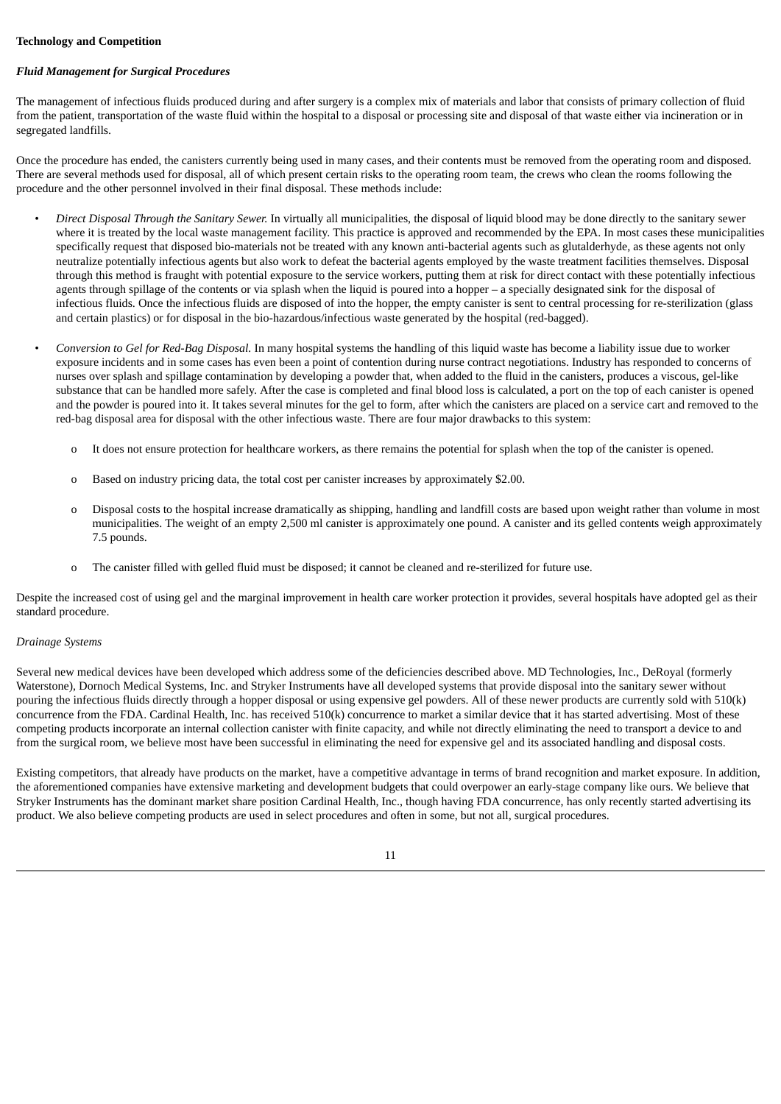### **Technology and Competition**

### *Fluid Management for Surgical Procedures*

The management of infectious fluids produced during and after surgery is a complex mix of materials and labor that consists of primary collection of fluid from the patient, transportation of the waste fluid within the hospital to a disposal or processing site and disposal of that waste either via incineration or in segregated landfills.

Once the procedure has ended, the canisters currently being used in many cases, and their contents must be removed from the operating room and disposed. There are several methods used for disposal, all of which present certain risks to the operating room team, the crews who clean the rooms following the procedure and the other personnel involved in their final disposal. These methods include:

- *Direct Disposal Through the Sanitary Sewer.* In virtually all municipalities, the disposal of liquid blood may be done directly to the sanitary sewer where it is treated by the local waste management facility. This practice is approved and recommended by the EPA. In most cases these municipalities specifically request that disposed bio-materials not be treated with any known anti-bacterial agents such as glutalderhyde, as these agents not only neutralize potentially infectious agents but also work to defeat the bacterial agents employed by the waste treatment facilities themselves. Disposal through this method is fraught with potential exposure to the service workers, putting them at risk for direct contact with these potentially infectious agents through spillage of the contents or via splash when the liquid is poured into a hopper – a specially designated sink for the disposal of infectious fluids. Once the infectious fluids are disposed of into the hopper, the empty canister is sent to central processing for re-sterilization (glass and certain plastics) or for disposal in the bio-hazardous/infectious waste generated by the hospital (red-bagged).
- *Conversion to Gel for Red-Bag Disposal.* In many hospital systems the handling of this liquid waste has become a liability issue due to worker exposure incidents and in some cases has even been a point of contention during nurse contract negotiations. Industry has responded to concerns of nurses over splash and spillage contamination by developing a powder that, when added to the fluid in the canisters, produces a viscous, gel-like substance that can be handled more safely. After the case is completed and final blood loss is calculated, a port on the top of each canister is opened and the powder is poured into it. It takes several minutes for the gel to form, after which the canisters are placed on a service cart and removed to the red-bag disposal area for disposal with the other infectious waste. There are four major drawbacks to this system:
	- o It does not ensure protection for healthcare workers, as there remains the potential for splash when the top of the canister is opened.
	- o Based on industry pricing data, the total cost per canister increases by approximately \$2.00.
	- o Disposal costs to the hospital increase dramatically as shipping, handling and landfill costs are based upon weight rather than volume in most municipalities. The weight of an empty 2,500 ml canister is approximately one pound. A canister and its gelled contents weigh approximately 7.5 pounds.
	- o The canister filled with gelled fluid must be disposed; it cannot be cleaned and re-sterilized for future use.

Despite the increased cost of using gel and the marginal improvement in health care worker protection it provides, several hospitals have adopted gel as their standard procedure.

#### *Drainage Systems*

Several new medical devices have been developed which address some of the deficiencies described above. MD Technologies, Inc., DeRoyal (formerly Waterstone), Dornoch Medical Systems, Inc. and Stryker Instruments have all developed systems that provide disposal into the sanitary sewer without pouring the infectious fluids directly through a hopper disposal or using expensive gel powders. All of these newer products are currently sold with 510(k) concurrence from the FDA. Cardinal Health, Inc. has received 510(k) concurrence to market a similar device that it has started advertising. Most of these competing products incorporate an internal collection canister with finite capacity, and while not directly eliminating the need to transport a device to and from the surgical room, we believe most have been successful in eliminating the need for expensive gel and its associated handling and disposal costs.

Existing competitors, that already have products on the market, have a competitive advantage in terms of brand recognition and market exposure. In addition, the aforementioned companies have extensive marketing and development budgets that could overpower an early-stage company like ours. We believe that Stryker Instruments has the dominant market share position Cardinal Health, Inc., though having FDA concurrence, has only recently started advertising its product. We also believe competing products are used in select procedures and often in some, but not all, surgical procedures.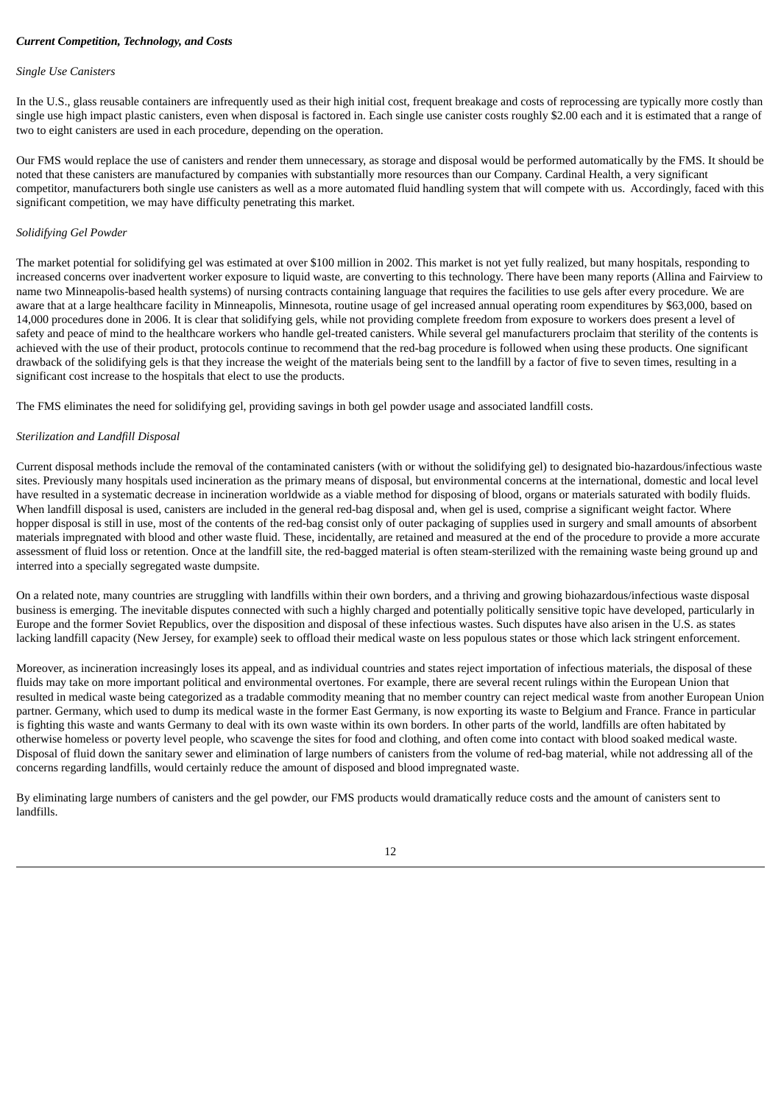### *Current Competition, Technology, and Costs*

#### *Single Use Canisters*

In the U.S., glass reusable containers are infrequently used as their high initial cost, frequent breakage and costs of reprocessing are typically more costly than single use high impact plastic canisters, even when disposal is factored in. Each single use canister costs roughly \$2.00 each and it is estimated that a range of two to eight canisters are used in each procedure, depending on the operation.

Our FMS would replace the use of canisters and render them unnecessary, as storage and disposal would be performed automatically by the FMS. It should be noted that these canisters are manufactured by companies with substantially more resources than our Company. Cardinal Health, a very significant competitor, manufacturers both single use canisters as well as a more automated fluid handling system that will compete with us. Accordingly, faced with this significant competition, we may have difficulty penetrating this market.

### *Solidifying Gel Powder*

The market potential for solidifying gel was estimated at over \$100 million in 2002. This market is not yet fully realized, but many hospitals, responding to increased concerns over inadvertent worker exposure to liquid waste, are converting to this technology. There have been many reports (Allina and Fairview to name two Minneapolis-based health systems) of nursing contracts containing language that requires the facilities to use gels after every procedure. We are aware that at a large healthcare facility in Minneapolis, Minnesota, routine usage of gel increased annual operating room expenditures by \$63,000, based on 14,000 procedures done in 2006. It is clear that solidifying gels, while not providing complete freedom from exposure to workers does present a level of safety and peace of mind to the healthcare workers who handle gel-treated canisters. While several gel manufacturers proclaim that sterility of the contents is achieved with the use of their product, protocols continue to recommend that the red-bag procedure is followed when using these products. One significant drawback of the solidifying gels is that they increase the weight of the materials being sent to the landfill by a factor of five to seven times, resulting in a significant cost increase to the hospitals that elect to use the products.

The FMS eliminates the need for solidifying gel, providing savings in both gel powder usage and associated landfill costs.

### *Sterilization and Landfill Disposal*

Current disposal methods include the removal of the contaminated canisters (with or without the solidifying gel) to designated bio-hazardous/infectious waste sites. Previously many hospitals used incineration as the primary means of disposal, but environmental concerns at the international, domestic and local level have resulted in a systematic decrease in incineration worldwide as a viable method for disposing of blood, organs or materials saturated with bodily fluids. When landfill disposal is used, canisters are included in the general red-bag disposal and, when gel is used, comprise a significant weight factor. Where hopper disposal is still in use, most of the contents of the red-bag consist only of outer packaging of supplies used in surgery and small amounts of absorbent materials impregnated with blood and other waste fluid. These, incidentally, are retained and measured at the end of the procedure to provide a more accurate assessment of fluid loss or retention. Once at the landfill site, the red-bagged material is often steam-sterilized with the remaining waste being ground up and interred into a specially segregated waste dumpsite.

On a related note, many countries are struggling with landfills within their own borders, and a thriving and growing biohazardous/infectious waste disposal business is emerging. The inevitable disputes connected with such a highly charged and potentially politically sensitive topic have developed, particularly in Europe and the former Soviet Republics, over the disposition and disposal of these infectious wastes. Such disputes have also arisen in the U.S. as states lacking landfill capacity (New Jersey, for example) seek to offload their medical waste on less populous states or those which lack stringent enforcement.

Moreover, as incineration increasingly loses its appeal, and as individual countries and states reject importation of infectious materials, the disposal of these fluids may take on more important political and environmental overtones. For example, there are several recent rulings within the European Union that resulted in medical waste being categorized as a tradable commodity meaning that no member country can reject medical waste from another European Union partner. Germany, which used to dump its medical waste in the former East Germany, is now exporting its waste to Belgium and France. France in particular is fighting this waste and wants Germany to deal with its own waste within its own borders. In other parts of the world, landfills are often habitated by otherwise homeless or poverty level people, who scavenge the sites for food and clothing, and often come into contact with blood soaked medical waste. Disposal of fluid down the sanitary sewer and elimination of large numbers of canisters from the volume of red-bag material, while not addressing all of the concerns regarding landfills, would certainly reduce the amount of disposed and blood impregnated waste.

By eliminating large numbers of canisters and the gel powder, our FMS products would dramatically reduce costs and the amount of canisters sent to landfills.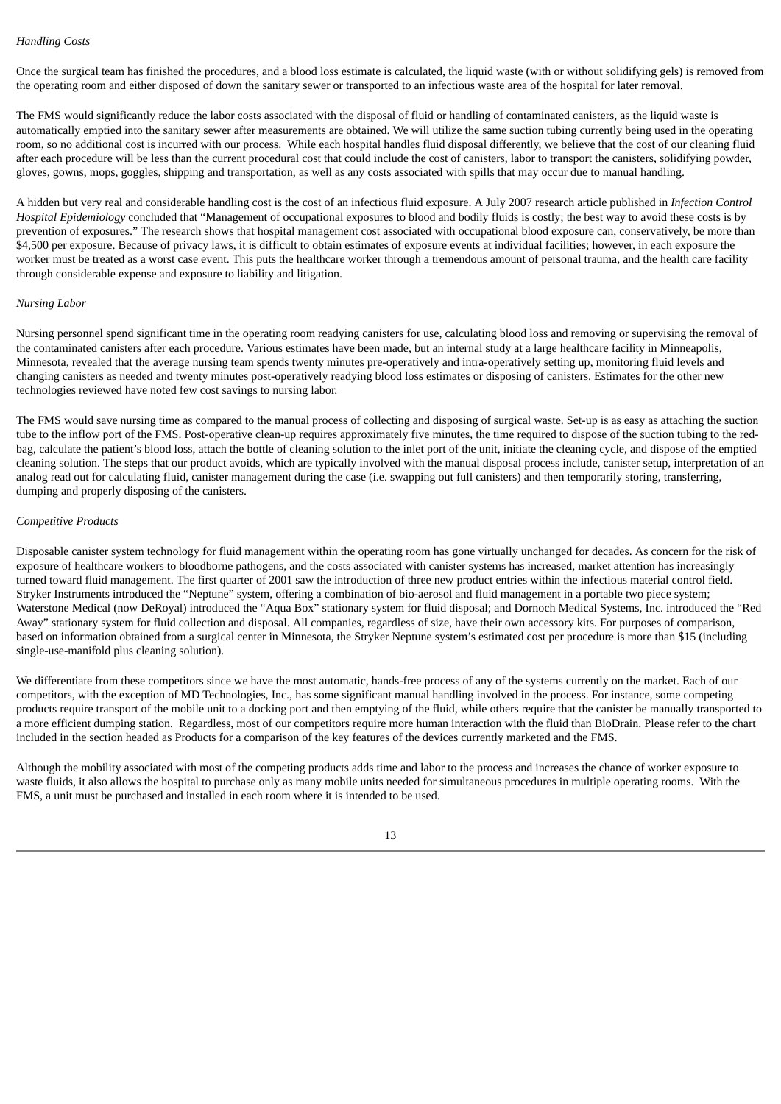### *Handling Costs*

Once the surgical team has finished the procedures, and a blood loss estimate is calculated, the liquid waste (with or without solidifying gels) is removed from the operating room and either disposed of down the sanitary sewer or transported to an infectious waste area of the hospital for later removal.

The FMS would significantly reduce the labor costs associated with the disposal of fluid or handling of contaminated canisters, as the liquid waste is automatically emptied into the sanitary sewer after measurements are obtained. We will utilize the same suction tubing currently being used in the operating room, so no additional cost is incurred with our process. While each hospital handles fluid disposal differently, we believe that the cost of our cleaning fluid after each procedure will be less than the current procedural cost that could include the cost of canisters, labor to transport the canisters, solidifying powder, gloves, gowns, mops, goggles, shipping and transportation, as well as any costs associated with spills that may occur due to manual handling.

A hidden but very real and considerable handling cost is the cost of an infectious fluid exposure. A July 2007 research article published in *Infection Control Hospital Epidemiology* concluded that "Management of occupational exposures to blood and bodily fluids is costly; the best way to avoid these costs is by prevention of exposures." The research shows that hospital management cost associated with occupational blood exposure can, conservatively, be more than \$4,500 per exposure. Because of privacy laws, it is difficult to obtain estimates of exposure events at individual facilities; however, in each exposure the worker must be treated as a worst case event. This puts the healthcare worker through a tremendous amount of personal trauma, and the health care facility through considerable expense and exposure to liability and litigation.

#### *Nursing Labor*

Nursing personnel spend significant time in the operating room readying canisters for use, calculating blood loss and removing or supervising the removal of the contaminated canisters after each procedure. Various estimates have been made, but an internal study at a large healthcare facility in Minneapolis, Minnesota, revealed that the average nursing team spends twenty minutes pre-operatively and intra-operatively setting up, monitoring fluid levels and changing canisters as needed and twenty minutes post-operatively readying blood loss estimates or disposing of canisters. Estimates for the other new technologies reviewed have noted few cost savings to nursing labor.

The FMS would save nursing time as compared to the manual process of collecting and disposing of surgical waste. Set-up is as easy as attaching the suction tube to the inflow port of the FMS. Post-operative clean-up requires approximately five minutes, the time required to dispose of the suction tubing to the redbag, calculate the patient's blood loss, attach the bottle of cleaning solution to the inlet port of the unit, initiate the cleaning cycle, and dispose of the emptied cleaning solution. The steps that our product avoids, which are typically involved with the manual disposal process include, canister setup, interpretation of an analog read out for calculating fluid, canister management during the case (i.e. swapping out full canisters) and then temporarily storing, transferring, dumping and properly disposing of the canisters.

#### *Competitive Products*

Disposable canister system technology for fluid management within the operating room has gone virtually unchanged for decades. As concern for the risk of exposure of healthcare workers to bloodborne pathogens, and the costs associated with canister systems has increased, market attention has increasingly turned toward fluid management. The first quarter of 2001 saw the introduction of three new product entries within the infectious material control field. Stryker Instruments introduced the "Neptune" system, offering a combination of bio-aerosol and fluid management in a portable two piece system; Waterstone Medical (now DeRoyal) introduced the "Aqua Box" stationary system for fluid disposal; and Dornoch Medical Systems, Inc. introduced the "Red Away" stationary system for fluid collection and disposal. All companies, regardless of size, have their own accessory kits. For purposes of comparison, based on information obtained from a surgical center in Minnesota, the Stryker Neptune system's estimated cost per procedure is more than \$15 (including single-use-manifold plus cleaning solution).

We differentiate from these competitors since we have the most automatic, hands-free process of any of the systems currently on the market. Each of our competitors, with the exception of MD Technologies, Inc., has some significant manual handling involved in the process. For instance, some competing products require transport of the mobile unit to a docking port and then emptying of the fluid, while others require that the canister be manually transported to a more efficient dumping station. Regardless, most of our competitors require more human interaction with the fluid than BioDrain. Please refer to the chart included in the section headed as Products for a comparison of the key features of the devices currently marketed and the FMS.

Although the mobility associated with most of the competing products adds time and labor to the process and increases the chance of worker exposure to waste fluids, it also allows the hospital to purchase only as many mobile units needed for simultaneous procedures in multiple operating rooms. With the FMS, a unit must be purchased and installed in each room where it is intended to be used.

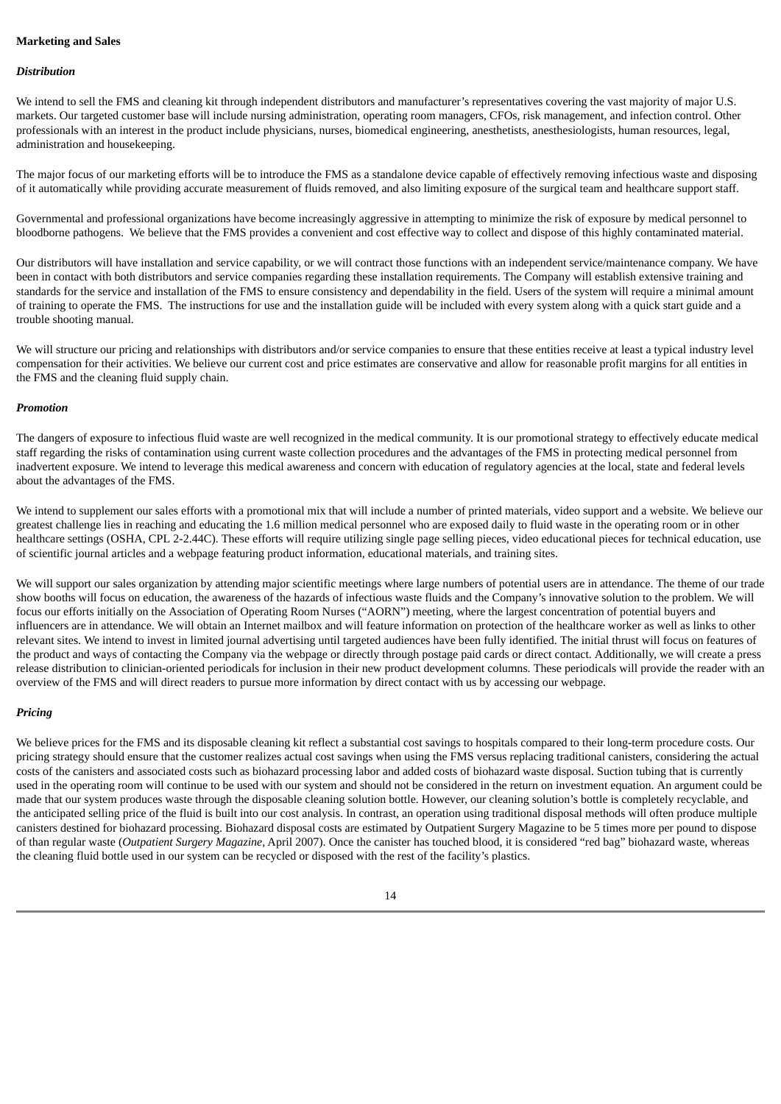### **Marketing and Sales**

#### *Distribution*

We intend to sell the FMS and cleaning kit through independent distributors and manufacturer's representatives covering the vast majority of major U.S. markets. Our targeted customer base will include nursing administration, operating room managers, CFOs, risk management, and infection control. Other professionals with an interest in the product include physicians, nurses, biomedical engineering, anesthetists, anesthesiologists, human resources, legal, administration and housekeeping.

The major focus of our marketing efforts will be to introduce the FMS as a standalone device capable of effectively removing infectious waste and disposing of it automatically while providing accurate measurement of fluids removed, and also limiting exposure of the surgical team and healthcare support staff.

Governmental and professional organizations have become increasingly aggressive in attempting to minimize the risk of exposure by medical personnel to bloodborne pathogens. We believe that the FMS provides a convenient and cost effective way to collect and dispose of this highly contaminated material.

Our distributors will have installation and service capability, or we will contract those functions with an independent service/maintenance company. We have been in contact with both distributors and service companies regarding these installation requirements. The Company will establish extensive training and standards for the service and installation of the FMS to ensure consistency and dependability in the field. Users of the system will require a minimal amount of training to operate the FMS. The instructions for use and the installation guide will be included with every system along with a quick start guide and a trouble shooting manual.

We will structure our pricing and relationships with distributors and/or service companies to ensure that these entities receive at least a typical industry level compensation for their activities. We believe our current cost and price estimates are conservative and allow for reasonable profit margins for all entities in the FMS and the cleaning fluid supply chain.

#### *Promotion*

The dangers of exposure to infectious fluid waste are well recognized in the medical community. It is our promotional strategy to effectively educate medical staff regarding the risks of contamination using current waste collection procedures and the advantages of the FMS in protecting medical personnel from inadvertent exposure. We intend to leverage this medical awareness and concern with education of regulatory agencies at the local, state and federal levels about the advantages of the FMS.

We intend to supplement our sales efforts with a promotional mix that will include a number of printed materials, video support and a website. We believe our greatest challenge lies in reaching and educating the 1.6 million medical personnel who are exposed daily to fluid waste in the operating room or in other healthcare settings (OSHA, CPL 2-2.44C). These efforts will require utilizing single page selling pieces, video educational pieces for technical education, use of scientific journal articles and a webpage featuring product information, educational materials, and training sites.

We will support our sales organization by attending major scientific meetings where large numbers of potential users are in attendance. The theme of our trade show booths will focus on education, the awareness of the hazards of infectious waste fluids and the Company's innovative solution to the problem. We will focus our efforts initially on the Association of Operating Room Nurses ("AORN") meeting, where the largest concentration of potential buyers and influencers are in attendance. We will obtain an Internet mailbox and will feature information on protection of the healthcare worker as well as links to other relevant sites. We intend to invest in limited journal advertising until targeted audiences have been fully identified. The initial thrust will focus on features of the product and ways of contacting the Company via the webpage or directly through postage paid cards or direct contact. Additionally, we will create a press release distribution to clinician-oriented periodicals for inclusion in their new product development columns. These periodicals will provide the reader with an overview of the FMS and will direct readers to pursue more information by direct contact with us by accessing our webpage.

#### *Pricing*

We believe prices for the FMS and its disposable cleaning kit reflect a substantial cost savings to hospitals compared to their long-term procedure costs. Our pricing strategy should ensure that the customer realizes actual cost savings when using the FMS versus replacing traditional canisters, considering the actual costs of the canisters and associated costs such as biohazard processing labor and added costs of biohazard waste disposal. Suction tubing that is currently used in the operating room will continue to be used with our system and should not be considered in the return on investment equation. An argument could be made that our system produces waste through the disposable cleaning solution bottle. However, our cleaning solution's bottle is completely recyclable, and the anticipated selling price of the fluid is built into our cost analysis. In contrast, an operation using traditional disposal methods will often produce multiple canisters destined for biohazard processing. Biohazard disposal costs are estimated by Outpatient Surgery Magazine to be 5 times more per pound to dispose of than regular waste (*Outpatient Surgery Magazine*, April 2007). Once the canister has touched blood, it is considered "red bag" biohazard waste, whereas the cleaning fluid bottle used in our system can be recycled or disposed with the rest of the facility's plastics.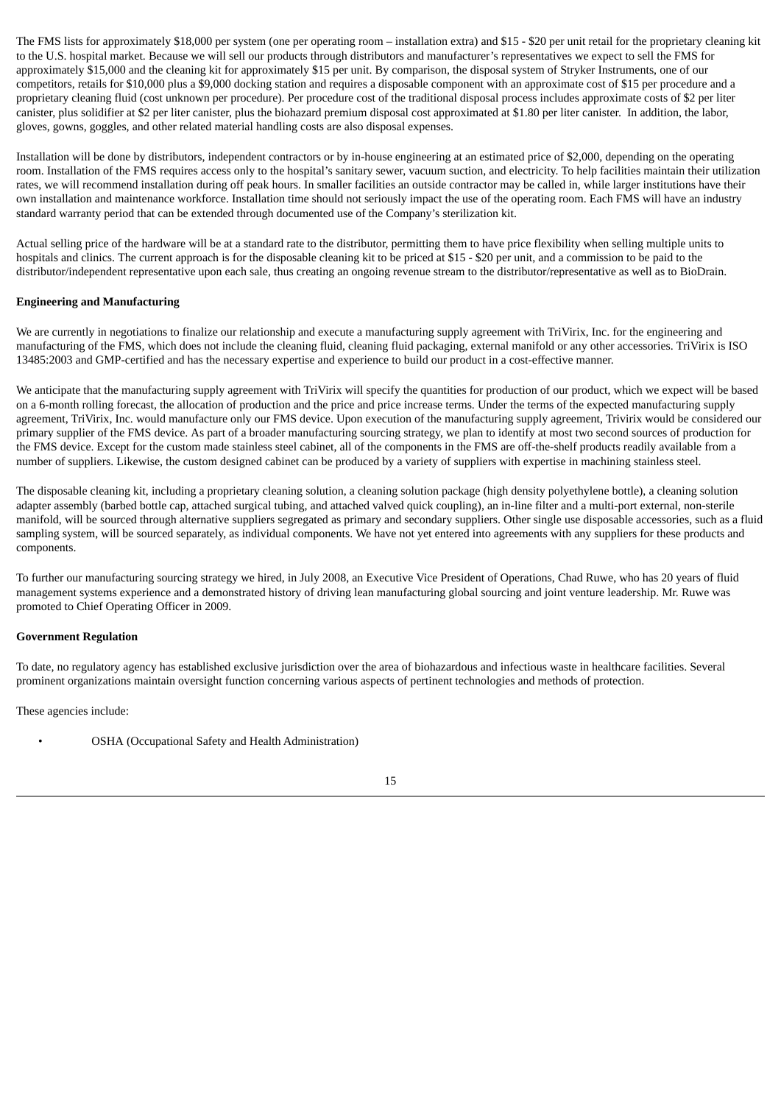The FMS lists for approximately \$18,000 per system (one per operating room – installation extra) and \$15 - \$20 per unit retail for the proprietary cleaning kit to the U.S. hospital market. Because we will sell our products through distributors and manufacturer's representatives we expect to sell the FMS for approximately \$15,000 and the cleaning kit for approximately \$15 per unit. By comparison, the disposal system of Stryker Instruments, one of our competitors, retails for \$10,000 plus a \$9,000 docking station and requires a disposable component with an approximate cost of \$15 per procedure and a proprietary cleaning fluid (cost unknown per procedure). Per procedure cost of the traditional disposal process includes approximate costs of \$2 per liter canister, plus solidifier at \$2 per liter canister, plus the biohazard premium disposal cost approximated at \$1.80 per liter canister. In addition, the labor, gloves, gowns, goggles, and other related material handling costs are also disposal expenses.

Installation will be done by distributors, independent contractors or by in-house engineering at an estimated price of \$2,000, depending on the operating room. Installation of the FMS requires access only to the hospital's sanitary sewer, vacuum suction, and electricity. To help facilities maintain their utilization rates, we will recommend installation during off peak hours. In smaller facilities an outside contractor may be called in, while larger institutions have their own installation and maintenance workforce. Installation time should not seriously impact the use of the operating room. Each FMS will have an industry standard warranty period that can be extended through documented use of the Company's sterilization kit.

Actual selling price of the hardware will be at a standard rate to the distributor, permitting them to have price flexibility when selling multiple units to hospitals and clinics. The current approach is for the disposable cleaning kit to be priced at \$15 - \$20 per unit, and a commission to be paid to the distributor/independent representative upon each sale, thus creating an ongoing revenue stream to the distributor/representative as well as to BioDrain.

# **Engineering and Manufacturing**

We are currently in negotiations to finalize our relationship and execute a manufacturing supply agreement with TriVirix, Inc. for the engineering and manufacturing of the FMS, which does not include the cleaning fluid, cleaning fluid packaging, external manifold or any other accessories. TriVirix is ISO 13485:2003 and GMP-certified and has the necessary expertise and experience to build our product in a cost-effective manner.

We anticipate that the manufacturing supply agreement with TriVirix will specify the quantities for production of our product, which we expect will be based on a 6-month rolling forecast, the allocation of production and the price and price increase terms. Under the terms of the expected manufacturing supply agreement, TriVirix, Inc. would manufacture only our FMS device. Upon execution of the manufacturing supply agreement, Trivirix would be considered our primary supplier of the FMS device. As part of a broader manufacturing sourcing strategy, we plan to identify at most two second sources of production for the FMS device. Except for the custom made stainless steel cabinet, all of the components in the FMS are off-the-shelf products readily available from a number of suppliers. Likewise, the custom designed cabinet can be produced by a variety of suppliers with expertise in machining stainless steel.

The disposable cleaning kit, including a proprietary cleaning solution, a cleaning solution package (high density polyethylene bottle), a cleaning solution adapter assembly (barbed bottle cap, attached surgical tubing, and attached valved quick coupling), an in-line filter and a multi-port external, non-sterile manifold, will be sourced through alternative suppliers segregated as primary and secondary suppliers. Other single use disposable accessories, such as a fluid sampling system, will be sourced separately, as individual components. We have not yet entered into agreements with any suppliers for these products and components.

To further our manufacturing sourcing strategy we hired, in July 2008, an Executive Vice President of Operations, Chad Ruwe, who has 20 years of fluid management systems experience and a demonstrated history of driving lean manufacturing global sourcing and joint venture leadership. Mr. Ruwe was promoted to Chief Operating Officer in 2009.

### **Government Regulation**

To date, no regulatory agency has established exclusive jurisdiction over the area of biohazardous and infectious waste in healthcare facilities. Several prominent organizations maintain oversight function concerning various aspects of pertinent technologies and methods of protection.

These agencies include:

• OSHA (Occupational Safety and Health Administration)

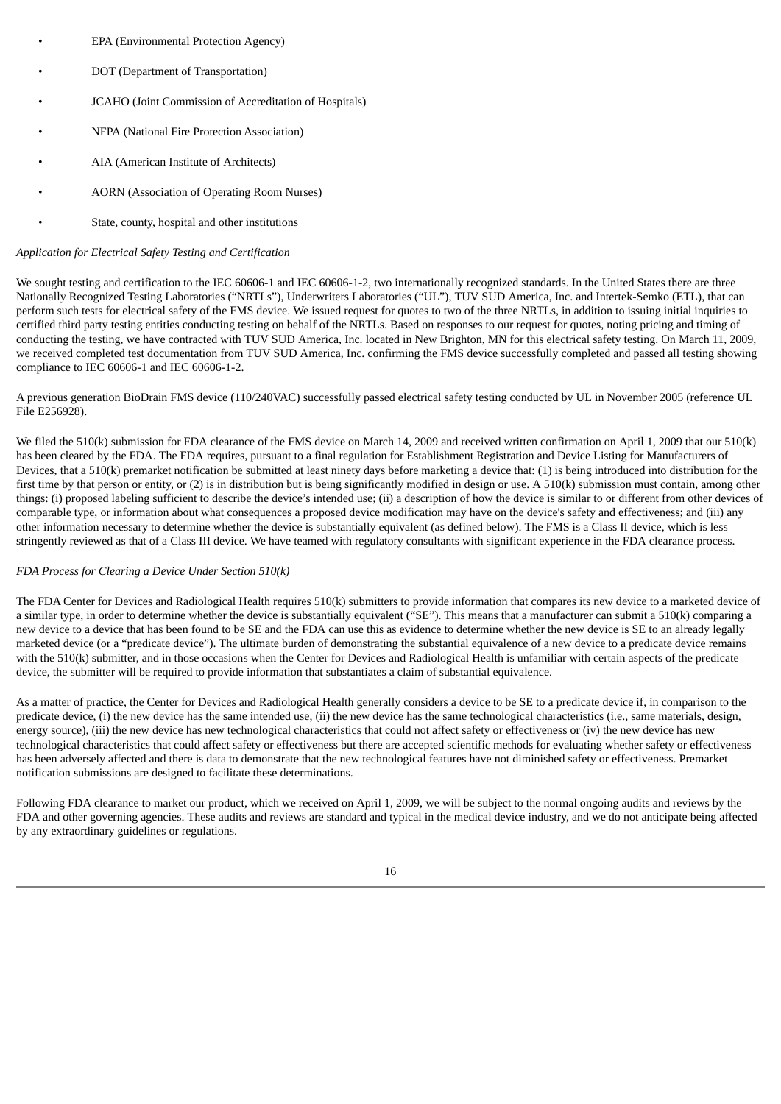- EPA (Environmental Protection Agency)
- DOT (Department of Transportation)
- JCAHO (Joint Commission of Accreditation of Hospitals)
- NFPA (National Fire Protection Association)
- AIA (American Institute of Architects)
- AORN (Association of Operating Room Nurses)
- State, county, hospital and other institutions

### *Application for Electrical Safety Testing and Certification*

We sought testing and certification to the IEC 60606-1 and IEC 60606-1-2, two internationally recognized standards. In the United States there are three Nationally Recognized Testing Laboratories ("NRTLs"), Underwriters Laboratories ("UL"), TUV SUD America, Inc. and Intertek-Semko (ETL), that can perform such tests for electrical safety of the FMS device. We issued request for quotes to two of the three NRTLs, in addition to issuing initial inquiries to certified third party testing entities conducting testing on behalf of the NRTLs. Based on responses to our request for quotes, noting pricing and timing of conducting the testing, we have contracted with TUV SUD America, Inc. located in New Brighton, MN for this electrical safety testing. On March 11, 2009, we received completed test documentation from TUV SUD America, Inc. confirming the FMS device successfully completed and passed all testing showing compliance to IEC 60606-1 and IEC 60606-1-2.

A previous generation BioDrain FMS device (110/240VAC) successfully passed electrical safety testing conducted by UL in November 2005 (reference UL File E256928).

We filed the 510(k) submission for FDA clearance of the FMS device on March 14, 2009 and received written confirmation on April 1, 2009 that our 510(k) has been cleared by the FDA. The FDA requires, pursuant to a final regulation for Establishment Registration and Device Listing for Manufacturers of Devices, that a 510(k) premarket notification be submitted at least ninety days before marketing a device that: (1) is being introduced into distribution for the first time by that person or entity, or (2) is in distribution but is being significantly modified in design or use. A 510(k) submission must contain, among other things: (i) proposed labeling sufficient to describe the device's intended use; (ii) a description of how the device is similar to or different from other devices of comparable type, or information about what consequences a proposed device modification may have on the device's safety and effectiveness; and (iii) any other information necessary to determine whether the device is substantially equivalent (as defined below). The FMS is a Class II device, which is less stringently reviewed as that of a Class III device. We have teamed with regulatory consultants with significant experience in the FDA clearance process.

### *FDA Process for Clearing a Device Under Section 510(k)*

The FDA Center for Devices and Radiological Health requires 510(k) submitters to provide information that compares its new device to a marketed device of a similar type, in order to determine whether the device is substantially equivalent ("SE"). This means that a manufacturer can submit a 510(k) comparing a new device to a device that has been found to be SE and the FDA can use this as evidence to determine whether the new device is SE to an already legally marketed device (or a "predicate device"). The ultimate burden of demonstrating the substantial equivalence of a new device to a predicate device remains with the 510(k) submitter, and in those occasions when the Center for Devices and Radiological Health is unfamiliar with certain aspects of the predicate device, the submitter will be required to provide information that substantiates a claim of substantial equivalence.

As a matter of practice, the Center for Devices and Radiological Health generally considers a device to be SE to a predicate device if, in comparison to the predicate device, (i) the new device has the same intended use, (ii) the new device has the same technological characteristics (i.e., same materials, design, energy source), (iii) the new device has new technological characteristics that could not affect safety or effectiveness or (iv) the new device has new technological characteristics that could affect safety or effectiveness but there are accepted scientific methods for evaluating whether safety or effectiveness has been adversely affected and there is data to demonstrate that the new technological features have not diminished safety or effectiveness. Premarket notification submissions are designed to facilitate these determinations.

Following FDA clearance to market our product, which we received on April 1, 2009, we will be subject to the normal ongoing audits and reviews by the FDA and other governing agencies. These audits and reviews are standard and typical in the medical device industry, and we do not anticipate being affected by any extraordinary guidelines or regulations.

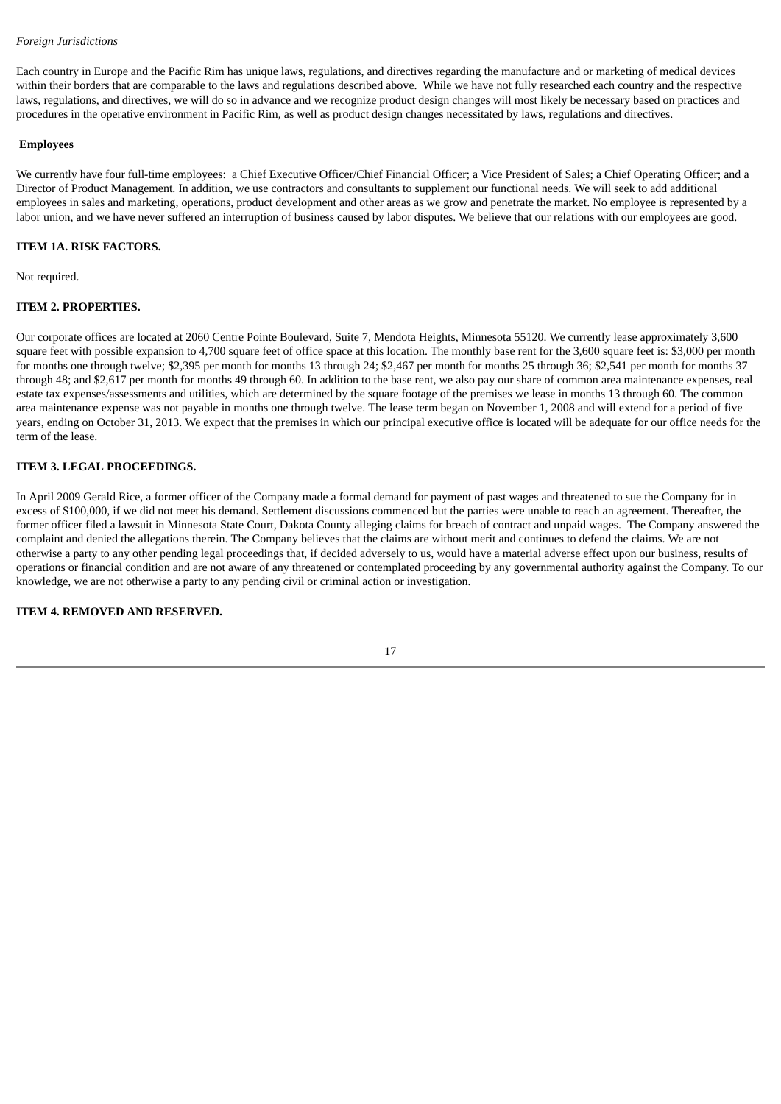### *Foreign Jurisdictions*

Each country in Europe and the Pacific Rim has unique laws, regulations, and directives regarding the manufacture and or marketing of medical devices within their borders that are comparable to the laws and regulations described above. While we have not fully researched each country and the respective laws, regulations, and directives, we will do so in advance and we recognize product design changes will most likely be necessary based on practices and procedures in the operative environment in Pacific Rim, as well as product design changes necessitated by laws, regulations and directives.

### **Employees**

We currently have four full-time employees: a Chief Executive Officer/Chief Financial Officer; a Vice President of Sales; a Chief Operating Officer; and a Director of Product Management. In addition, we use contractors and consultants to supplement our functional needs. We will seek to add additional employees in sales and marketing, operations, product development and other areas as we grow and penetrate the market. No employee is represented by a labor union, and we have never suffered an interruption of business caused by labor disputes. We believe that our relations with our employees are good.

### **ITEM 1A. RISK FACTORS.**

Not required.

### **ITEM 2. PROPERTIES.**

Our corporate offices are located at 2060 Centre Pointe Boulevard, Suite 7, Mendota Heights, Minnesota 55120. We currently lease approximately 3,600 square feet with possible expansion to 4,700 square feet of office space at this location. The monthly base rent for the 3,600 square feet is: \$3,000 per month for months one through twelve; \$2,395 per month for months 13 through 24; \$2,467 per month for months 25 through 36; \$2,541 per month for months 37 through 48; and \$2,617 per month for months 49 through 60. In addition to the base rent, we also pay our share of common area maintenance expenses, real estate tax expenses/assessments and utilities, which are determined by the square footage of the premises we lease in months 13 through 60. The common area maintenance expense was not payable in months one through twelve. The lease term began on November 1, 2008 and will extend for a period of five years, ending on October 31, 2013. We expect that the premises in which our principal executive office is located will be adequate for our office needs for the term of the lease.

### **ITEM 3. LEGAL PROCEEDINGS.**

In April 2009 Gerald Rice, a former officer of the Company made a formal demand for payment of past wages and threatened to sue the Company for in excess of \$100,000, if we did not meet his demand. Settlement discussions commenced but the parties were unable to reach an agreement. Thereafter, the former officer filed a lawsuit in Minnesota State Court, Dakota County alleging claims for breach of contract and unpaid wages. The Company answered the complaint and denied the allegations therein. The Company believes that the claims are without merit and continues to defend the claims. We are not otherwise a party to any other pending legal proceedings that, if decided adversely to us, would have a material adverse effect upon our business, results of operations or financial condition and are not aware of any threatened or contemplated proceeding by any governmental authority against the Company. To our knowledge, we are not otherwise a party to any pending civil or criminal action or investigation.

# **ITEM 4. REMOVED AND RESERVED.**

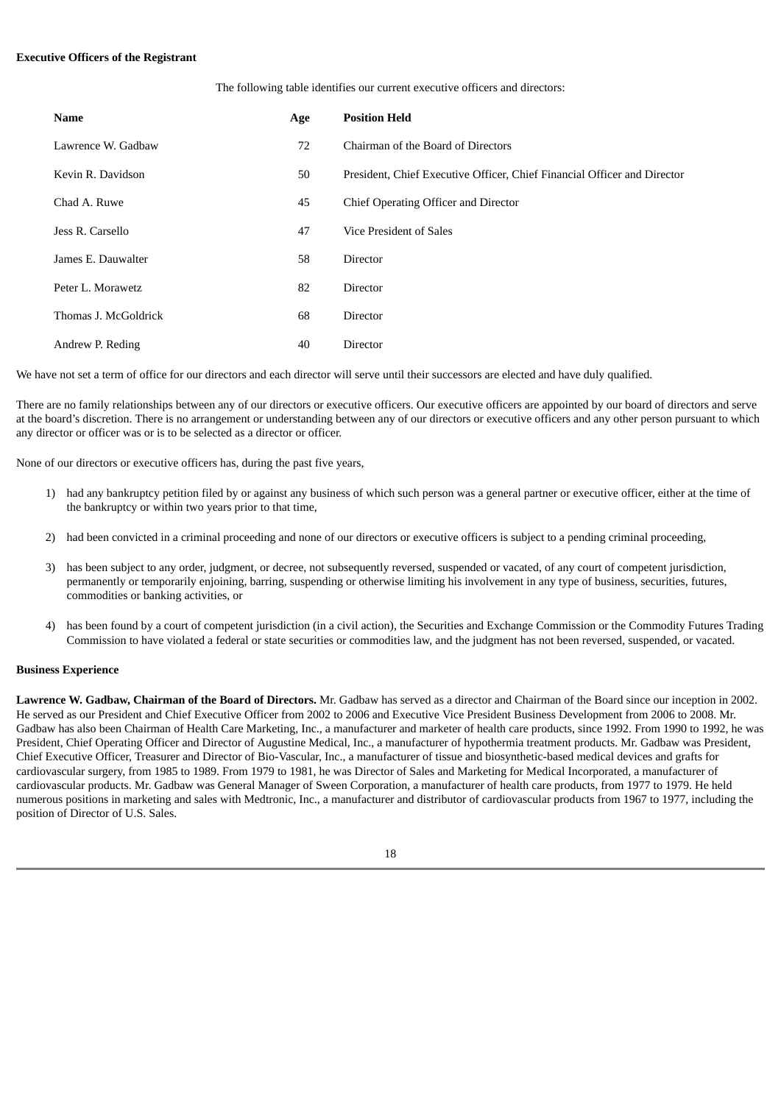#### **Executive Officers of the Registrant**

The following table identifies our current executive officers and directors:

| Name                 | Age | <b>Position Held</b>                                                     |
|----------------------|-----|--------------------------------------------------------------------------|
| Lawrence W. Gadbaw   | 72  | Chairman of the Board of Directors                                       |
| Kevin R. Davidson    | 50  | President, Chief Executive Officer, Chief Financial Officer and Director |
| Chad A. Ruwe         | 45  | Chief Operating Officer and Director                                     |
| Jess R. Carsello     | 47  | Vice President of Sales                                                  |
| James E. Dauwalter   | 58  | <b>Director</b>                                                          |
| Peter L. Morawetz    | 82  | Director                                                                 |
| Thomas J. McGoldrick | 68  | <b>Director</b>                                                          |
| Andrew P. Reding     | 40  | Director                                                                 |

We have not set a term of office for our directors and each director will serve until their successors are elected and have duly qualified.

There are no family relationships between any of our directors or executive officers. Our executive officers are appointed by our board of directors and serve at the board's discretion. There is no arrangement or understanding between any of our directors or executive officers and any other person pursuant to which any director or officer was or is to be selected as a director or officer.

None of our directors or executive officers has, during the past five years,

- 1) had any bankruptcy petition filed by or against any business of which such person was a general partner or executive officer, either at the time of the bankruptcy or within two years prior to that time,
- 2) had been convicted in a criminal proceeding and none of our directors or executive officers is subject to a pending criminal proceeding,
- 3) has been subject to any order, judgment, or decree, not subsequently reversed, suspended or vacated, of any court of competent jurisdiction, permanently or temporarily enjoining, barring, suspending or otherwise limiting his involvement in any type of business, securities, futures, commodities or banking activities, or
- 4) has been found by a court of competent jurisdiction (in a civil action), the Securities and Exchange Commission or the Commodity Futures Trading Commission to have violated a federal or state securities or commodities law, and the judgment has not been reversed, suspended, or vacated.

### **Business Experience**

**Lawrence W. Gadbaw, Chairman of the Board of Directors.** Mr. Gadbaw has served as a director and Chairman of the Board since our inception in 2002. He served as our President and Chief Executive Officer from 2002 to 2006 and Executive Vice President Business Development from 2006 to 2008. Mr. Gadbaw has also been Chairman of Health Care Marketing, Inc., a manufacturer and marketer of health care products, since 1992. From 1990 to 1992, he was President, Chief Operating Officer and Director of Augustine Medical, Inc., a manufacturer of hypothermia treatment products. Mr. Gadbaw was President, Chief Executive Officer, Treasurer and Director of Bio-Vascular, Inc., a manufacturer of tissue and biosynthetic-based medical devices and grafts for cardiovascular surgery, from 1985 to 1989. From 1979 to 1981, he was Director of Sales and Marketing for Medical Incorporated, a manufacturer of cardiovascular products. Mr. Gadbaw was General Manager of Sween Corporation, a manufacturer of health care products, from 1977 to 1979. He held numerous positions in marketing and sales with Medtronic, Inc., a manufacturer and distributor of cardiovascular products from 1967 to 1977, including the position of Director of U.S. Sales.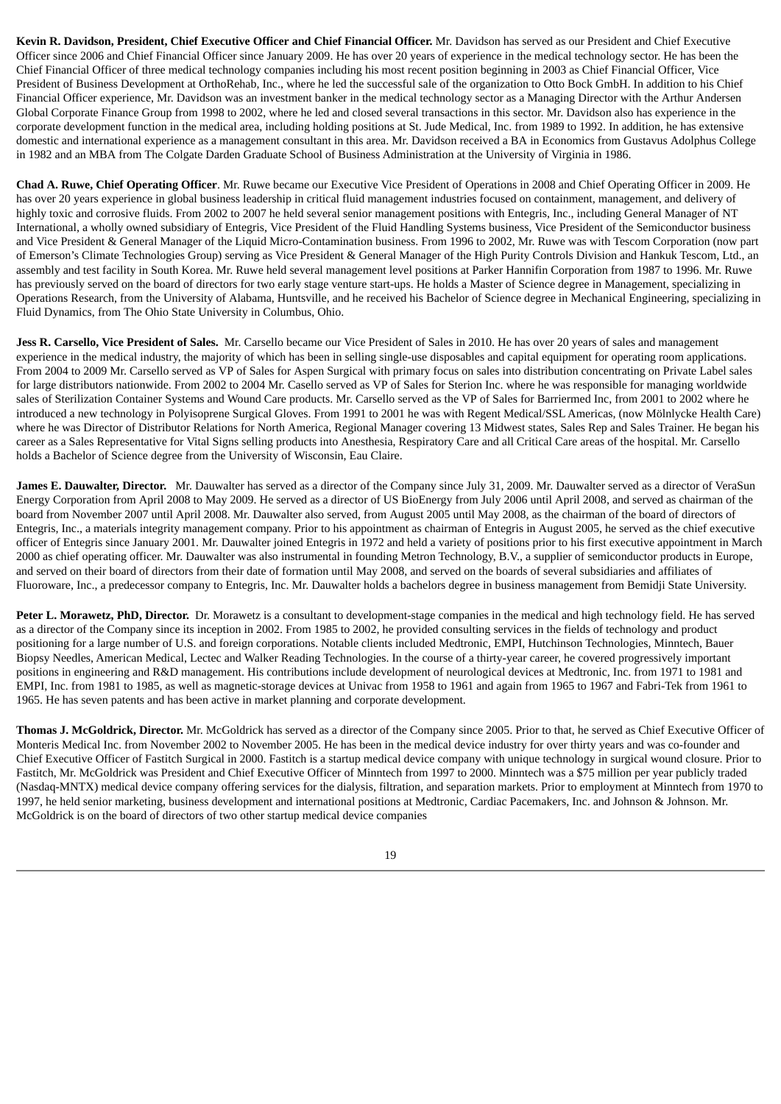**Kevin R. Davidson, President, Chief Executive Officer and Chief Financial Officer.** Mr. Davidson has served as our President and Chief Executive Officer since 2006 and Chief Financial Officer since January 2009. He has over 20 years of experience in the medical technology sector. He has been the Chief Financial Officer of three medical technology companies including his most recent position beginning in 2003 as Chief Financial Officer, Vice President of Business Development at OrthoRehab, Inc., where he led the successful sale of the organization to Otto Bock GmbH. In addition to his Chief Financial Officer experience, Mr. Davidson was an investment banker in the medical technology sector as a Managing Director with the Arthur Andersen Global Corporate Finance Group from 1998 to 2002, where he led and closed several transactions in this sector. Mr. Davidson also has experience in the corporate development function in the medical area, including holding positions at St. Jude Medical, Inc. from 1989 to 1992. In addition, he has extensive domestic and international experience as a management consultant in this area. Mr. Davidson received a BA in Economics from Gustavus Adolphus College in 1982 and an MBA from The Colgate Darden Graduate School of Business Administration at the University of Virginia in 1986.

**Chad A. Ruwe, Chief Operating Officer**. Mr. Ruwe became our Executive Vice President of Operations in 2008 and Chief Operating Officer in 2009. He has over 20 years experience in global business leadership in critical fluid management industries focused on containment, management, and delivery of highly toxic and corrosive fluids. From 2002 to 2007 he held several senior management positions with Entegris, Inc., including General Manager of NT International, a wholly owned subsidiary of Entegris, Vice President of the Fluid Handling Systems business, Vice President of the Semiconductor business and Vice President & General Manager of the Liquid Micro-Contamination business. From 1996 to 2002, Mr. Ruwe was with Tescom Corporation (now part of Emerson's Climate Technologies Group) serving as Vice President & General Manager of the High Purity Controls Division and Hankuk Tescom, Ltd., an assembly and test facility in South Korea. Mr. Ruwe held several management level positions at Parker Hannifin Corporation from 1987 to 1996. Mr. Ruwe has previously served on the board of directors for two early stage venture start-ups. He holds a Master of Science degree in Management, specializing in Operations Research, from the University of Alabama, Huntsville, and he received his Bachelor of Science degree in Mechanical Engineering, specializing in Fluid Dynamics, from The Ohio State University in Columbus, Ohio.

**Jess R. Carsello, Vice President of Sales.** Mr. Carsello became our Vice President of Sales in 2010. He has over 20 years of sales and management experience in the medical industry, the majority of which has been in selling single-use disposables and capital equipment for operating room applications. From 2004 to 2009 Mr. Carsello served as VP of Sales for Aspen Surgical with primary focus on sales into distribution concentrating on Private Label sales for large distributors nationwide. From 2002 to 2004 Mr. Casello served as VP of Sales for Sterion Inc. where he was responsible for managing worldwide sales of Sterilization Container Systems and Wound Care products. Mr. Carsello served as the VP of Sales for Barriermed Inc, from 2001 to 2002 where he introduced a new technology in Polyisoprene Surgical Gloves. From 1991 to 2001 he was with Regent Medical/SSL Americas, (now Mölnlycke Health Care) where he was Director of Distributor Relations for North America, Regional Manager covering 13 Midwest states, Sales Rep and Sales Trainer. He began his career as a Sales Representative for Vital Signs selling products into Anesthesia, Respiratory Care and all Critical Care areas of the hospital. Mr. Carsello holds a Bachelor of Science degree from the University of Wisconsin, Eau Claire.

**James E. Dauwalter, Director.** Mr. Dauwalter has served as a director of the Company since July 31, 2009. Mr. Dauwalter served as a director of VeraSun Energy Corporation from April 2008 to May 2009. He served as a director of US BioEnergy from July 2006 until April 2008, and served as chairman of the board from November 2007 until April 2008. Mr. Dauwalter also served, from August 2005 until May 2008, as the chairman of the board of directors of Entegris, Inc., a materials integrity management company. Prior to his appointment as chairman of Entegris in August 2005, he served as the chief executive officer of Entegris since January 2001. Mr. Dauwalter joined Entegris in 1972 and held a variety of positions prior to his first executive appointment in March 2000 as chief operating officer. Mr. Dauwalter was also instrumental in founding Metron Technology, B.V., a supplier of semiconductor products in Europe, and served on their board of directors from their date of formation until May 2008, and served on the boards of several subsidiaries and affiliates of Fluoroware, Inc., a predecessor company to Entegris, Inc. Mr. Dauwalter holds a bachelors degree in business management from Bemidji State University.

**Peter L. Morawetz, PhD, Director.** Dr. Morawetz is a consultant to development-stage companies in the medical and high technology field. He has served as a director of the Company since its inception in 2002. From 1985 to 2002, he provided consulting services in the fields of technology and product positioning for a large number of U.S. and foreign corporations. Notable clients included Medtronic, EMPI, Hutchinson Technologies, Minntech, Bauer Biopsy Needles, American Medical, Lectec and Walker Reading Technologies. In the course of a thirty-year career, he covered progressively important positions in engineering and R&D management. His contributions include development of neurological devices at Medtronic, Inc. from 1971 to 1981 and EMPI, Inc. from 1981 to 1985, as well as magnetic-storage devices at Univac from 1958 to 1961 and again from 1965 to 1967 and Fabri-Tek from 1961 to 1965. He has seven patents and has been active in market planning and corporate development.

**Thomas J. McGoldrick, Director.** Mr. McGoldrick has served as a director of the Company since 2005. Prior to that, he served as Chief Executive Officer of Monteris Medical Inc. from November 2002 to November 2005. He has been in the medical device industry for over thirty years and was co-founder and Chief Executive Officer of Fastitch Surgical in 2000. Fastitch is a startup medical device company with unique technology in surgical wound closure. Prior to Fastitch, Mr. McGoldrick was President and Chief Executive Officer of Minntech from 1997 to 2000. Minntech was a \$75 million per year publicly traded (Nasdaq-MNTX) medical device company offering services for the dialysis, filtration, and separation markets. Prior to employment at Minntech from 1970 to 1997, he held senior marketing, business development and international positions at Medtronic, Cardiac Pacemakers, Inc. and Johnson & Johnson. Mr. McGoldrick is on the board of directors of two other startup medical device companies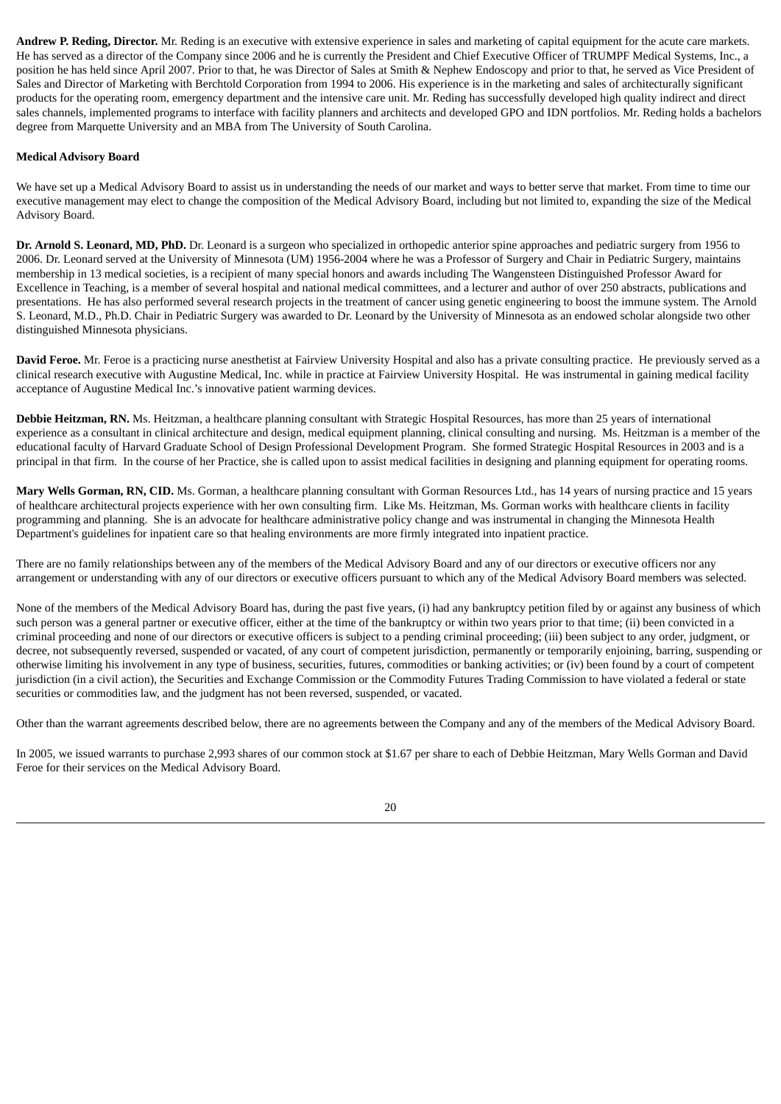**Andrew P. Reding, Director.** Mr. Reding is an executive with extensive experience in sales and marketing of capital equipment for the acute care markets. He has served as a director of the Company since 2006 and he is currently the President and Chief Executive Officer of TRUMPF Medical Systems, Inc., a position he has held since April 2007. Prior to that, he was Director of Sales at Smith & Nephew Endoscopy and prior to that, he served as Vice President of Sales and Director of Marketing with Berchtold Corporation from 1994 to 2006. His experience is in the marketing and sales of architecturally significant products for the operating room, emergency department and the intensive care unit. Mr. Reding has successfully developed high quality indirect and direct sales channels, implemented programs to interface with facility planners and architects and developed GPO and IDN portfolios. Mr. Reding holds a bachelors degree from Marquette University and an MBA from The University of South Carolina.

### **Medical Advisory Board**

We have set up a Medical Advisory Board to assist us in understanding the needs of our market and ways to better serve that market. From time to time our executive management may elect to change the composition of the Medical Advisory Board, including but not limited to, expanding the size of the Medical Advisory Board.

**Dr. Arnold S. Leonard, MD, PhD.** Dr. Leonard is a surgeon who specialized in orthopedic anterior spine approaches and pediatric surgery from 1956 to 2006. Dr. Leonard served at the University of Minnesota (UM) 1956-2004 where he was a Professor of Surgery and Chair in Pediatric Surgery, maintains membership in 13 medical societies, is a recipient of many special honors and awards including The Wangensteen Distinguished Professor Award for Excellence in Teaching, is a member of several hospital and national medical committees, and a lecturer and author of over 250 abstracts, publications and presentations. He has also performed several research projects in the treatment of cancer using genetic engineering to boost the immune system. The Arnold S. Leonard, M.D., Ph.D. Chair in Pediatric Surgery was awarded to Dr. Leonard by the University of Minnesota as an endowed scholar alongside two other distinguished Minnesota physicians.

**David Feroe.** Mr. Feroe is a practicing nurse anesthetist at Fairview University Hospital and also has a private consulting practice. He previously served as a clinical research executive with Augustine Medical, Inc. while in practice at Fairview University Hospital. He was instrumental in gaining medical facility acceptance of Augustine Medical Inc.'s innovative patient warming devices.

**Debbie Heitzman, RN.** Ms. Heitzman, a healthcare planning consultant with Strategic Hospital Resources, has more than 25 years of international experience as a consultant in clinical architecture and design, medical equipment planning, clinical consulting and nursing. Ms. Heitzman is a member of the educational faculty of Harvard Graduate School of Design Professional Development Program. She formed Strategic Hospital Resources in 2003 and is a principal in that firm. In the course of her Practice, she is called upon to assist medical facilities in designing and planning equipment for operating rooms.

**Mary Wells Gorman, RN, CID.** Ms. Gorman, a healthcare planning consultant with Gorman Resources Ltd., has 14 years of nursing practice and 15 years of healthcare architectural projects experience with her own consulting firm. Like Ms. Heitzman, Ms. Gorman works with healthcare clients in facility programming and planning. She is an advocate for healthcare administrative policy change and was instrumental in changing the Minnesota Health Department's guidelines for inpatient care so that healing environments are more firmly integrated into inpatient practice.

There are no family relationships between any of the members of the Medical Advisory Board and any of our directors or executive officers nor any arrangement or understanding with any of our directors or executive officers pursuant to which any of the Medical Advisory Board members was selected.

None of the members of the Medical Advisory Board has, during the past five years, (i) had any bankruptcy petition filed by or against any business of which such person was a general partner or executive officer, either at the time of the bankruptcy or within two years prior to that time; (ii) been convicted in a criminal proceeding and none of our directors or executive officers is subject to a pending criminal proceeding; (iii) been subject to any order, judgment, or decree, not subsequently reversed, suspended or vacated, of any court of competent jurisdiction, permanently or temporarily enjoining, barring, suspending or otherwise limiting his involvement in any type of business, securities, futures, commodities or banking activities; or (iv) been found by a court of competent jurisdiction (in a civil action), the Securities and Exchange Commission or the Commodity Futures Trading Commission to have violated a federal or state securities or commodities law, and the judgment has not been reversed, suspended, or vacated.

Other than the warrant agreements described below, there are no agreements between the Company and any of the members of the Medical Advisory Board.

In 2005, we issued warrants to purchase 2,993 shares of our common stock at \$1.67 per share to each of Debbie Heitzman, Mary Wells Gorman and David Feroe for their services on the Medical Advisory Board.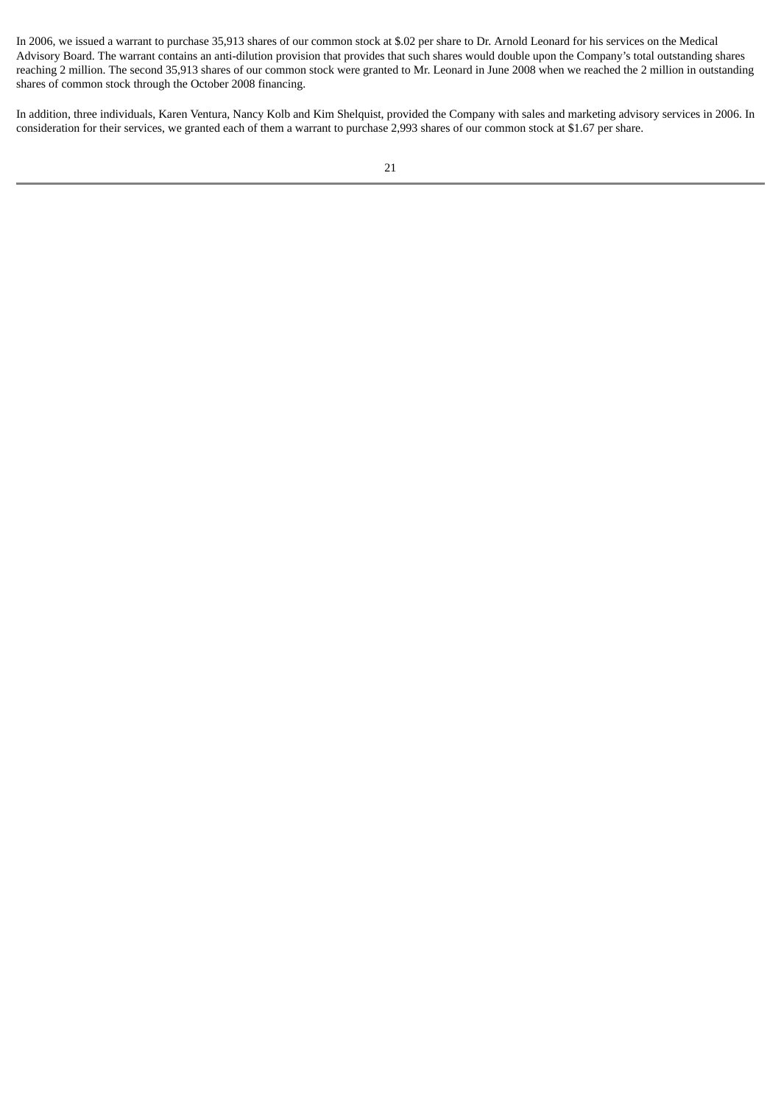In 2006, we issued a warrant to purchase 35,913 shares of our common stock at \$.02 per share to Dr. Arnold Leonard for his services on the Medical Advisory Board. The warrant contains an anti-dilution provision that provides that such shares would double upon the Company's total outstanding shares reaching 2 million. The second 35,913 shares of our common stock were granted to Mr. Leonard in June 2008 when we reached the 2 million in outstanding shares of common stock through the October 2008 financing.

In addition, three individuals, Karen Ventura, Nancy Kolb and Kim Shelquist, provided the Company with sales and marketing advisory services in 2006. In consideration for their services, we granted each of them a warrant to purchase 2,993 shares of our common stock at \$1.67 per share.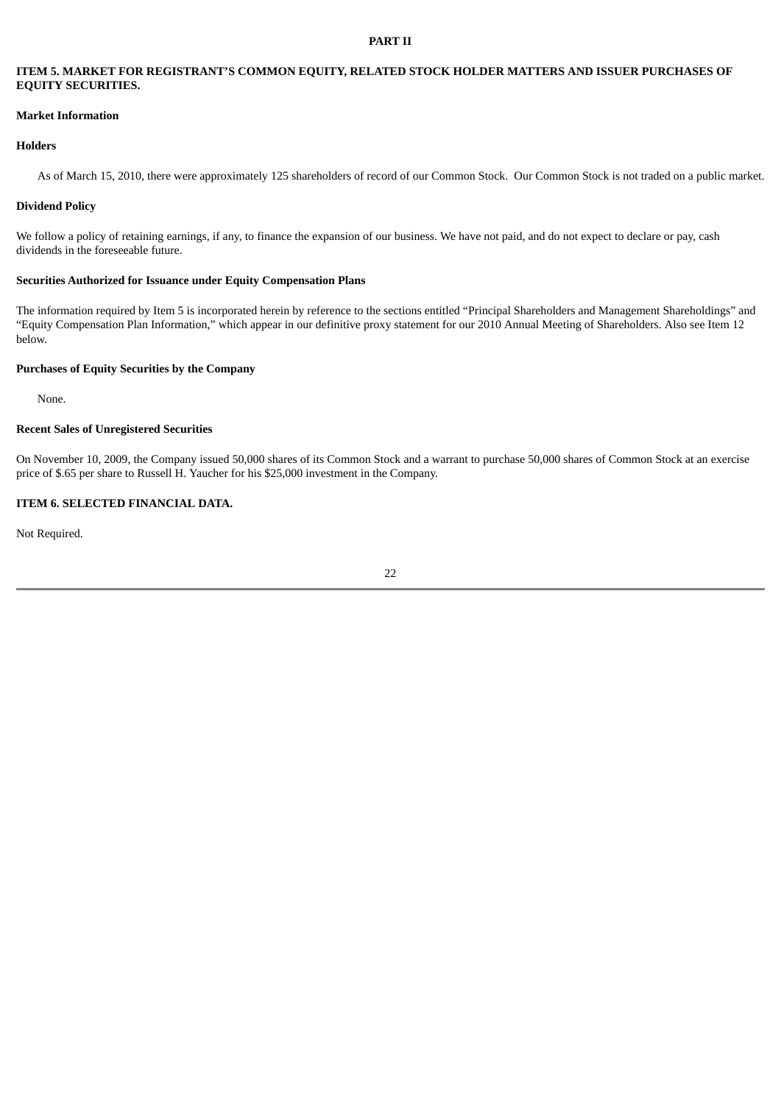### **PART II**

# **ITEM 5. MARKET FOR REGISTRANT'S COMMON EQUITY, RELATED STOCK HOLDER MATTERS AND ISSUER PURCHASES OF EQUITY SECURITIES.**

### **Market Information**

#### **Holders**

As of March 15, 2010, there were approximately 125 shareholders of record of our Common Stock. Our Common Stock is not traded on a public market.

### **Dividend Policy**

We follow a policy of retaining earnings, if any, to finance the expansion of our business. We have not paid, and do not expect to declare or pay, cash dividends in the foreseeable future.

# **Securities Authorized for Issuance under Equity Compensation Plans**

The information required by Item 5 is incorporated herein by reference to the sections entitled "Principal Shareholders and Management Shareholdings" and "Equity Compensation Plan Information," which appear in our definitive proxy statement for our 2010 Annual Meeting of Shareholders. Also see Item 12 below.

### **Purchases of Equity Securities by the Company**

None.

### **Recent Sales of Unregistered Securities**

On November 10, 2009, the Company issued 50,000 shares of its Common Stock and a warrant to purchase 50,000 shares of Common Stock at an exercise price of \$.65 per share to Russell H. Yaucher for his \$25,000 investment in the Company.

### **ITEM 6. SELECTED FINANCIAL DATA.**

Not Required.

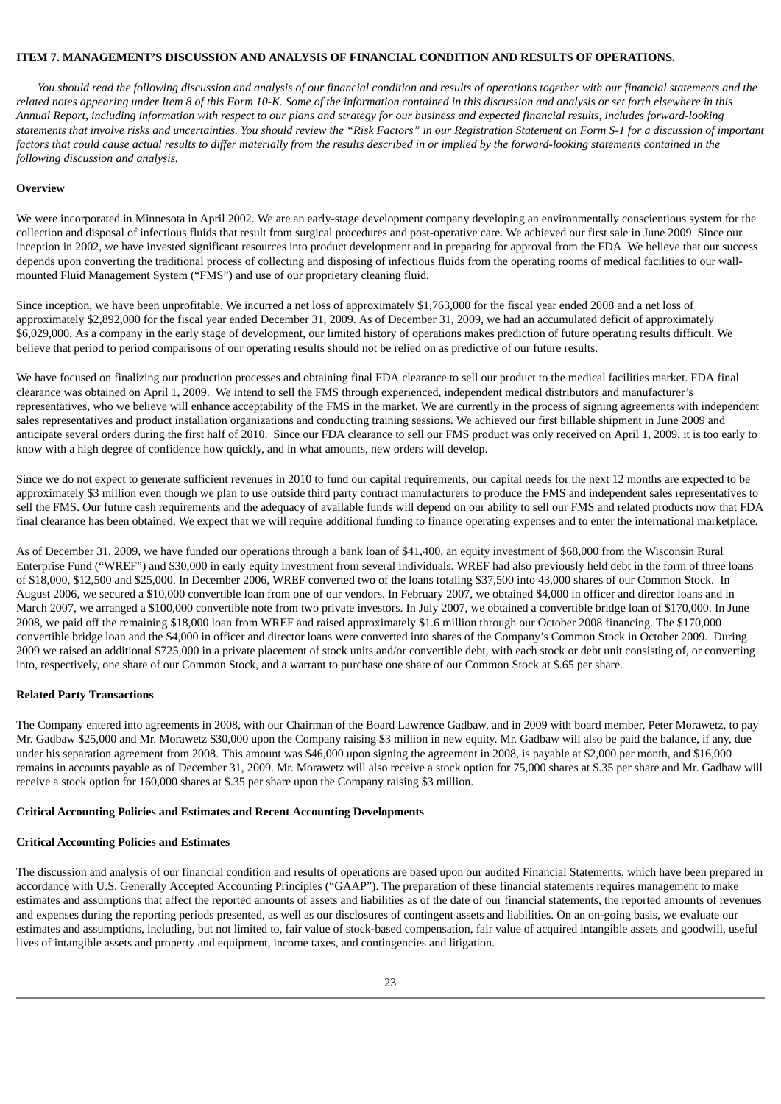### **ITEM 7. MANAGEMENT'S DISCUSSION AND ANALYSIS OF FINANCIAL CONDITION AND RESULTS OF OPERATIONS.**

You should read the following discussion and analysis of our financial condition and results of operations together with our financial statements and the related notes appearing under Item 8 of this Form 10-K. Some of the information contained in this discussion and analysis or set forth elsewhere in this Annual Report, including information with respect to our plans and strategy for our business and expected financial results, includes forward-looking statements that involve risks and uncertainties. You should review the "Risk Factors" in our Registration Statement on Form S-1 for a discussion of important factors that could cause actual results to differ materially from the results described in or implied by the forward-looking statements contained in the *following discussion and analysis.*

### **Overview**

We were incorporated in Minnesota in April 2002. We are an early-stage development company developing an environmentally conscientious system for the collection and disposal of infectious fluids that result from surgical procedures and post-operative care. We achieved our first sale in June 2009. Since our inception in 2002, we have invested significant resources into product development and in preparing for approval from the FDA. We believe that our success depends upon converting the traditional process of collecting and disposing of infectious fluids from the operating rooms of medical facilities to our wallmounted Fluid Management System ("FMS") and use of our proprietary cleaning fluid.

Since inception, we have been unprofitable. We incurred a net loss of approximately \$1,763,000 for the fiscal year ended 2008 and a net loss of approximately \$2,892,000 for the fiscal year ended December 31, 2009. As of December 31, 2009, we had an accumulated deficit of approximately \$6,029,000. As a company in the early stage of development, our limited history of operations makes prediction of future operating results difficult. We believe that period to period comparisons of our operating results should not be relied on as predictive of our future results.

We have focused on finalizing our production processes and obtaining final FDA clearance to sell our product to the medical facilities market. FDA final clearance was obtained on April 1, 2009. We intend to sell the FMS through experienced, independent medical distributors and manufacturer's representatives, who we believe will enhance acceptability of the FMS in the market. We are currently in the process of signing agreements with independent sales representatives and product installation organizations and conducting training sessions. We achieved our first billable shipment in June 2009 and anticipate several orders during the first half of 2010. Since our FDA clearance to sell our FMS product was only received on April 1, 2009, it is too early to know with a high degree of confidence how quickly, and in what amounts, new orders will develop.

Since we do not expect to generate sufficient revenues in 2010 to fund our capital requirements, our capital needs for the next 12 months are expected to be approximately \$3 million even though we plan to use outside third party contract manufacturers to produce the FMS and independent sales representatives to sell the FMS. Our future cash requirements and the adequacy of available funds will depend on our ability to sell our FMS and related products now that FDA final clearance has been obtained. We expect that we will require additional funding to finance operating expenses and to enter the international marketplace.

As of December 31, 2009, we have funded our operations through a bank loan of \$41,400, an equity investment of \$68,000 from the Wisconsin Rural Enterprise Fund ("WREF") and \$30,000 in early equity investment from several individuals. WREF had also previously held debt in the form of three loans of \$18,000, \$12,500 and \$25,000. In December 2006, WREF converted two of the loans totaling \$37,500 into 43,000 shares of our Common Stock. In August 2006, we secured a \$10,000 convertible loan from one of our vendors. In February 2007, we obtained \$4,000 in officer and director loans and in March 2007, we arranged a \$100,000 convertible note from two private investors. In July 2007, we obtained a convertible bridge loan of \$170,000. In June 2008, we paid off the remaining \$18,000 loan from WREF and raised approximately \$1.6 million through our October 2008 financing. The \$170,000 convertible bridge loan and the \$4,000 in officer and director loans were converted into shares of the Company's Common Stock in October 2009. During 2009 we raised an additional \$725,000 in a private placement of stock units and/or convertible debt, with each stock or debt unit consisting of, or converting into, respectively, one share of our Common Stock, and a warrant to purchase one share of our Common Stock at \$.65 per share.

### **Related Party Transactions**

The Company entered into agreements in 2008, with our Chairman of the Board Lawrence Gadbaw, and in 2009 with board member, Peter Morawetz, to pay Mr. Gadbaw \$25,000 and Mr. Morawetz \$30,000 upon the Company raising \$3 million in new equity. Mr. Gadbaw will also be paid the balance, if any, due under his separation agreement from 2008. This amount was \$46,000 upon signing the agreement in 2008, is payable at \$2,000 per month, and \$16,000 remains in accounts payable as of December 31, 2009. Mr. Morawetz will also receive a stock option for 75,000 shares at \$.35 per share and Mr. Gadbaw will receive a stock option for 160,000 shares at \$.35 per share upon the Company raising \$3 million.

### **Critical Accounting Policies and Estimates and Recent Accounting Developments**

### **Critical Accounting Policies and Estimates**

The discussion and analysis of our financial condition and results of operations are based upon our audited Financial Statements, which have been prepared in accordance with U.S. Generally Accepted Accounting Principles ("GAAP"). The preparation of these financial statements requires management to make estimates and assumptions that affect the reported amounts of assets and liabilities as of the date of our financial statements, the reported amounts of revenues and expenses during the reporting periods presented, as well as our disclosures of contingent assets and liabilities. On an on-going basis, we evaluate our estimates and assumptions, including, but not limited to, fair value of stock-based compensation, fair value of acquired intangible assets and goodwill, useful lives of intangible assets and property and equipment, income taxes, and contingencies and litigation.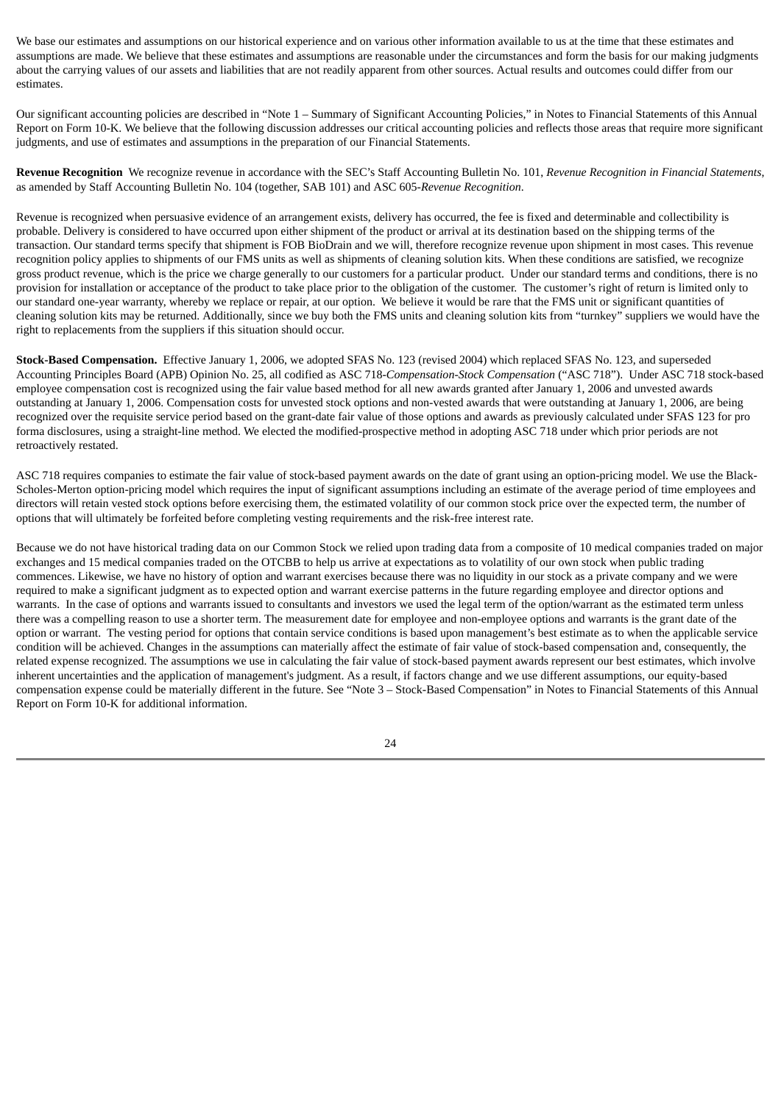We base our estimates and assumptions on our historical experience and on various other information available to us at the time that these estimates and assumptions are made. We believe that these estimates and assumptions are reasonable under the circumstances and form the basis for our making judgments about the carrying values of our assets and liabilities that are not readily apparent from other sources. Actual results and outcomes could differ from our estimates.

Our significant accounting policies are described in "Note 1 – Summary of Significant Accounting Policies," in Notes to Financial Statements of this Annual Report on Form 10-K. We believe that the following discussion addresses our critical accounting policies and reflects those areas that require more significant judgments, and use of estimates and assumptions in the preparation of our Financial Statements.

**Revenue Recognition** We recognize revenue in accordance with the SEC's Staff Accounting Bulletin No. 101, *Revenue Recognition in Financial Statements*, as amended by Staff Accounting Bulletin No. 104 (together, SAB 101) and ASC 605-*Revenue Recognition*.

Revenue is recognized when persuasive evidence of an arrangement exists, delivery has occurred, the fee is fixed and determinable and collectibility is probable. Delivery is considered to have occurred upon either shipment of the product or arrival at its destination based on the shipping terms of the transaction. Our standard terms specify that shipment is FOB BioDrain and we will, therefore recognize revenue upon shipment in most cases. This revenue recognition policy applies to shipments of our FMS units as well as shipments of cleaning solution kits. When these conditions are satisfied, we recognize gross product revenue, which is the price we charge generally to our customers for a particular product. Under our standard terms and conditions, there is no provision for installation or acceptance of the product to take place prior to the obligation of the customer. The customer's right of return is limited only to our standard one-year warranty, whereby we replace or repair, at our option. We believe it would be rare that the FMS unit or significant quantities of cleaning solution kits may be returned. Additionally, since we buy both the FMS units and cleaning solution kits from "turnkey" suppliers we would have the right to replacements from the suppliers if this situation should occur.

**Stock-Based Compensation.** Effective January 1, 2006, we adopted SFAS No. 123 (revised 2004) which replaced SFAS No. 123, and superseded Accounting Principles Board (APB) Opinion No. 25, all codified as ASC 718-*Compensation-Stock Compensation* ("ASC 718"). Under ASC 718 stock-based employee compensation cost is recognized using the fair value based method for all new awards granted after January 1, 2006 and unvested awards outstanding at January 1, 2006. Compensation costs for unvested stock options and non-vested awards that were outstanding at January 1, 2006, are being recognized over the requisite service period based on the grant-date fair value of those options and awards as previously calculated under SFAS 123 for pro forma disclosures, using a straight-line method. We elected the modified-prospective method in adopting ASC 718 under which prior periods are not retroactively restated.

ASC 718 requires companies to estimate the fair value of stock-based payment awards on the date of grant using an option-pricing model. We use the Black-Scholes-Merton option-pricing model which requires the input of significant assumptions including an estimate of the average period of time employees and directors will retain vested stock options before exercising them, the estimated volatility of our common stock price over the expected term, the number of options that will ultimately be forfeited before completing vesting requirements and the risk-free interest rate.

Because we do not have historical trading data on our Common Stock we relied upon trading data from a composite of 10 medical companies traded on major exchanges and 15 medical companies traded on the OTCBB to help us arrive at expectations as to volatility of our own stock when public trading commences. Likewise, we have no history of option and warrant exercises because there was no liquidity in our stock as a private company and we were required to make a significant judgment as to expected option and warrant exercise patterns in the future regarding employee and director options and warrants. In the case of options and warrants issued to consultants and investors we used the legal term of the option/warrant as the estimated term unless there was a compelling reason to use a shorter term. The measurement date for employee and non-employee options and warrants is the grant date of the option or warrant. The vesting period for options that contain service conditions is based upon management's best estimate as to when the applicable service condition will be achieved. Changes in the assumptions can materially affect the estimate of fair value of stock-based compensation and, consequently, the related expense recognized. The assumptions we use in calculating the fair value of stock-based payment awards represent our best estimates, which involve inherent uncertainties and the application of management's judgment. As a result, if factors change and we use different assumptions, our equity-based compensation expense could be materially different in the future. See "Note 3 – Stock-Based Compensation" in Notes to Financial Statements of this Annual Report on Form 10-K for additional information.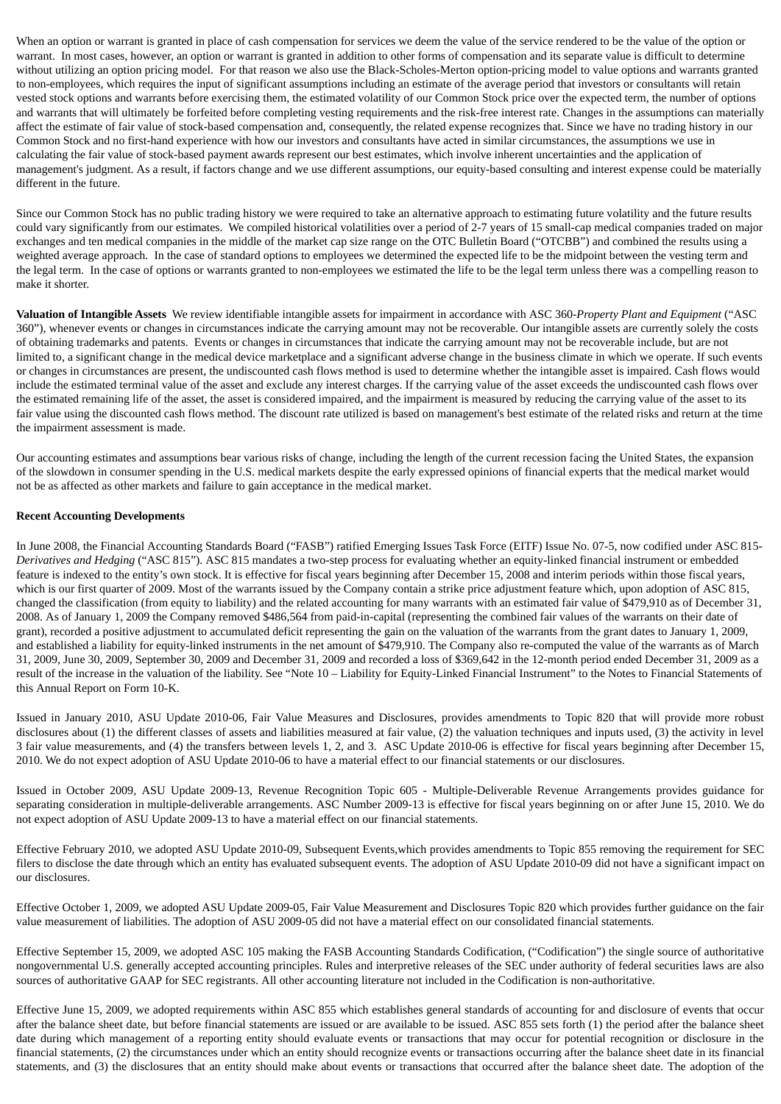When an option or warrant is granted in place of cash compensation for services we deem the value of the service rendered to be the value of the option or warrant. In most cases, however, an option or warrant is granted in addition to other forms of compensation and its separate value is difficult to determine without utilizing an option pricing model. For that reason we also use the Black-Scholes-Merton option-pricing model to value options and warrants granted to non-employees, which requires the input of significant assumptions including an estimate of the average period that investors or consultants will retain vested stock options and warrants before exercising them, the estimated volatility of our Common Stock price over the expected term, the number of options and warrants that will ultimately be forfeited before completing vesting requirements and the risk-free interest rate. Changes in the assumptions can materially affect the estimate of fair value of stock-based compensation and, consequently, the related expense recognizes that. Since we have no trading history in our Common Stock and no first-hand experience with how our investors and consultants have acted in similar circumstances, the assumptions we use in calculating the fair value of stock-based payment awards represent our best estimates, which involve inherent uncertainties and the application of management's judgment. As a result, if factors change and we use different assumptions, our equity-based consulting and interest expense could be materially different in the future.

Since our Common Stock has no public trading history we were required to take an alternative approach to estimating future volatility and the future results could vary significantly from our estimates. We compiled historical volatilities over a period of 2-7 years of 15 small-cap medical companies traded on major exchanges and ten medical companies in the middle of the market cap size range on the OTC Bulletin Board ("OTCBB") and combined the results using a weighted average approach. In the case of standard options to employees we determined the expected life to be the midpoint between the vesting term and the legal term. In the case of options or warrants granted to non-employees we estimated the life to be the legal term unless there was a compelling reason to make it shorter.

**Valuation of Intangible Assets** We review identifiable intangible assets for impairment in accordance with ASC 360-*Property Plant and Equipment* ("ASC 360"), whenever events or changes in circumstances indicate the carrying amount may not be recoverable. Our intangible assets are currently solely the costs of obtaining trademarks and patents. Events or changes in circumstances that indicate the carrying amount may not be recoverable include, but are not limited to, a significant change in the medical device marketplace and a significant adverse change in the business climate in which we operate. If such events or changes in circumstances are present, the undiscounted cash flows method is used to determine whether the intangible asset is impaired. Cash flows would include the estimated terminal value of the asset and exclude any interest charges. If the carrying value of the asset exceeds the undiscounted cash flows over the estimated remaining life of the asset, the asset is considered impaired, and the impairment is measured by reducing the carrying value of the asset to its fair value using the discounted cash flows method. The discount rate utilized is based on management's best estimate of the related risks and return at the time the impairment assessment is made.

Our accounting estimates and assumptions bear various risks of change, including the length of the current recession facing the United States, the expansion of the slowdown in consumer spending in the U.S. medical markets despite the early expressed opinions of financial experts that the medical market would not be as affected as other markets and failure to gain acceptance in the medical market.

### **Recent Accounting Developments**

In June 2008, the Financial Accounting Standards Board ("FASB") ratified Emerging Issues Task Force (EITF) Issue No. 07-5, now codified under ASC 815- *Derivatives and Hedging* ("ASC 815"). ASC 815 mandates a two-step process for evaluating whether an equity-linked financial instrument or embedded feature is indexed to the entity's own stock. It is effective for fiscal years beginning after December 15, 2008 and interim periods within those fiscal years, which is our first quarter of 2009. Most of the warrants issued by the Company contain a strike price adjustment feature which, upon adoption of ASC 815, changed the classification (from equity to liability) and the related accounting for many warrants with an estimated fair value of \$479,910 as of December 31, 2008. As of January 1, 2009 the Company removed \$486,564 from paid-in-capital (representing the combined fair values of the warrants on their date of grant), recorded a positive adjustment to accumulated deficit representing the gain on the valuation of the warrants from the grant dates to January 1, 2009, and established a liability for equity-linked instruments in the net amount of \$479,910. The Company also re-computed the value of the warrants as of March 31, 2009, June 30, 2009, September 30, 2009 and December 31, 2009 and recorded a loss of \$369,642 in the 12-month period ended December 31, 2009 as a result of the increase in the valuation of the liability. See "Note 10 – Liability for Equity-Linked Financial Instrument" to the Notes to Financial Statements of this Annual Report on Form 10-K.

Issued in January 2010, ASU Update 2010-06, Fair Value Measures and Disclosures, provides amendments to Topic 820 that will provide more robust disclosures about (1) the different classes of assets and liabilities measured at fair value, (2) the valuation techniques and inputs used, (3) the activity in level 3 fair value measurements, and (4) the transfers between levels 1, 2, and 3. ASC Update 2010-06 is effective for fiscal years beginning after December 15, 2010. We do not expect adoption of ASU Update 2010-06 to have a material effect to our financial statements or our disclosures.

Issued in October 2009, ASU Update 2009-13, Revenue Recognition Topic 605 - Multiple-Deliverable Revenue Arrangements provides guidance for separating consideration in multiple-deliverable arrangements. ASC Number 2009-13 is effective for fiscal years beginning on or after June 15, 2010. We do not expect adoption of ASU Update 2009-13 to have a material effect on our financial statements.

Effective February 2010, we adopted ASU Update 2010-09, Subsequent Events,which provides amendments to Topic 855 removing the requirement for SEC filers to disclose the date through which an entity has evaluated subsequent events. The adoption of ASU Update 2010-09 did not have a significant impact on our disclosures.

Effective October 1, 2009, we adopted ASU Update 2009-05, Fair Value Measurement and Disclosures Topic 820 which provides further guidance on the fair value measurement of liabilities. The adoption of ASU 2009-05 did not have a material effect on our consolidated financial statements.

Effective September 15, 2009, we adopted ASC 105 making the FASB Accounting Standards Codification, ("Codification") the single source of authoritative nongovernmental U.S. generally accepted accounting principles. Rules and interpretive releases of the SEC under authority of federal securities laws are also sources of authoritative GAAP for SEC registrants. All other accounting literature not included in the Codification is non-authoritative.

Effective June 15, 2009, we adopted requirements within ASC 855 which establishes general standards of accounting for and disclosure of events that occur after the balance sheet date, but before financial statements are issued or are available to be issued. ASC 855 sets forth (1) the period after the balance sheet date during which management of a reporting entity should evaluate events or transactions that may occur for potential recognition or disclosure in the financial statements, (2) the circumstances under which an entity should recognize events or transactions occurring after the balance sheet date in its financial statements, and (3) the disclosures that an entity should make about events or transactions that occurred after the balance sheet date. The adoption of the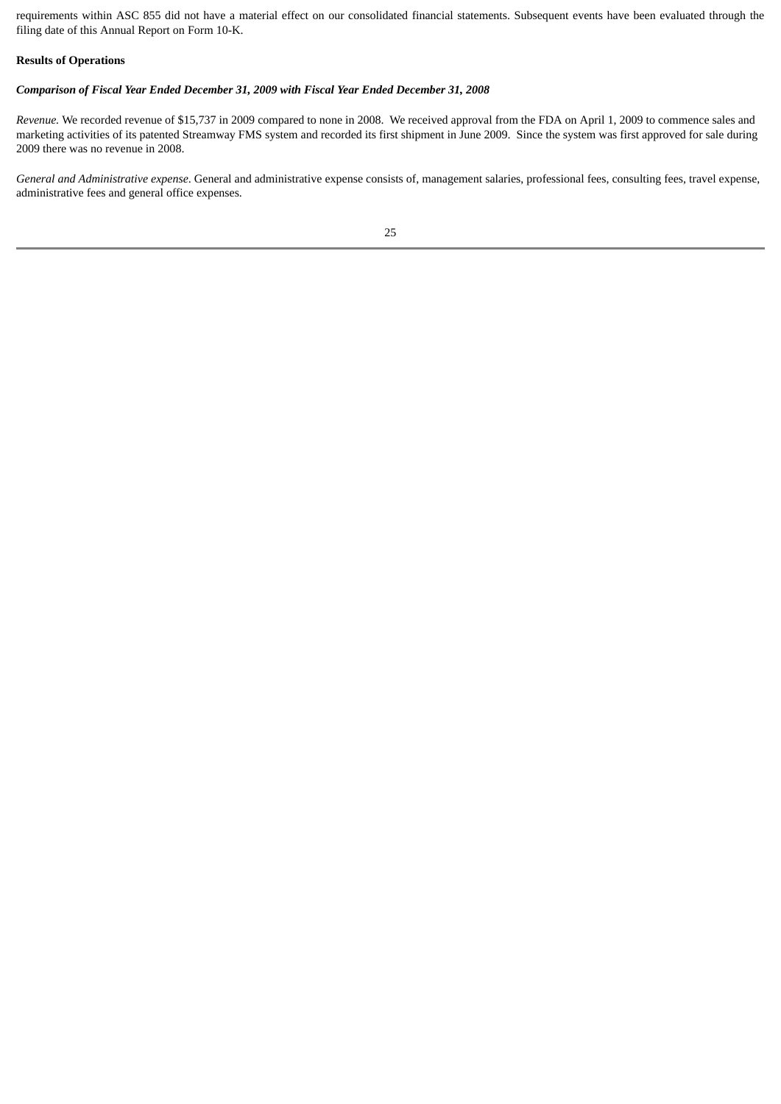requirements within ASC 855 did not have a material effect on our consolidated financial statements. Subsequent events have been evaluated through the filing date of this Annual Report on Form 10-K.

### **Results of Operations**

### *Comparison of Fiscal Year Ended December 31, 2009 with Fiscal Year Ended December 31, 2008*

*Revenue.* We recorded revenue of \$15,737 in 2009 compared to none in 2008. We received approval from the FDA on April 1, 2009 to commence sales and marketing activities of its patented Streamway FMS system and recorded its first shipment in June 2009. Since the system was first approved for sale during 2009 there was no revenue in 2008.

*General and Administrative expense*. General and administrative expense consists of, management salaries, professional fees, consulting fees, travel expense, administrative fees and general office expenses.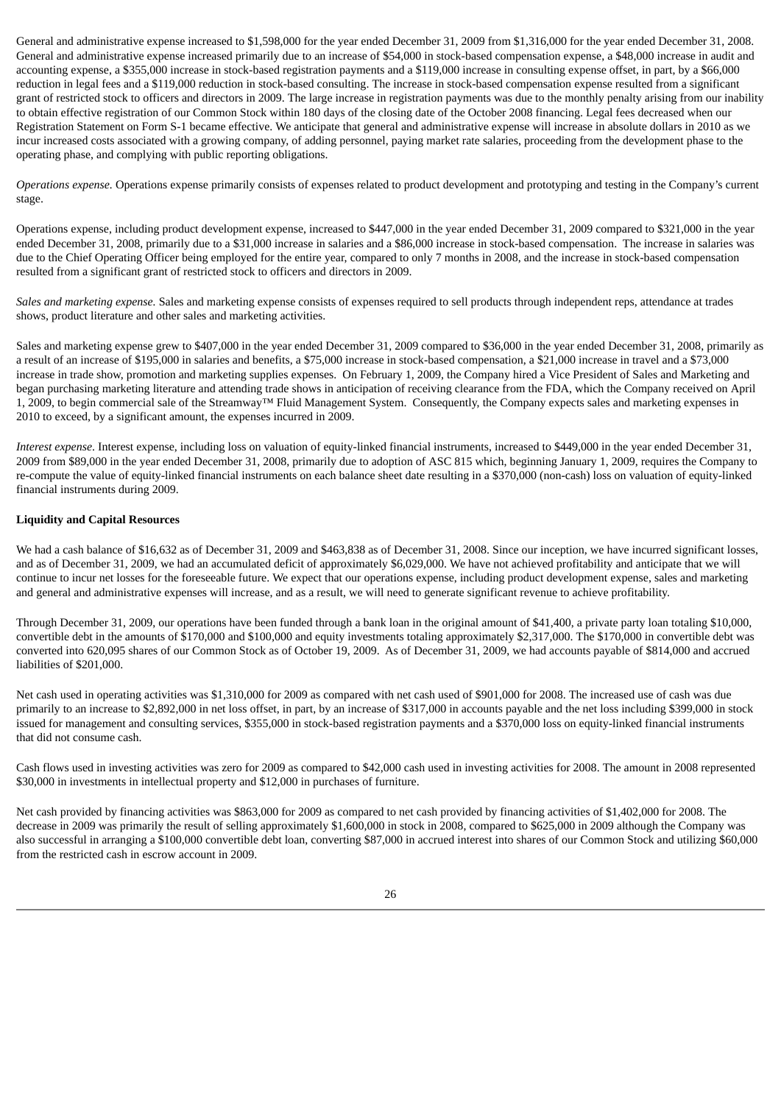General and administrative expense increased to \$1,598,000 for the year ended December 31, 2009 from \$1,316,000 for the year ended December 31, 2008. General and administrative expense increased primarily due to an increase of \$54,000 in stock-based compensation expense, a \$48,000 increase in audit and accounting expense, a \$355,000 increase in stock-based registration payments and a \$119,000 increase in consulting expense offset, in part, by a \$66,000 reduction in legal fees and a \$119,000 reduction in stock-based consulting. The increase in stock-based compensation expense resulted from a significant grant of restricted stock to officers and directors in 2009. The large increase in registration payments was due to the monthly penalty arising from our inability to obtain effective registration of our Common Stock within 180 days of the closing date of the October 2008 financing. Legal fees decreased when our Registration Statement on Form S-1 became effective. We anticipate that general and administrative expense will increase in absolute dollars in 2010 as we incur increased costs associated with a growing company, of adding personnel, paying market rate salaries, proceeding from the development phase to the operating phase, and complying with public reporting obligations.

*Operations expense.* Operations expense primarily consists of expenses related to product development and prototyping and testing in the Company's current stage.

Operations expense, including product development expense, increased to \$447,000 in the year ended December 31, 2009 compared to \$321,000 in the year ended December 31, 2008, primarily due to a \$31,000 increase in salaries and a \$86,000 increase in stock-based compensation. The increase in salaries was due to the Chief Operating Officer being employed for the entire year, compared to only 7 months in 2008, and the increase in stock-based compensation resulted from a significant grant of restricted stock to officers and directors in 2009.

*Sales and marketing expense.* Sales and marketing expense consists of expenses required to sell products through independent reps, attendance at trades shows, product literature and other sales and marketing activities.

Sales and marketing expense grew to \$407,000 in the year ended December 31, 2009 compared to \$36,000 in the year ended December 31, 2008, primarily as a result of an increase of \$195,000 in salaries and benefits, a \$75,000 increase in stock-based compensation, a \$21,000 increase in travel and a \$73,000 increase in trade show, promotion and marketing supplies expenses. On February 1, 2009, the Company hired a Vice President of Sales and Marketing and began purchasing marketing literature and attending trade shows in anticipation of receiving clearance from the FDA, which the Company received on April 1, 2009, to begin commercial sale of the Streamway™ Fluid Management System. Consequently, the Company expects sales and marketing expenses in 2010 to exceed, by a significant amount, the expenses incurred in 2009.

*Interest expense*. Interest expense, including loss on valuation of equity-linked financial instruments, increased to \$449,000 in the year ended December 31, 2009 from \$89,000 in the year ended December 31, 2008, primarily due to adoption of ASC 815 which, beginning January 1, 2009, requires the Company to re-compute the value of equity-linked financial instruments on each balance sheet date resulting in a \$370,000 (non-cash) loss on valuation of equity-linked financial instruments during 2009.

### **Liquidity and Capital Resources**

We had a cash balance of \$16,632 as of December 31, 2009 and \$463,838 as of December 31, 2008. Since our inception, we have incurred significant losses, and as of December 31, 2009, we had an accumulated deficit of approximately \$6,029,000. We have not achieved profitability and anticipate that we will continue to incur net losses for the foreseeable future. We expect that our operations expense, including product development expense, sales and marketing and general and administrative expenses will increase, and as a result, we will need to generate significant revenue to achieve profitability.

Through December 31, 2009, our operations have been funded through a bank loan in the original amount of \$41,400, a private party loan totaling \$10,000, convertible debt in the amounts of \$170,000 and \$100,000 and equity investments totaling approximately \$2,317,000. The \$170,000 in convertible debt was converted into 620,095 shares of our Common Stock as of October 19, 2009. As of December 31, 2009, we had accounts payable of \$814,000 and accrued liabilities of \$201,000.

Net cash used in operating activities was \$1,310,000 for 2009 as compared with net cash used of \$901,000 for 2008. The increased use of cash was due primarily to an increase to \$2,892,000 in net loss offset, in part, by an increase of \$317,000 in accounts payable and the net loss including \$399,000 in stock issued for management and consulting services, \$355,000 in stock-based registration payments and a \$370,000 loss on equity-linked financial instruments that did not consume cash.

Cash flows used in investing activities was zero for 2009 as compared to \$42,000 cash used in investing activities for 2008. The amount in 2008 represented \$30,000 in investments in intellectual property and \$12,000 in purchases of furniture.

Net cash provided by financing activities was \$863,000 for 2009 as compared to net cash provided by financing activities of \$1,402,000 for 2008. The decrease in 2009 was primarily the result of selling approximately \$1,600,000 in stock in 2008, compared to \$625,000 in 2009 although the Company was also successful in arranging a \$100,000 convertible debt loan, converting \$87,000 in accrued interest into shares of our Common Stock and utilizing \$60,000 from the restricted cash in escrow account in 2009.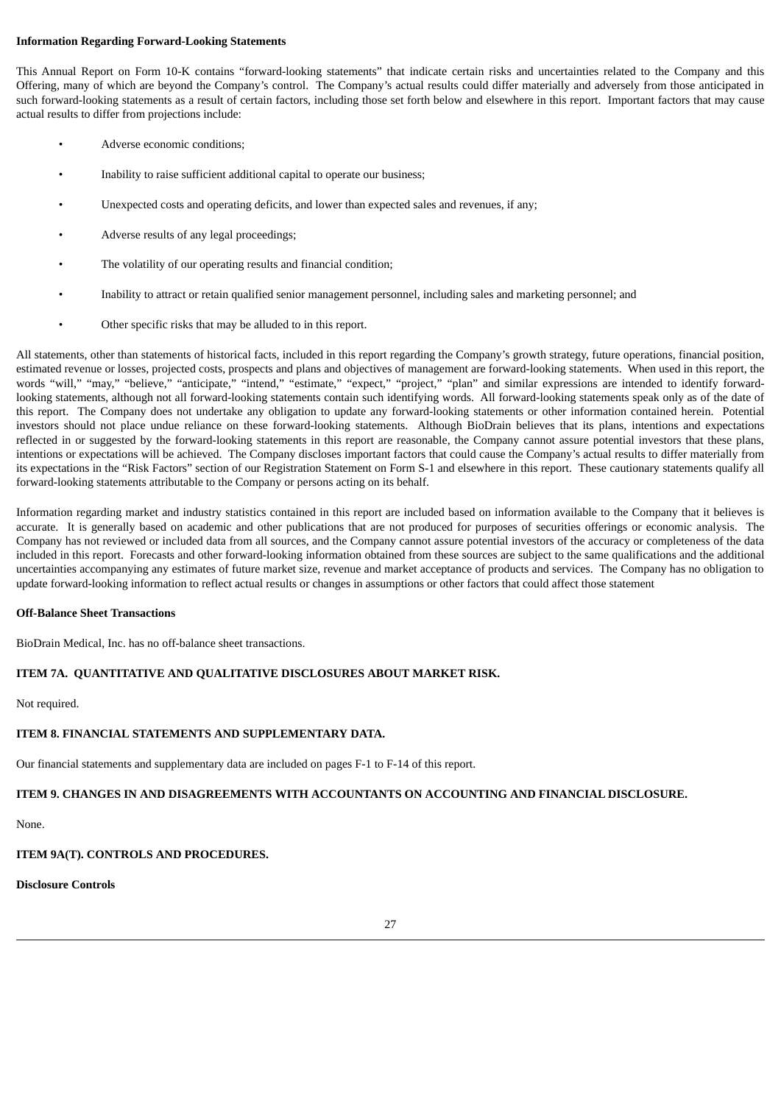### **Information Regarding Forward-Looking Statements**

This Annual Report on Form 10-K contains "forward-looking statements" that indicate certain risks and uncertainties related to the Company and this Offering, many of which are beyond the Company's control. The Company's actual results could differ materially and adversely from those anticipated in such forward-looking statements as a result of certain factors, including those set forth below and elsewhere in this report. Important factors that may cause actual results to differ from projections include:

- Adverse economic conditions;
- Inability to raise sufficient additional capital to operate our business;
- Unexpected costs and operating deficits, and lower than expected sales and revenues, if any;
- Adverse results of any legal proceedings;
- The volatility of our operating results and financial condition;
- Inability to attract or retain qualified senior management personnel, including sales and marketing personnel; and
- Other specific risks that may be alluded to in this report.

All statements, other than statements of historical facts, included in this report regarding the Company's growth strategy, future operations, financial position, estimated revenue or losses, projected costs, prospects and plans and objectives of management are forward-looking statements. When used in this report, the words "will," "may," "believe," "anticipate," "intend," "estimate," "expect," "project," "plan" and similar expressions are intended to identify forwardlooking statements, although not all forward-looking statements contain such identifying words. All forward-looking statements speak only as of the date of this report. The Company does not undertake any obligation to update any forward-looking statements or other information contained herein. Potential investors should not place undue reliance on these forward-looking statements. Although BioDrain believes that its plans, intentions and expectations reflected in or suggested by the forward-looking statements in this report are reasonable, the Company cannot assure potential investors that these plans, intentions or expectations will be achieved. The Company discloses important factors that could cause the Company's actual results to differ materially from its expectations in the "Risk Factors" section of our Registration Statement on Form S-1 and elsewhere in this report. These cautionary statements qualify all forward-looking statements attributable to the Company or persons acting on its behalf.

Information regarding market and industry statistics contained in this report are included based on information available to the Company that it believes is accurate. It is generally based on academic and other publications that are not produced for purposes of securities offerings or economic analysis. The Company has not reviewed or included data from all sources, and the Company cannot assure potential investors of the accuracy or completeness of the data included in this report. Forecasts and other forward-looking information obtained from these sources are subject to the same qualifications and the additional uncertainties accompanying any estimates of future market size, revenue and market acceptance of products and services. The Company has no obligation to update forward-looking information to reflect actual results or changes in assumptions or other factors that could affect those statement

### **Off-Balance Sheet Transactions**

BioDrain Medical, Inc. has no off-balance sheet transactions.

### **ITEM 7A. QUANTITATIVE AND QUALITATIVE DISCLOSURES ABOUT MARKET RISK.**

Not required.

### **ITEM 8. FINANCIAL STATEMENTS AND SUPPLEMENTARY DATA.**

Our financial statements and supplementary data are included on pages F-1 to F-14 of this report.

### **ITEM 9. CHANGES IN AND DISAGREEMENTS WITH ACCOUNTANTS ON ACCOUNTING AND FINANCIAL DISCLOSURE.**

None.

# **ITEM 9A(T). CONTROLS AND PROCEDURES.**

# **Disclosure Controls**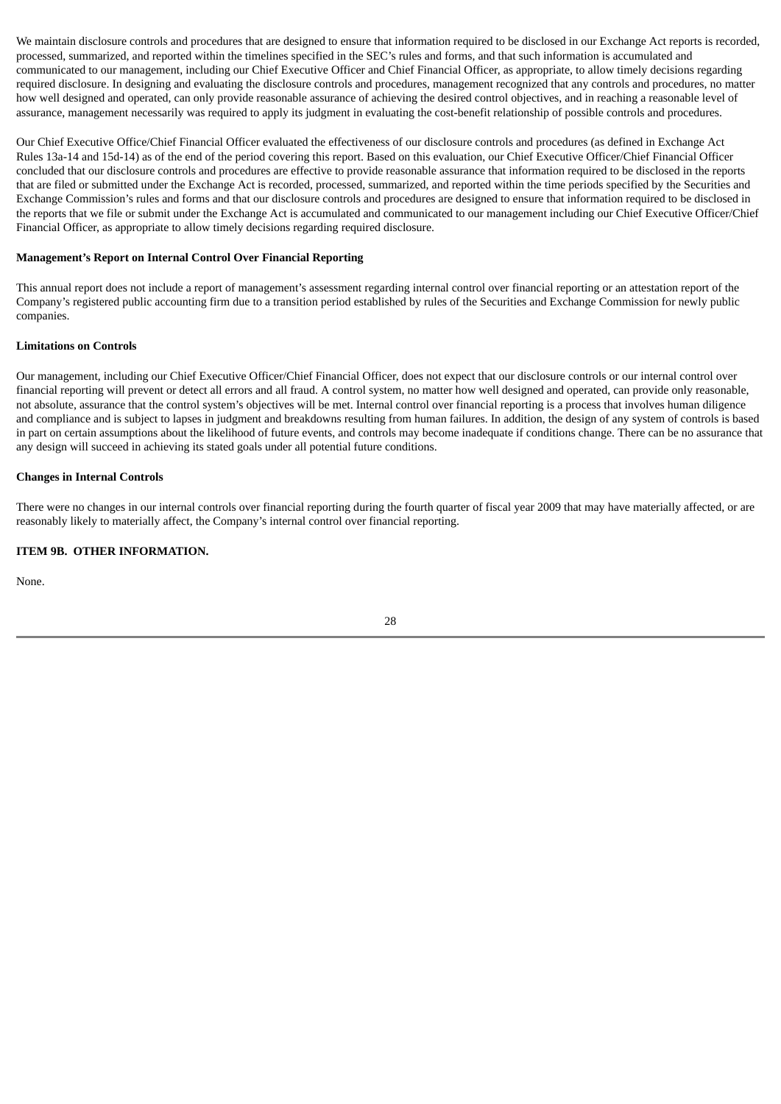We maintain disclosure controls and procedures that are designed to ensure that information required to be disclosed in our Exchange Act reports is recorded. processed, summarized, and reported within the timelines specified in the SEC's rules and forms, and that such information is accumulated and communicated to our management, including our Chief Executive Officer and Chief Financial Officer, as appropriate, to allow timely decisions regarding required disclosure. In designing and evaluating the disclosure controls and procedures, management recognized that any controls and procedures, no matter how well designed and operated, can only provide reasonable assurance of achieving the desired control objectives, and in reaching a reasonable level of assurance, management necessarily was required to apply its judgment in evaluating the cost-benefit relationship of possible controls and procedures.

Our Chief Executive Office/Chief Financial Officer evaluated the effectiveness of our disclosure controls and procedures (as defined in Exchange Act Rules 13a-14 and 15d-14) as of the end of the period covering this report. Based on this evaluation, our Chief Executive Officer/Chief Financial Officer concluded that our disclosure controls and procedures are effective to provide reasonable assurance that information required to be disclosed in the reports that are filed or submitted under the Exchange Act is recorded, processed, summarized, and reported within the time periods specified by the Securities and Exchange Commission's rules and forms and that our disclosure controls and procedures are designed to ensure that information required to be disclosed in the reports that we file or submit under the Exchange Act is accumulated and communicated to our management including our Chief Executive Officer/Chief Financial Officer, as appropriate to allow timely decisions regarding required disclosure.

### **Management's Report on Internal Control Over Financial Reporting**

This annual report does not include a report of management's assessment regarding internal control over financial reporting or an attestation report of the Company's registered public accounting firm due to a transition period established by rules of the Securities and Exchange Commission for newly public companies.

### **Limitations on Controls**

Our management, including our Chief Executive Officer/Chief Financial Officer, does not expect that our disclosure controls or our internal control over financial reporting will prevent or detect all errors and all fraud. A control system, no matter how well designed and operated, can provide only reasonable, not absolute, assurance that the control system's objectives will be met. Internal control over financial reporting is a process that involves human diligence and compliance and is subject to lapses in judgment and breakdowns resulting from human failures. In addition, the design of any system of controls is based in part on certain assumptions about the likelihood of future events, and controls may become inadequate if conditions change. There can be no assurance that any design will succeed in achieving its stated goals under all potential future conditions.

### **Changes in Internal Controls**

There were no changes in our internal controls over financial reporting during the fourth quarter of fiscal year 2009 that may have materially affected, or are reasonably likely to materially affect, the Company's internal control over financial reporting.

### **ITEM 9B. OTHER INFORMATION.**

None.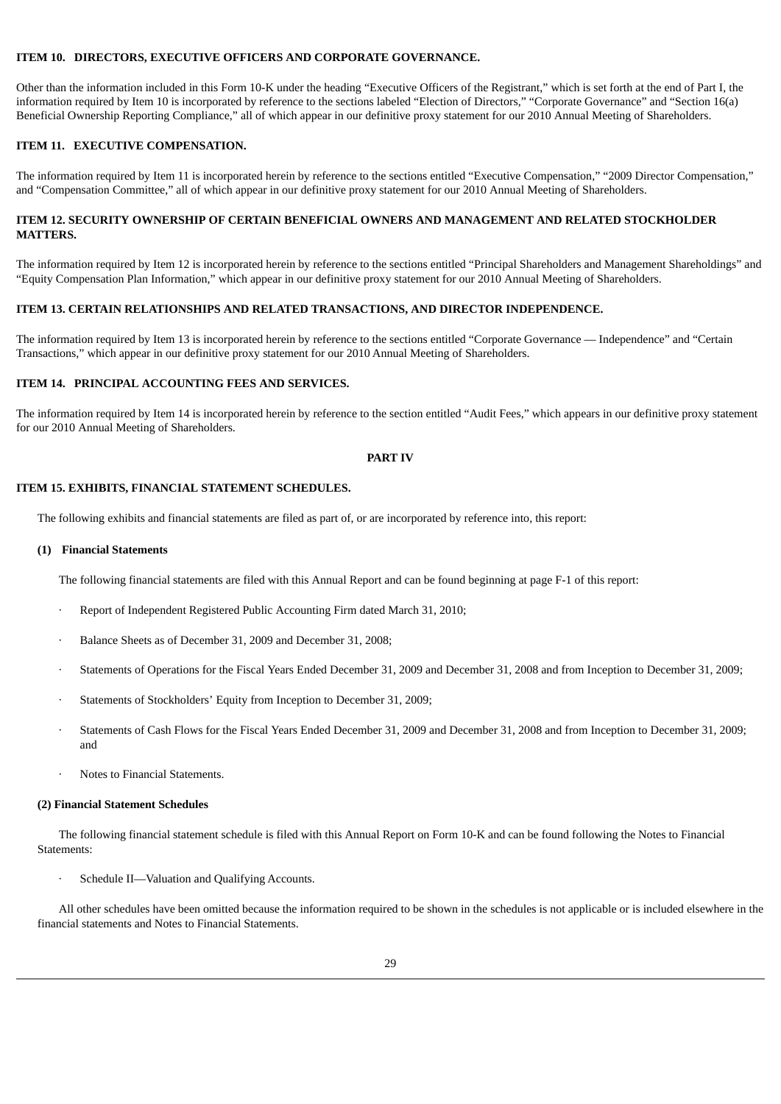### **ITEM 10. DIRECTORS, EXECUTIVE OFFICERS AND CORPORATE GOVERNANCE.**

Other than the information included in this Form 10-K under the heading "Executive Officers of the Registrant," which is set forth at the end of Part I, the information required by Item 10 is incorporated by reference to the sections labeled "Election of Directors," "Corporate Governance" and "Section 16(a) Beneficial Ownership Reporting Compliance," all of which appear in our definitive proxy statement for our 2010 Annual Meeting of Shareholders.

### **ITEM 11. EXECUTIVE COMPENSATION.**

The information required by Item 11 is incorporated herein by reference to the sections entitled "Executive Compensation," "2009 Director Compensation," and "Compensation Committee," all of which appear in our definitive proxy statement for our 2010 Annual Meeting of Shareholders.

### **ITEM 12. SECURITY OWNERSHIP OF CERTAIN BENEFICIAL OWNERS AND MANAGEMENT AND RELATED STOCKHOLDER MATTERS.**

The information required by Item 12 is incorporated herein by reference to the sections entitled "Principal Shareholders and Management Shareholdings" and "Equity Compensation Plan Information," which appear in our definitive proxy statement for our 2010 Annual Meeting of Shareholders.

### **ITEM 13. CERTAIN RELATIONSHIPS AND RELATED TRANSACTIONS, AND DIRECTOR INDEPENDENCE.**

The information required by Item 13 is incorporated herein by reference to the sections entitled "Corporate Governance — Independence" and "Certain Transactions," which appear in our definitive proxy statement for our 2010 Annual Meeting of Shareholders.

## **ITEM 14. PRINCIPAL ACCOUNTING FEES AND SERVICES.**

The information required by Item 14 is incorporated herein by reference to the section entitled "Audit Fees," which appears in our definitive proxy statement for our 2010 Annual Meeting of Shareholders.

#### **PART IV**

### **ITEM 15. EXHIBITS, FINANCIAL STATEMENT SCHEDULES.**

The following exhibits and financial statements are filed as part of, or are incorporated by reference into, this report:

### **(1) Financial Statements**

The following financial statements are filed with this Annual Report and can be found beginning at page F-1 of this report:

- · Report of Independent Registered Public Accounting Firm dated March 31, 2010;
- · Balance Sheets as of December 31, 2009 and December 31, 2008;
- · Statements of Operations for the Fiscal Years Ended December 31, 2009 and December 31, 2008 and from Inception to December 31, 2009;
- Statements of Stockholders' Equity from Inception to December 31, 2009;
- · Statements of Cash Flows for the Fiscal Years Ended December 31, 2009 and December 31, 2008 and from Inception to December 31, 2009; and
- · Notes to Financial Statements.

#### **(2) Financial Statement Schedules**

The following financial statement schedule is filed with this Annual Report on Form 10-K and can be found following the Notes to Financial Statements:

Schedule II—Valuation and Qualifying Accounts.

All other schedules have been omitted because the information required to be shown in the schedules is not applicable or is included elsewhere in the financial statements and Notes to Financial Statements.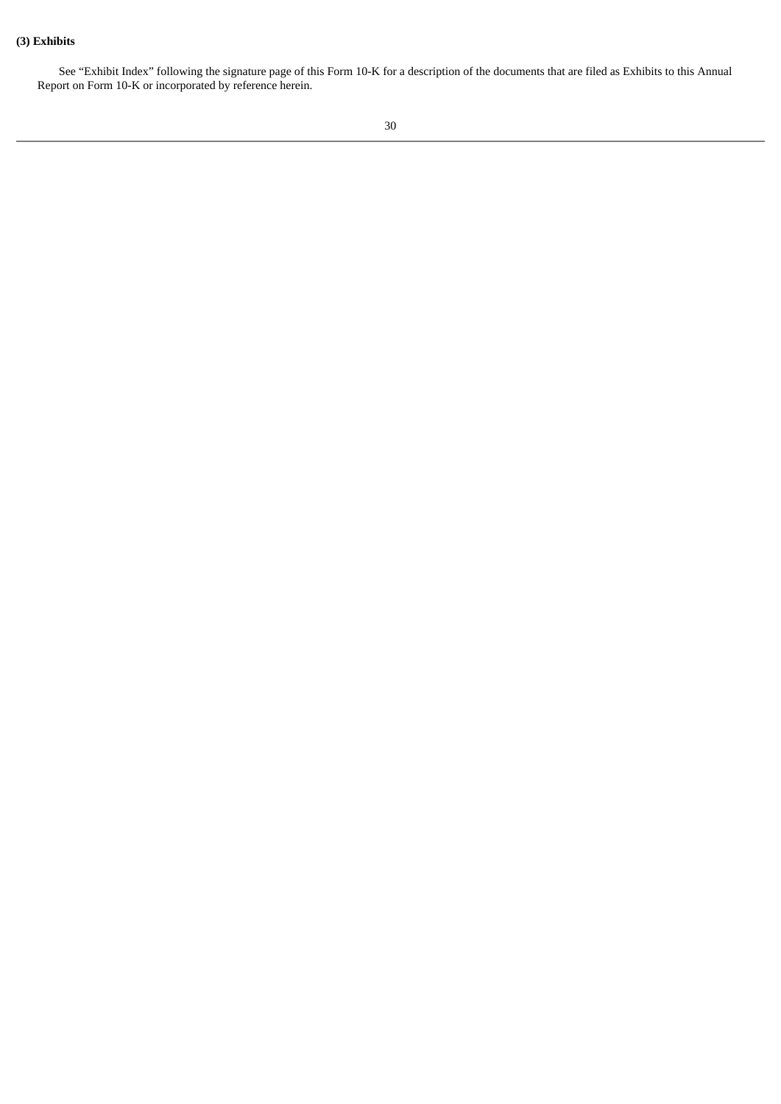# **(3) Exhibits**

See "Exhibit Index" following the signature page of this Form 10-K for a description of the documents that are filed as Exhibits to this Annual Report on Form 10-K or incorporated by reference herein.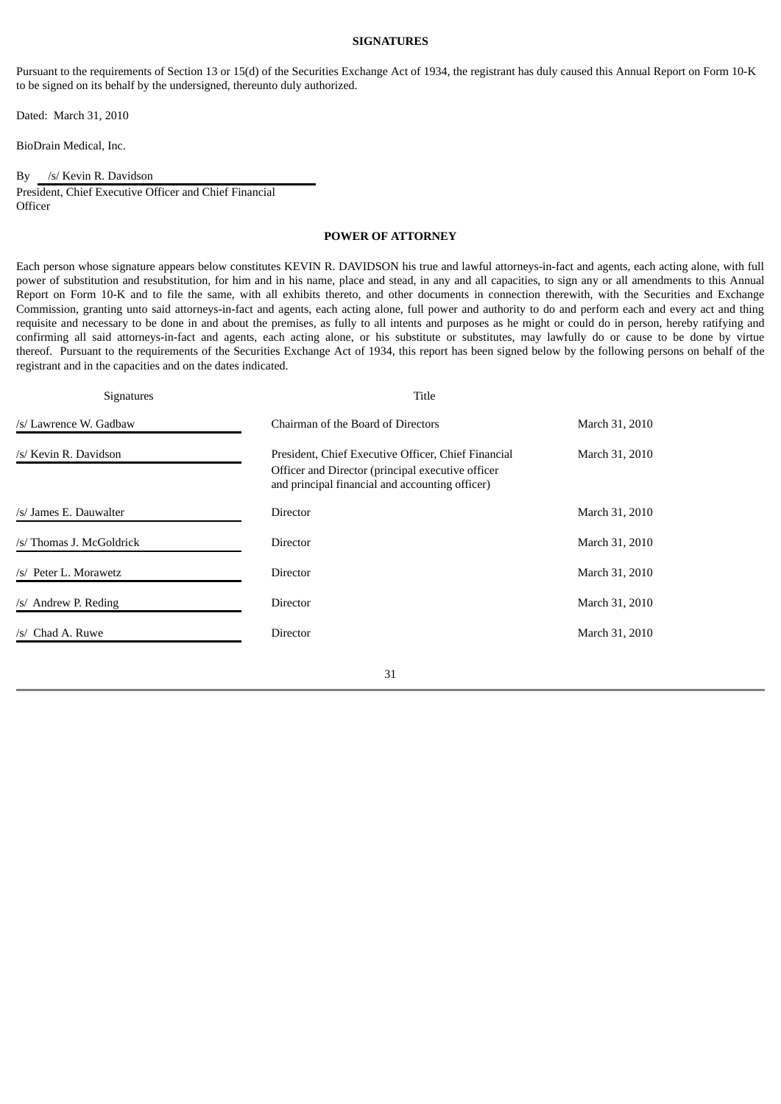### **SIGNATURES**

Pursuant to the requirements of Section 13 or 15(d) of the Securities Exchange Act of 1934, the registrant has duly caused this Annual Report on Form 10-K to be signed on its behalf by the undersigned, thereunto duly authorized.

Dated: March 31, 2010

BioDrain Medical, Inc.

By /s/ Kevin R. Davidson President, Chief Executive Officer and Chief Financial **Officer** 

# **POWER OF ATTORNEY**

Each person whose signature appears below constitutes KEVIN R. DAVIDSON his true and lawful attorneys-in-fact and agents, each acting alone, with full power of substitution and resubstitution, for him and in his name, place and stead, in any and all capacities, to sign any or all amendments to this Annual Report on Form 10-K and to file the same, with all exhibits thereto, and other documents in connection therewith, with the Securities and Exchange Commission, granting unto said attorneys-in-fact and agents, each acting alone, full power and authority to do and perform each and every act and thing requisite and necessary to be done in and about the premises, as fully to all intents and purposes as he might or could do in person, hereby ratifying and confirming all said attorneys-in-fact and agents, each acting alone, or his substitute or substitutes, may lawfully do or cause to be done by virtue thereof. Pursuant to the requirements of the Securities Exchange Act of 1934, this report has been signed below by the following persons on behalf of the registrant and in the capacities and on the dates indicated.

| <b>Signatures</b>        | Title                                                                                                                                                       |                |
|--------------------------|-------------------------------------------------------------------------------------------------------------------------------------------------------------|----------------|
| /s/ Lawrence W. Gadbaw   | Chairman of the Board of Directors                                                                                                                          | March 31, 2010 |
| /s/ Kevin R. Davidson    | President, Chief Executive Officer, Chief Financial<br>Officer and Director (principal executive officer<br>and principal financial and accounting officer) | March 31, 2010 |
| /s/ James E. Dauwalter   | <b>Director</b>                                                                                                                                             | March 31, 2010 |
| /s/ Thomas J. McGoldrick | Director                                                                                                                                                    | March 31, 2010 |
| /s/ Peter L. Morawetz    | <b>Director</b>                                                                                                                                             | March 31, 2010 |
| /s/ Andrew P. Reding     | Director                                                                                                                                                    | March 31, 2010 |
| /s/ Chad A. Ruwe         | <b>Director</b>                                                                                                                                             | March 31, 2010 |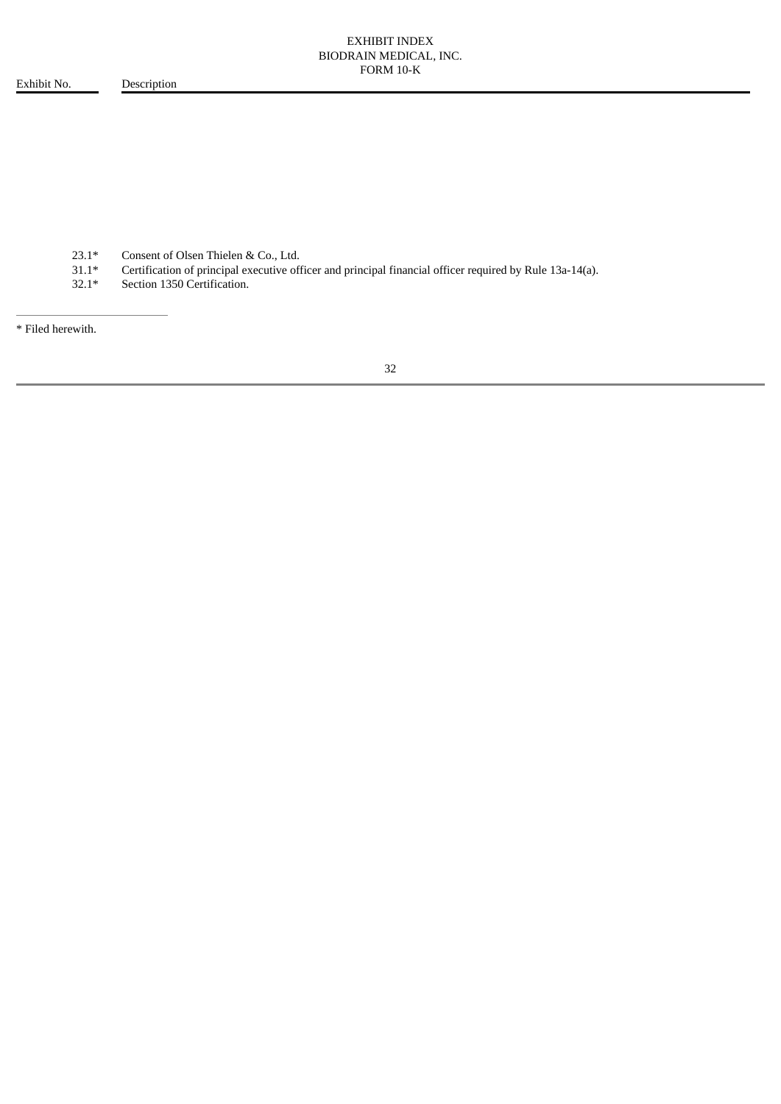Exhibit No. Description

23.1\* Consent of Olsen Thielen & Co., Ltd.<br>31.1\* Certification of principal executive of

31.1\* Certification of principal executive officer and principal financial officer required by Rule 13a-14(a).

Section 1350 Certification.

\* Filed herewith.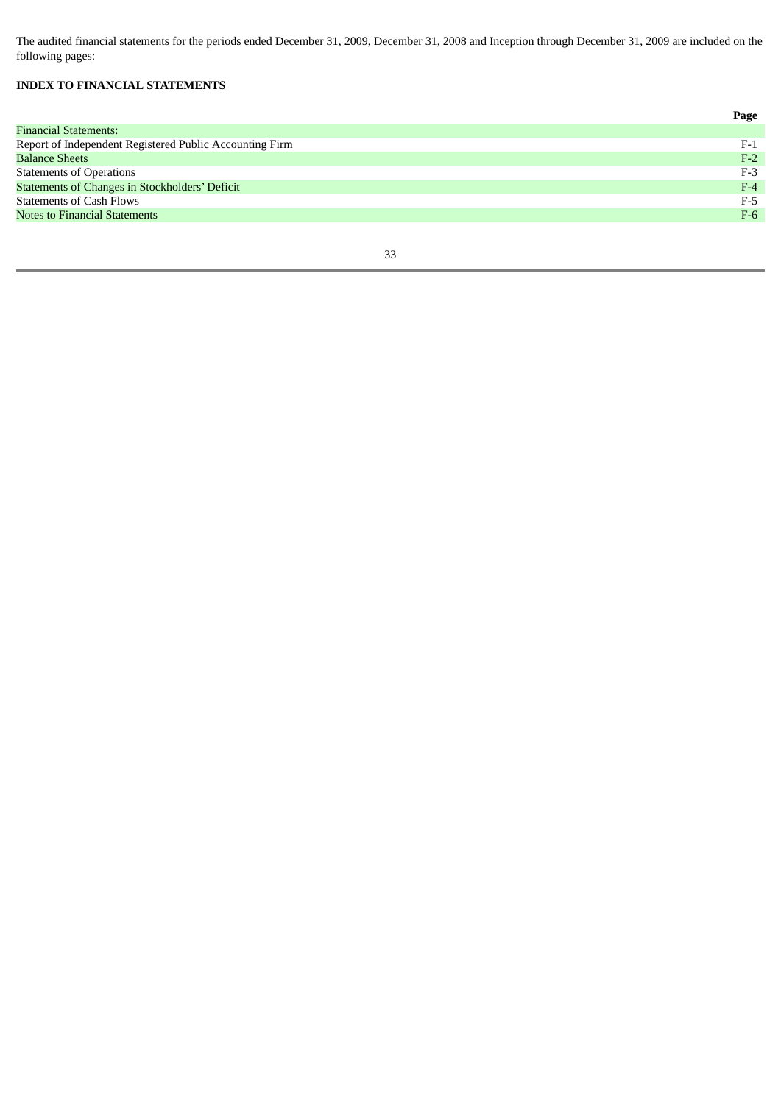The audited financial statements for the periods ended December 31, 2009, December 31, 2008 and Inception through December 31, 2009 are included on the following pages:

# **INDEX TO FINANCIAL STATEMENTS**

|                                                         | Page  |
|---------------------------------------------------------|-------|
| <b>Financial Statements:</b>                            |       |
| Report of Independent Registered Public Accounting Firm | $F-1$ |
| <b>Balance Sheets</b>                                   | $F-2$ |
| <b>Statements of Operations</b>                         | $F-3$ |
| <b>Statements of Changes in Stockholders' Deficit</b>   | $F-4$ |
| <b>Statements of Cash Flows</b>                         | $F-5$ |
| <b>Notes to Financial Statements</b>                    | $F-6$ |
|                                                         |       |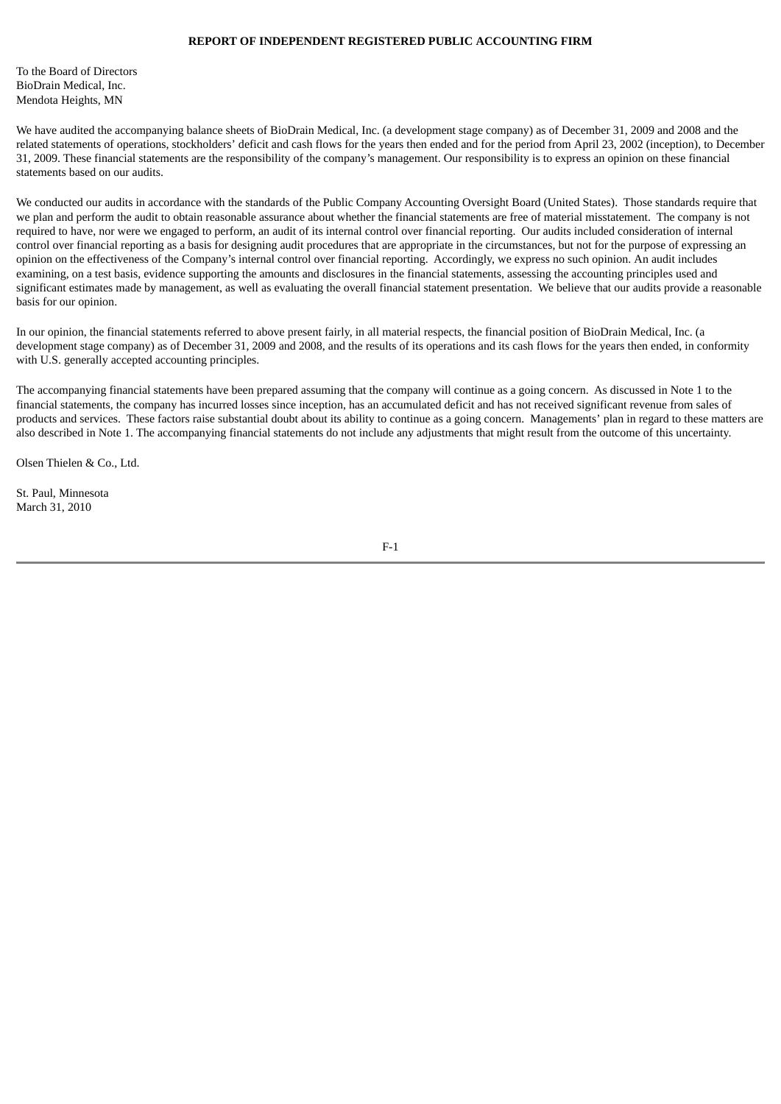# **REPORT OF INDEPENDENT REGISTERED PUBLIC ACCOUNTING FIRM**

To the Board of Directors BioDrain Medical, Inc. Mendota Heights, MN

We have audited the accompanying balance sheets of BioDrain Medical, Inc. (a development stage company) as of December 31, 2009 and 2008 and the related statements of operations, stockholders' deficit and cash flows for the years then ended and for the period from April 23, 2002 (inception), to December 31, 2009. These financial statements are the responsibility of the company's management. Our responsibility is to express an opinion on these financial statements based on our audits.

We conducted our audits in accordance with the standards of the Public Company Accounting Oversight Board (United States). Those standards require that we plan and perform the audit to obtain reasonable assurance about whether the financial statements are free of material misstatement. The company is not required to have, nor were we engaged to perform, an audit of its internal control over financial reporting. Our audits included consideration of internal control over financial reporting as a basis for designing audit procedures that are appropriate in the circumstances, but not for the purpose of expressing an opinion on the effectiveness of the Company's internal control over financial reporting. Accordingly, we express no such opinion. An audit includes examining, on a test basis, evidence supporting the amounts and disclosures in the financial statements, assessing the accounting principles used and significant estimates made by management, as well as evaluating the overall financial statement presentation. We believe that our audits provide a reasonable basis for our opinion.

In our opinion, the financial statements referred to above present fairly, in all material respects, the financial position of BioDrain Medical, Inc. (a development stage company) as of December 31, 2009 and 2008, and the results of its operations and its cash flows for the years then ended, in conformity with U.S. generally accepted accounting principles.

The accompanying financial statements have been prepared assuming that the company will continue as a going concern. As discussed in Note 1 to the financial statements, the company has incurred losses since inception, has an accumulated deficit and has not received significant revenue from sales of products and services. These factors raise substantial doubt about its ability to continue as a going concern. Managements' plan in regard to these matters are also described in Note 1. The accompanying financial statements do not include any adjustments that might result from the outcome of this uncertainty.

Olsen Thielen & Co., Ltd.

St. Paul, Minnesota March 31, 2010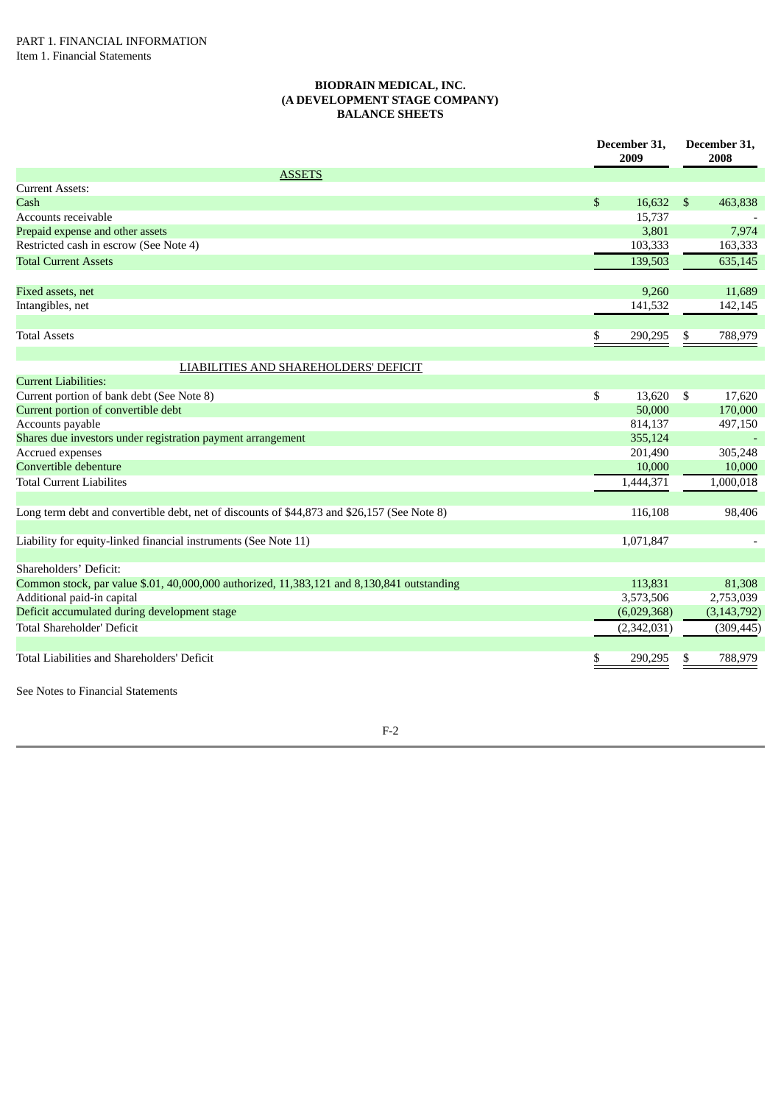### **BIODRAIN MEDICAL, INC. (A DEVELOPMENT STAGE COMPANY) BALANCE SHEETS**

|                                                                                             | December 31,<br>2009 | December 31,<br>2008 |               |
|---------------------------------------------------------------------------------------------|----------------------|----------------------|---------------|
| <b>ASSETS</b>                                                                               |                      |                      |               |
| <b>Current Assets:</b>                                                                      |                      |                      |               |
| Cash                                                                                        | \$<br>16,632         | \$                   | 463,838       |
| Accounts receivable                                                                         | 15,737               |                      |               |
| Prepaid expense and other assets                                                            | 3,801                |                      | 7,974         |
| Restricted cash in escrow (See Note 4)                                                      | 103,333              |                      | 163,333       |
| <b>Total Current Assets</b>                                                                 | 139,503              |                      | 635,145       |
| Fixed assets, net                                                                           | 9,260                |                      | 11,689        |
| Intangibles, net                                                                            | 141,532              |                      | 142,145       |
| <b>Total Assets</b>                                                                         | \$<br>290,295        | \$                   | 788,979       |
| LIABILITIES AND SHAREHOLDERS' DEFICIT                                                       |                      |                      |               |
| <b>Current Liabilities:</b>                                                                 |                      |                      |               |
| Current portion of bank debt (See Note 8)                                                   | \$<br>13,620         | \$                   | 17,620        |
| Current portion of convertible debt                                                         | 50,000               |                      | 170,000       |
| Accounts payable                                                                            | 814,137              |                      | 497,150       |
| Shares due investors under registration payment arrangement                                 | 355,124              |                      |               |
| Accrued expenses                                                                            | 201,490              |                      | 305,248       |
| Convertible debenture                                                                       | 10,000               |                      | 10,000        |
| <b>Total Current Liabilites</b>                                                             | 1,444,371            |                      | 1,000,018     |
|                                                                                             |                      |                      |               |
| Long term debt and convertible debt, net of discounts of \$44,873 and \$26,157 (See Note 8) | 116,108              |                      | 98,406        |
| Liability for equity-linked financial instruments (See Note 11)                             | 1,071,847            |                      |               |
| Shareholders' Deficit:                                                                      |                      |                      |               |
| Common stock, par value \$.01, 40,000,000 authorized, 11,383,121 and 8,130,841 outstanding  | 113,831              |                      | 81,308        |
| Additional paid-in capital                                                                  | 3,573,506            |                      | 2,753,039     |
| Deficit accumulated during development stage                                                | (6,029,368)          |                      | (3, 143, 792) |
| <b>Total Shareholder' Deficit</b>                                                           | (2,342,031)          |                      | (309, 445)    |
| Total Liabilities and Shareholders' Deficit                                                 | \$<br>290,295        | S                    | 788,979       |
| See Notes to Financial Statements                                                           |                      |                      |               |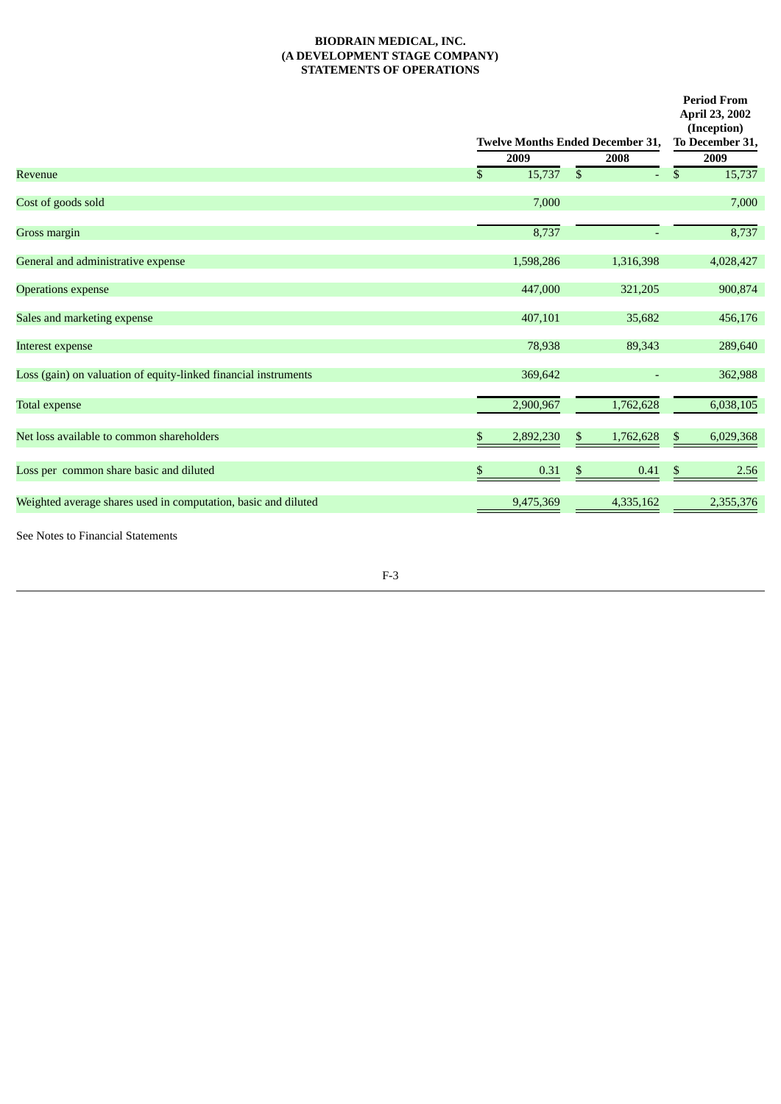# **BIODRAIN MEDICAL, INC. (A DEVELOPMENT STAGE COMPANY) STATEMENTS OF OPERATIONS**

|                                                                 |      | To December 31,<br><b>Twelve Months Ended December 31,</b> |    |           |    |           |
|-----------------------------------------------------------------|------|------------------------------------------------------------|----|-----------|----|-----------|
|                                                                 | 2009 |                                                            |    | 2008      |    | 2009      |
| Revenue                                                         | \$   | 15,737                                                     | \$ | ÷.        | \$ | 15,737    |
| Cost of goods sold                                              |      | 7,000                                                      |    |           |    | 7,000     |
| Gross margin                                                    |      | 8,737                                                      |    |           |    | 8,737     |
| General and administrative expense                              |      | 1,598,286                                                  |    | 1,316,398 |    | 4,028,427 |
| <b>Operations expense</b>                                       |      | 447,000                                                    |    | 321,205   |    | 900,874   |
| Sales and marketing expense                                     |      | 407,101                                                    |    | 35,682    |    | 456,176   |
| Interest expense                                                |      | 78,938                                                     |    | 89,343    |    | 289,640   |
| Loss (gain) on valuation of equity-linked financial instruments |      | 369,642                                                    |    |           |    | 362,988   |
| <b>Total expense</b>                                            |      | 2,900,967                                                  |    | 1,762,628 |    | 6,038,105 |
| Net loss available to common shareholders                       | \$   | 2,892,230                                                  | \$ | 1,762,628 | \$ | 6,029,368 |
| Loss per common share basic and diluted                         | \$   | 0.31                                                       | \$ | 0.41      | \$ | 2.56      |
| Weighted average shares used in computation, basic and diluted  |      | 9,475,369                                                  |    | 4,335,162 |    | 2,355,376 |
| See Notes to Financial Statements                               |      |                                                            |    |           |    |           |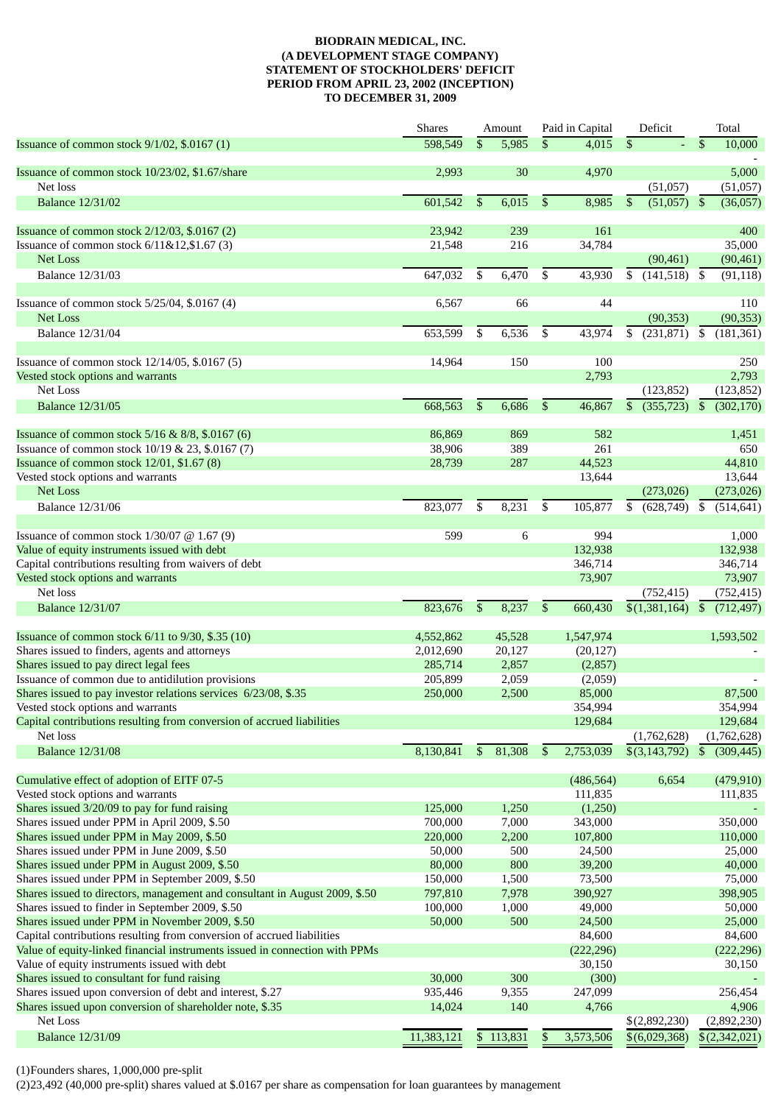### **BIODRAIN MEDICAL, INC. (A DEVELOPMENT STAGE COMPANY) STATEMENT OF STOCKHOLDERS' DEFICIT PERIOD FROM APRIL 23, 2002 (INCEPTION) TO DECEMBER 31, 2009**

|                                                                             | <b>Shares</b> |              | Amount               |              | Paid in Capital | Deficit                    | Total                       |
|-----------------------------------------------------------------------------|---------------|--------------|----------------------|--------------|-----------------|----------------------------|-----------------------------|
| Issuance of common stock 9/1/02, \$.0167 (1)                                | 598,549       | \$           | 5,985                | \$           | 4,015           | \$                         | \$<br>10,000                |
|                                                                             |               |              |                      |              |                 |                            |                             |
| Issuance of common stock 10/23/02, \$1.67/share<br>Net loss                 | 2,993         |              | 30                   |              | 4,970           | (51,057)                   | 5,000<br>(51,057)           |
| <b>Balance 12/31/02</b>                                                     | 601,542       | \$           | 6,015                | $\mathbb{S}$ | 8,985           | (51,057)<br>\$             | \$<br>(36,057)              |
|                                                                             |               |              |                      |              |                 |                            |                             |
| Issuance of common stock 2/12/03, \$.0167 (2)                               | 23,942        |              | 239                  |              | 161             |                            | 400                         |
| Issuance of common stock 6/11&12,\$1.67 (3)                                 | 21,548        |              | 216                  |              | 34,784          |                            | 35,000                      |
| Net Loss                                                                    |               |              |                      |              |                 | (90, 461)                  | (90, 461)                   |
| <b>Balance 12/31/03</b>                                                     | 647,032       | \$           | 6,470                | \$           | 43,930          | \$<br>$(141,518)$ \$       | (91, 118)                   |
|                                                                             |               |              | 66                   |              |                 |                            |                             |
| Issuance of common stock 5/25/04, \$.0167 (4)<br><b>Net Loss</b>            | 6,567         |              |                      |              | 44              | (90, 353)                  | 110<br>(90, 353)            |
| <b>Balance 12/31/04</b>                                                     | 653,599       | \$           | 6,536                | \$           | 43,974          | (231,871)<br>\$            | $\mathfrak{S}$              |
|                                                                             |               |              |                      |              |                 |                            | (181, 361)                  |
| Issuance of common stock 12/14/05, \$.0167 (5)                              | 14,964        |              | 150                  |              | 100             |                            | 250                         |
| Vested stock options and warrants                                           |               |              |                      |              | 2,793           |                            | 2,793                       |
| Net Loss                                                                    |               |              |                      |              |                 | (123, 852)                 | (123, 852)                  |
| <b>Balance 12/31/05</b>                                                     | 668,563       | $\mathbb{S}$ | 6,686                | $\mathbb{S}$ | 46,867          | $(355, 723)$ \$<br>\$      | (302, 170)                  |
|                                                                             |               |              |                      |              |                 |                            |                             |
| Issuance of common stock 5/16 & 8/8, \$.0167 (6)                            | 86,869        |              | 869                  |              | 582             |                            | 1,451                       |
| Issuance of common stock 10/19 & 23, \$.0167 (7)                            | 38,906        |              | 389                  |              | 261             |                            | 650                         |
| Issuance of common stock 12/01, \$1.67 (8)                                  | 28,739        |              | 287                  |              | 44,523          |                            | 44,810                      |
| Vested stock options and warrants                                           |               |              |                      |              | 13,644          |                            | 13,644                      |
| <b>Net Loss</b>                                                             |               |              |                      |              |                 | (273, 026)                 | (273, 026)                  |
| <b>Balance 12/31/06</b>                                                     | 823,077       | \$           | 8,231                | \$           | 105,877         | $(628,749)$ \$<br>\$       | (514, 641)                  |
| Issuance of common stock $1/30/07$ @ 1.67 (9)                               | 599           |              | 6                    |              | 994             |                            | 1,000                       |
| Value of equity instruments issued with debt                                |               |              |                      |              | 132,938         |                            | 132,938                     |
| Capital contributions resulting from waivers of debt                        |               |              |                      |              | 346,714         |                            | 346,714                     |
| Vested stock options and warrants                                           |               |              |                      |              | 73,907          |                            | 73,907                      |
| Net loss                                                                    |               |              |                      |              |                 | (752, 415)                 | (752, 415)                  |
| <b>Balance 12/31/07</b>                                                     | 823,676       | \$           | 8,237                | \$           | 660,430         | $\overline{\$(1,381,164)}$ | \$<br>(712, 497)            |
|                                                                             |               |              |                      |              |                 |                            |                             |
| Issuance of common stock 6/11 to 9/30, \$.35 (10)                           | 4,552,862     |              | 45,528               |              | 1,547,974       |                            | 1,593,502                   |
| Shares issued to finders, agents and attorneys                              | 2,012,690     |              | 20,127               |              | (20, 127)       |                            |                             |
| Shares issued to pay direct legal fees                                      | 285,714       |              | 2,857                |              | (2,857)         |                            |                             |
| Issuance of common due to antidilution provisions                           | 205,899       |              | 2,059                |              | (2,059)         |                            |                             |
| Shares issued to pay investor relations services 6/23/08, \$.35             | 250,000       |              | 2,500                |              | 85,000          |                            | 87,500                      |
| Vested stock options and warrants                                           |               |              |                      |              | 354,994         |                            | 354,994                     |
| Capital contributions resulting from conversion of accrued liabilities      |               |              |                      |              | 129,684         |                            | 129,684                     |
| Net loss                                                                    |               |              |                      |              |                 | (1,762,628)                | (1,762,628)                 |
| <b>Balance 12/31/08</b>                                                     | 8,130,841     |              | $\frac{1}{2}$ 81,308 | \$           | 2,753,039       | $\sqrt{(3,143,792)}$       | (309, 445)<br><sup>\$</sup> |
| Cumulative effect of adoption of EITF 07-5                                  |               |              |                      |              | (486, 564)      | 6,654                      | (479, 910)                  |
| Vested stock options and warrants                                           |               |              |                      |              | 111,835         |                            | 111,835                     |
| Shares issued 3/20/09 to pay for fund raising                               | 125,000       |              | 1,250                |              | (1,250)         |                            |                             |
| Shares issued under PPM in April 2009, \$.50                                | 700,000       |              | 7,000                |              | 343,000         |                            | 350,000                     |
| Shares issued under PPM in May 2009, \$.50                                  | 220,000       |              | 2,200                |              | 107,800         |                            | 110,000                     |
| Shares issued under PPM in June 2009, \$.50                                 | 50,000        |              | 500                  |              | 24,500          |                            | 25,000                      |
| Shares issued under PPM in August 2009, \$.50                               | 80,000        |              | 800                  |              | 39,200          |                            | 40,000                      |
| Shares issued under PPM in September 2009, \$.50                            | 150,000       |              | 1,500                |              | 73,500          |                            | 75,000                      |
| Shares issued to directors, management and consultant in August 2009, \$.50 | 797,810       |              | 7,978                |              | 390,927         |                            | 398,905                     |
| Shares issued to finder in September 2009, \$.50                            | 100,000       |              | 1,000                |              | 49,000          |                            | 50,000                      |
| Shares issued under PPM in November 2009, \$.50                             | 50,000        |              | 500                  |              | 24,500          |                            | 25,000                      |
| Capital contributions resulting from conversion of accrued liabilities      |               |              |                      |              | 84,600          |                            | 84,600                      |
| Value of equity-linked financial instruments issued in connection with PPMs |               |              |                      |              | (222, 296)      |                            | (222, 296)                  |
| Value of equity instruments issued with debt                                |               |              |                      |              | 30,150          |                            | 30,150                      |
| Shares issued to consultant for fund raising                                | 30,000        |              | 300                  |              | (300)           |                            |                             |
| Shares issued upon conversion of debt and interest, \$.27                   | 935,446       |              | 9,355                |              | 247,099         |                            | 256,454                     |
| Shares issued upon conversion of shareholder note, \$.35                    | 14,024        |              | 140                  |              | 4,766           |                            | 4,906                       |
| Net Loss                                                                    |               |              |                      |              |                 | \$(2,892,230)              | (2,892,230)                 |
| <b>Balance 12/31/09</b>                                                     | 11,383,121    |              | \$113,831            | \$           | 3,573,506       | \$(6,029,368)              | \$(2,342,021)               |

(1)Founders shares, 1,000,000 pre-split

(2)23,492 (40,000 pre-split) shares valued at \$.0167 per share as compensation for loan guarantees by management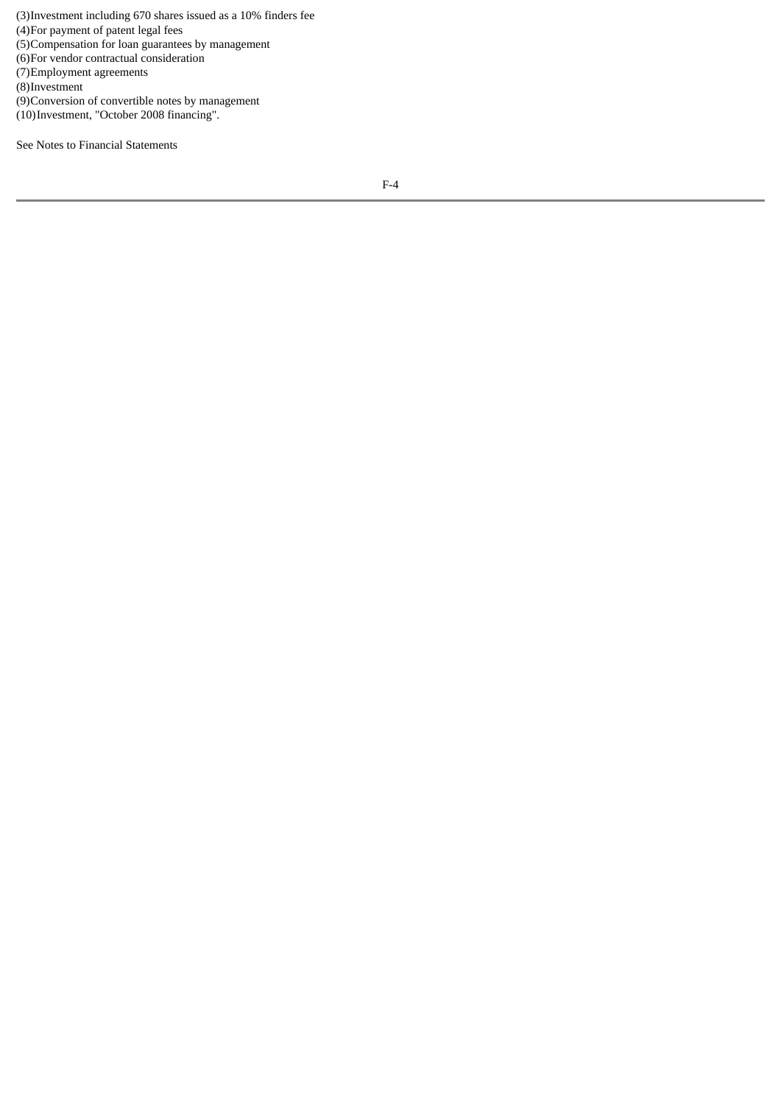(3)Investment including 670 shares issued as a 10% finders fee (4)For payment of patent legal fees (5)Compensation for loan guarantees by management (6)For vendor contractual consideration (7)Employment agreements (8)Investment (9)Conversion of convertible notes by management (10)Investment, "October 2008 financing".

See Notes to Financial Statements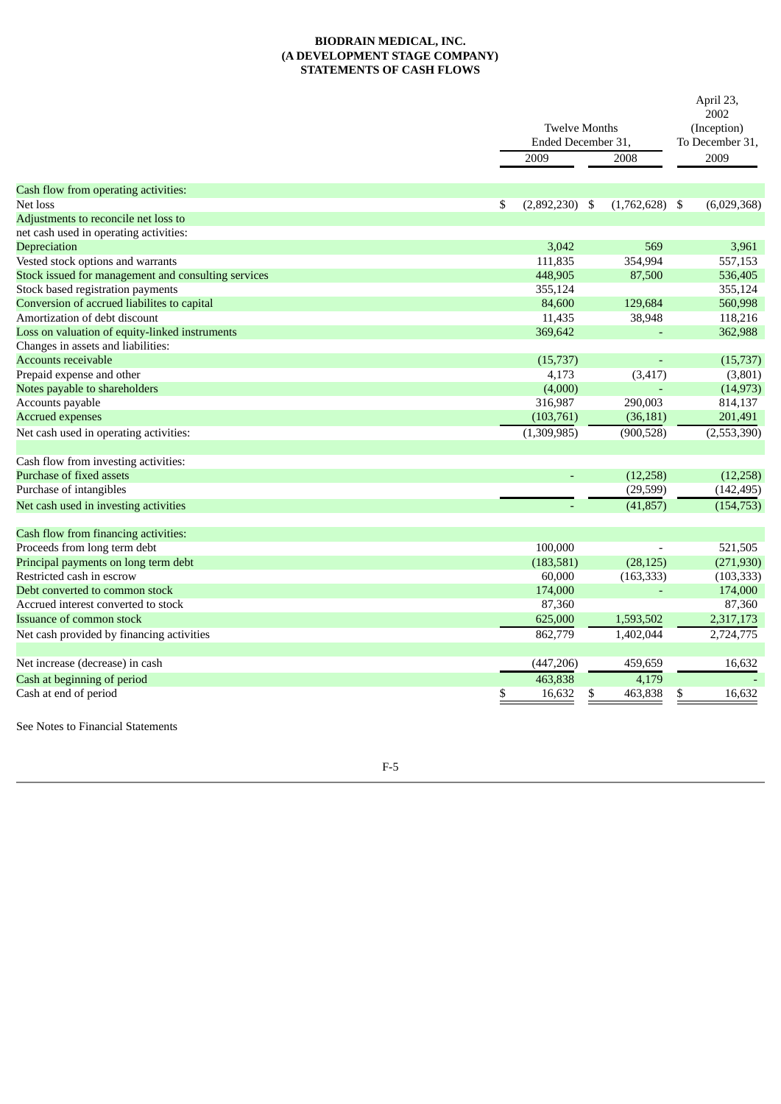# **BIODRAIN MEDICAL, INC. (A DEVELOPMENT STAGE COMPANY) STATEMENTS OF CASH FLOWS**

|                                                     |                        |                      |                  |    | April 23,<br>2002              |  |  |
|-----------------------------------------------------|------------------------|----------------------|------------------|----|--------------------------------|--|--|
|                                                     |                        | <b>Twelve Months</b> |                  |    |                                |  |  |
|                                                     | Ended December 31,     |                      |                  |    | (Inception)<br>To December 31, |  |  |
|                                                     | 2009                   | 2008                 |                  |    | 2009                           |  |  |
|                                                     |                        |                      |                  |    |                                |  |  |
| Cash flow from operating activities:                |                        |                      |                  |    |                                |  |  |
| Net loss                                            | \$<br>$(2,892,230)$ \$ |                      | $(1,762,628)$ \$ |    | (6,029,368)                    |  |  |
| Adjustments to reconcile net loss to                |                        |                      |                  |    |                                |  |  |
| net cash used in operating activities:              |                        |                      |                  |    |                                |  |  |
| Depreciation                                        | 3,042                  |                      | 569              |    | 3,961                          |  |  |
| Vested stock options and warrants                   | 111,835                |                      | 354,994          |    | 557,153                        |  |  |
| Stock issued for management and consulting services | 448,905                |                      | 87,500           |    | 536,405                        |  |  |
| Stock based registration payments                   | 355,124                |                      |                  |    | 355,124                        |  |  |
| Conversion of accrued liabilites to capital         | 84,600                 |                      | 129,684          |    | 560,998                        |  |  |
| Amortization of debt discount                       | 11,435                 |                      | 38,948           |    | 118,216                        |  |  |
| Loss on valuation of equity-linked instruments      | 369,642                |                      |                  |    | 362,988                        |  |  |
| Changes in assets and liabilities:                  |                        |                      |                  |    |                                |  |  |
| <b>Accounts receivable</b>                          | (15,737)               |                      |                  |    | (15, 737)                      |  |  |
| Prepaid expense and other                           | 4,173                  |                      | (3, 417)         |    | (3,801)                        |  |  |
| Notes payable to shareholders                       | (4,000)                |                      |                  |    | (14, 973)                      |  |  |
| Accounts payable                                    | 316,987                |                      | 290,003          |    | 814,137                        |  |  |
| <b>Accrued expenses</b>                             | (103, 761)             |                      | (36, 181)        |    | 201,491                        |  |  |
| Net cash used in operating activities:              | (1,309,985)            |                      | (900, 528)       |    | (2,553,390)                    |  |  |
| Cash flow from investing activities:                |                        |                      |                  |    |                                |  |  |
| Purchase of fixed assets                            |                        |                      | (12, 258)        |    | (12, 258)                      |  |  |
| Purchase of intangibles                             |                        |                      | (29, 599)        |    | (142, 495)                     |  |  |
| Net cash used in investing activities               |                        |                      | (41, 857)        |    | (154, 753)                     |  |  |
| Cash flow from financing activities:                |                        |                      |                  |    |                                |  |  |
| Proceeds from long term debt                        | 100,000                |                      |                  |    | 521,505                        |  |  |
| Principal payments on long term debt                | (183, 581)             |                      | (28, 125)        |    | (271, 930)                     |  |  |
| Restricted cash in escrow                           | 60,000                 |                      | (163, 333)       |    | (103, 333)                     |  |  |
| Debt converted to common stock                      | 174,000                |                      |                  |    | 174,000                        |  |  |
| Accrued interest converted to stock                 | 87,360                 |                      |                  |    | 87,360                         |  |  |
| Issuance of common stock                            | 625,000                |                      | 1,593,502        |    | 2,317,173                      |  |  |
| Net cash provided by financing activities           | 862,779                |                      | 1.402.044        |    | 2,724,775                      |  |  |
|                                                     |                        |                      |                  |    |                                |  |  |
| Net increase (decrease) in cash                     | (447, 206)             |                      | 459,659          |    | 16,632                         |  |  |
| Cash at beginning of period                         | 463,838                |                      | 4,179            |    |                                |  |  |
| Cash at end of period                               | 16,632<br>\$           | \$                   | 463,838          | \$ | 16,632                         |  |  |

F-5

See Notes to Financial Statements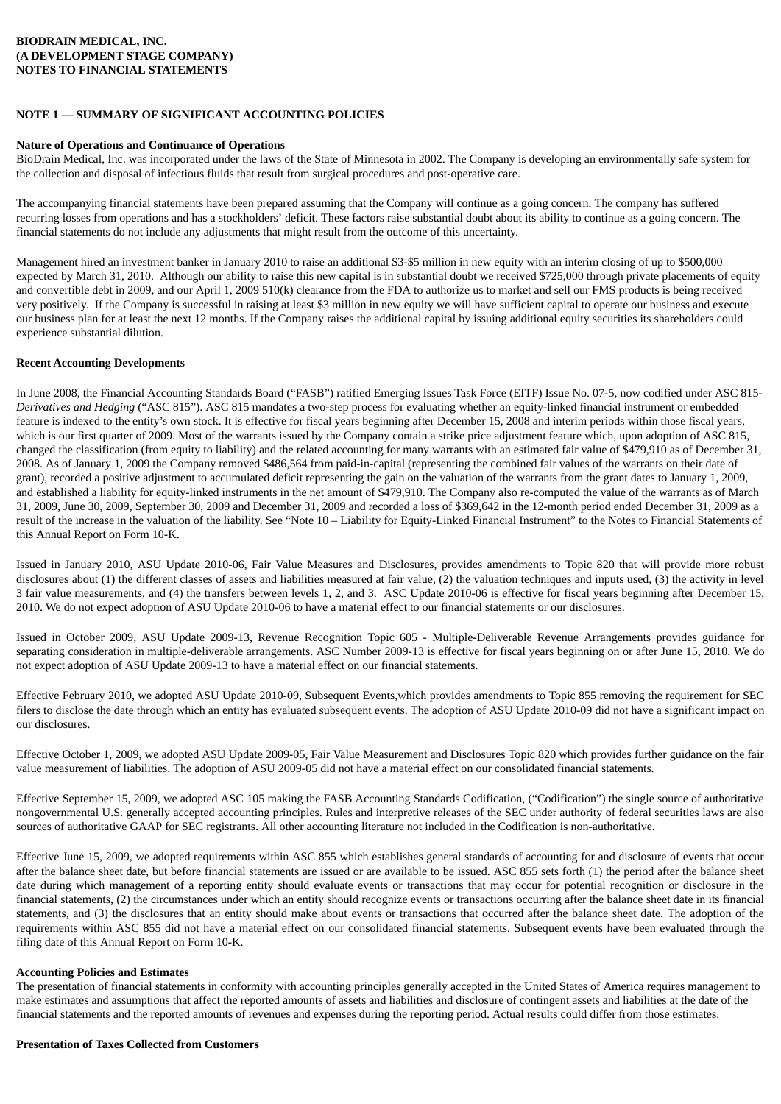# **NOTE 1 — SUMMARY OF SIGNIFICANT ACCOUNTING POLICIES**

### **Nature of Operations and Continuance of Operations**

BioDrain Medical, Inc. was incorporated under the laws of the State of Minnesota in 2002. The Company is developing an environmentally safe system for the collection and disposal of infectious fluids that result from surgical procedures and post-operative care.

The accompanying financial statements have been prepared assuming that the Company will continue as a going concern. The company has suffered recurring losses from operations and has a stockholders' deficit. These factors raise substantial doubt about its ability to continue as a going concern. The financial statements do not include any adjustments that might result from the outcome of this uncertainty.

Management hired an investment banker in January 2010 to raise an additional \$3-\$5 million in new equity with an interim closing of up to \$500,000 expected by March 31, 2010. Although our ability to raise this new capital is in substantial doubt we received \$725,000 through private placements of equity and convertible debt in 2009, and our April 1, 2009 510(k) clearance from the FDA to authorize us to market and sell our FMS products is being received very positively. If the Company is successful in raising at least \$3 million in new equity we will have sufficient capital to operate our business and execute our business plan for at least the next 12 months. If the Company raises the additional capital by issuing additional equity securities its shareholders could experience substantial dilution.

### **Recent Accounting Developments**

In June 2008, the Financial Accounting Standards Board ("FASB") ratified Emerging Issues Task Force (EITF) Issue No. 07-5, now codified under ASC 815- *Derivatives and Hedging* ("ASC 815"). ASC 815 mandates a two-step process for evaluating whether an equity-linked financial instrument or embedded feature is indexed to the entity's own stock. It is effective for fiscal years beginning after December 15, 2008 and interim periods within those fiscal years, which is our first quarter of 2009. Most of the warrants issued by the Company contain a strike price adjustment feature which, upon adoption of ASC 815, changed the classification (from equity to liability) and the related accounting for many warrants with an estimated fair value of \$479,910 as of December 31, 2008. As of January 1, 2009 the Company removed \$486,564 from paid-in-capital (representing the combined fair values of the warrants on their date of grant), recorded a positive adjustment to accumulated deficit representing the gain on the valuation of the warrants from the grant dates to January 1, 2009, and established a liability for equity-linked instruments in the net amount of \$479,910. The Company also re-computed the value of the warrants as of March 31, 2009, June 30, 2009, September 30, 2009 and December 31, 2009 and recorded a loss of \$369,642 in the 12-month period ended December 31, 2009 as a result of the increase in the valuation of the liability. See "Note 10 – Liability for Equity-Linked Financial Instrument" to the Notes to Financial Statements of this Annual Report on Form 10-K.

Issued in January 2010, ASU Update 2010-06, Fair Value Measures and Disclosures, provides amendments to Topic 820 that will provide more robust disclosures about (1) the different classes of assets and liabilities measured at fair value, (2) the valuation techniques and inputs used, (3) the activity in level 3 fair value measurements, and (4) the transfers between levels 1, 2, and 3. ASC Update 2010-06 is effective for fiscal years beginning after December 15, 2010. We do not expect adoption of ASU Update 2010-06 to have a material effect to our financial statements or our disclosures.

Issued in October 2009, ASU Update 2009-13, Revenue Recognition Topic 605 - Multiple-Deliverable Revenue Arrangements provides guidance for separating consideration in multiple-deliverable arrangements. ASC Number 2009-13 is effective for fiscal years beginning on or after June 15, 2010. We do not expect adoption of ASU Update 2009-13 to have a material effect on our financial statements.

Effective February 2010, we adopted ASU Update 2010-09, Subsequent Events,which provides amendments to Topic 855 removing the requirement for SEC filers to disclose the date through which an entity has evaluated subsequent events. The adoption of ASU Update 2010-09 did not have a significant impact on our disclosures.

Effective October 1, 2009, we adopted ASU Update 2009-05, Fair Value Measurement and Disclosures Topic 820 which provides further guidance on the fair value measurement of liabilities. The adoption of ASU 2009-05 did not have a material effect on our consolidated financial statements.

Effective September 15, 2009, we adopted ASC 105 making the FASB Accounting Standards Codification, ("Codification") the single source of authoritative nongovernmental U.S. generally accepted accounting principles. Rules and interpretive releases of the SEC under authority of federal securities laws are also sources of authoritative GAAP for SEC registrants. All other accounting literature not included in the Codification is non-authoritative.

Effective June 15, 2009, we adopted requirements within ASC 855 which establishes general standards of accounting for and disclosure of events that occur after the balance sheet date, but before financial statements are issued or are available to be issued. ASC 855 sets forth (1) the period after the balance sheet date during which management of a reporting entity should evaluate events or transactions that may occur for potential recognition or disclosure in the financial statements, (2) the circumstances under which an entity should recognize events or transactions occurring after the balance sheet date in its financial statements, and (3) the disclosures that an entity should make about events or transactions that occurred after the balance sheet date. The adoption of the requirements within ASC 855 did not have a material effect on our consolidated financial statements. Subsequent events have been evaluated through the filing date of this Annual Report on Form 10-K.

### **Accounting Policies and Estimates**

The presentation of financial statements in conformity with accounting principles generally accepted in the United States of America requires management to make estimates and assumptions that affect the reported amounts of assets and liabilities and disclosure of contingent assets and liabilities at the date of the financial statements and the reported amounts of revenues and expenses during the reporting period. Actual results could differ from those estimates.

### **Presentation of Taxes Collected from Customers**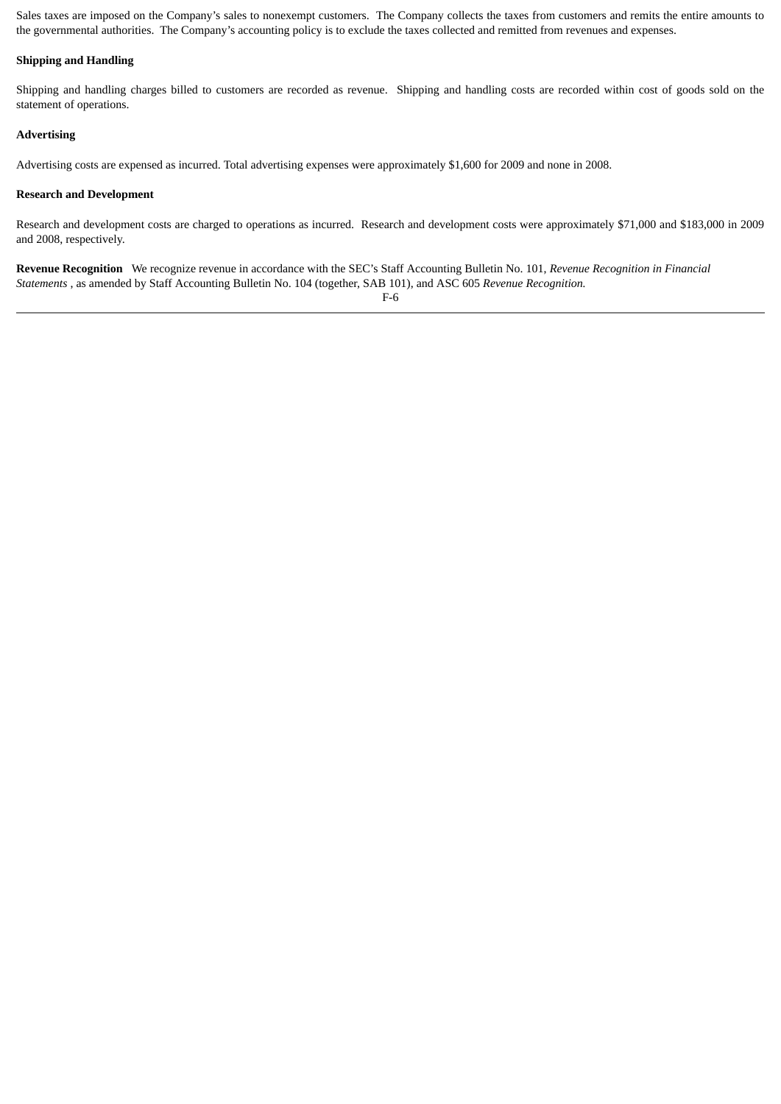Sales taxes are imposed on the Company's sales to nonexempt customers. The Company collects the taxes from customers and remits the entire amounts to the governmental authorities. The Company's accounting policy is to exclude the taxes collected and remitted from revenues and expenses.

# **Shipping and Handling**

Shipping and handling charges billed to customers are recorded as revenue. Shipping and handling costs are recorded within cost of goods sold on the statement of operations.

### **Advertising**

Advertising costs are expensed as incurred. Total advertising expenses were approximately \$1,600 for 2009 and none in 2008.

### **Research and Development**

Research and development costs are charged to operations as incurred. Research and development costs were approximately \$71,000 and \$183,000 in 2009 and 2008, respectively.

**Revenue Recognition** We recognize revenue in accordance with the SEC's Staff Accounting Bulletin No. 101, *Revenue Recognition in Financial Statements* , as amended by Staff Accounting Bulletin No. 104 (together, SAB 101), and ASC 605 *Revenue Recognition.*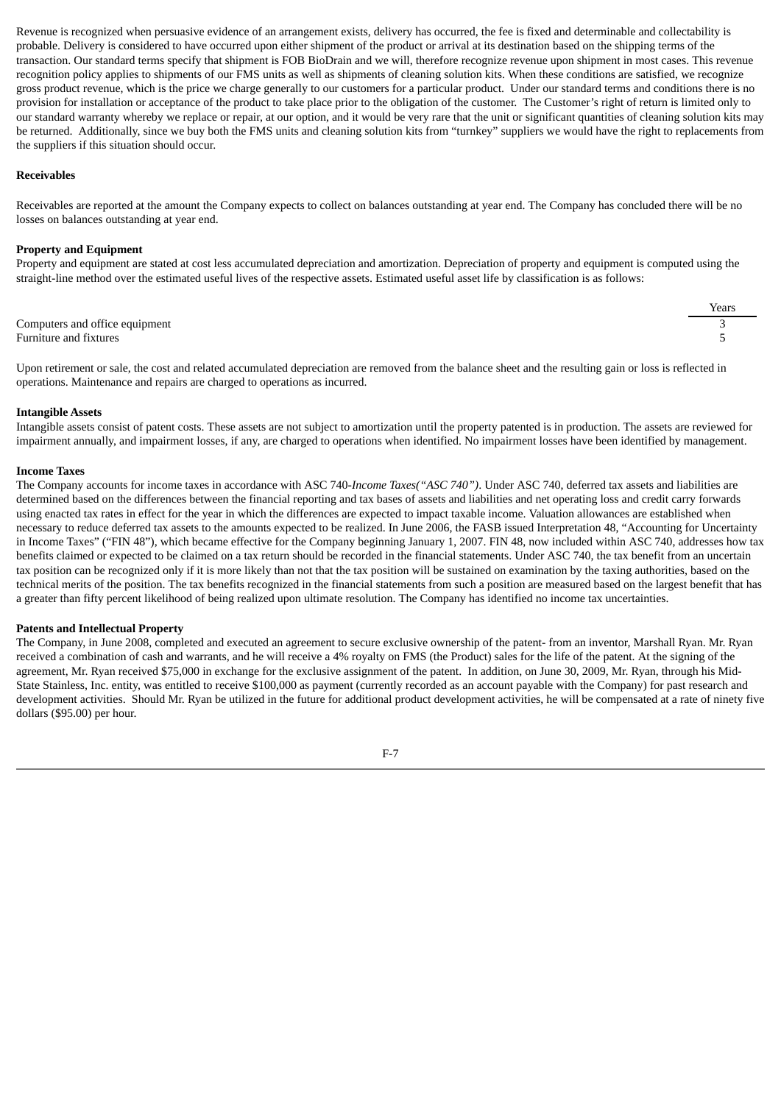Revenue is recognized when persuasive evidence of an arrangement exists, delivery has occurred, the fee is fixed and determinable and collectability is probable. Delivery is considered to have occurred upon either shipment of the product or arrival at its destination based on the shipping terms of the transaction. Our standard terms specify that shipment is FOB BioDrain and we will, therefore recognize revenue upon shipment in most cases. This revenue recognition policy applies to shipments of our FMS units as well as shipments of cleaning solution kits. When these conditions are satisfied, we recognize gross product revenue, which is the price we charge generally to our customers for a particular product. Under our standard terms and conditions there is no provision for installation or acceptance of the product to take place prior to the obligation of the customer. The Customer's right of return is limited only to our standard warranty whereby we replace or repair, at our option, and it would be very rare that the unit or significant quantities of cleaning solution kits may be returned. Additionally, since we buy both the FMS units and cleaning solution kits from "turnkey" suppliers we would have the right to replacements from the suppliers if this situation should occur.

### **Receivables**

Receivables are reported at the amount the Company expects to collect on balances outstanding at year end. The Company has concluded there will be no losses on balances outstanding at year end.

### **Property and Equipment**

Property and equipment are stated at cost less accumulated depreciation and amortization. Depreciation of property and equipment is computed using the straight-line method over the estimated useful lives of the respective assets. Estimated useful asset life by classification is as follows:

|                                | Years |
|--------------------------------|-------|
| Computers and office equipment |       |
| Furniture and fixtures         |       |

Upon retirement or sale, the cost and related accumulated depreciation are removed from the balance sheet and the resulting gain or loss is reflected in operations. Maintenance and repairs are charged to operations as incurred.

#### **Intangible Assets**

Intangible assets consist of patent costs. These assets are not subject to amortization until the property patented is in production. The assets are reviewed for impairment annually, and impairment losses, if any, are charged to operations when identified. No impairment losses have been identified by management.

#### **Income Taxes**

The Company accounts for income taxes in accordance with ASC 740-*Income Taxes("ASC 740")*. Under ASC 740, deferred tax assets and liabilities are determined based on the differences between the financial reporting and tax bases of assets and liabilities and net operating loss and credit carry forwards using enacted tax rates in effect for the year in which the differences are expected to impact taxable income. Valuation allowances are established when necessary to reduce deferred tax assets to the amounts expected to be realized. In June 2006, the FASB issued Interpretation 48, "Accounting for Uncertainty in Income Taxes" ("FIN 48"), which became effective for the Company beginning January 1, 2007. FIN 48, now included within ASC 740, addresses how tax benefits claimed or expected to be claimed on a tax return should be recorded in the financial statements. Under ASC 740, the tax benefit from an uncertain tax position can be recognized only if it is more likely than not that the tax position will be sustained on examination by the taxing authorities, based on the technical merits of the position. The tax benefits recognized in the financial statements from such a position are measured based on the largest benefit that has a greater than fifty percent likelihood of being realized upon ultimate resolution. The Company has identified no income tax uncertainties.

#### **Patents and Intellectual Property**

The Company, in June 2008, completed and executed an agreement to secure exclusive ownership of the patent- from an inventor, Marshall Ryan. Mr. Ryan received a combination of cash and warrants, and he will receive a 4% royalty on FMS (the Product) sales for the life of the patent. At the signing of the agreement, Mr. Ryan received \$75,000 in exchange for the exclusive assignment of the patent. In addition, on June 30, 2009, Mr. Ryan, through his Mid-State Stainless, Inc. entity, was entitled to receive \$100,000 as payment (currently recorded as an account payable with the Company) for past research and development activities. Should Mr. Ryan be utilized in the future for additional product development activities, he will be compensated at a rate of ninety five dollars (\$95.00) per hour.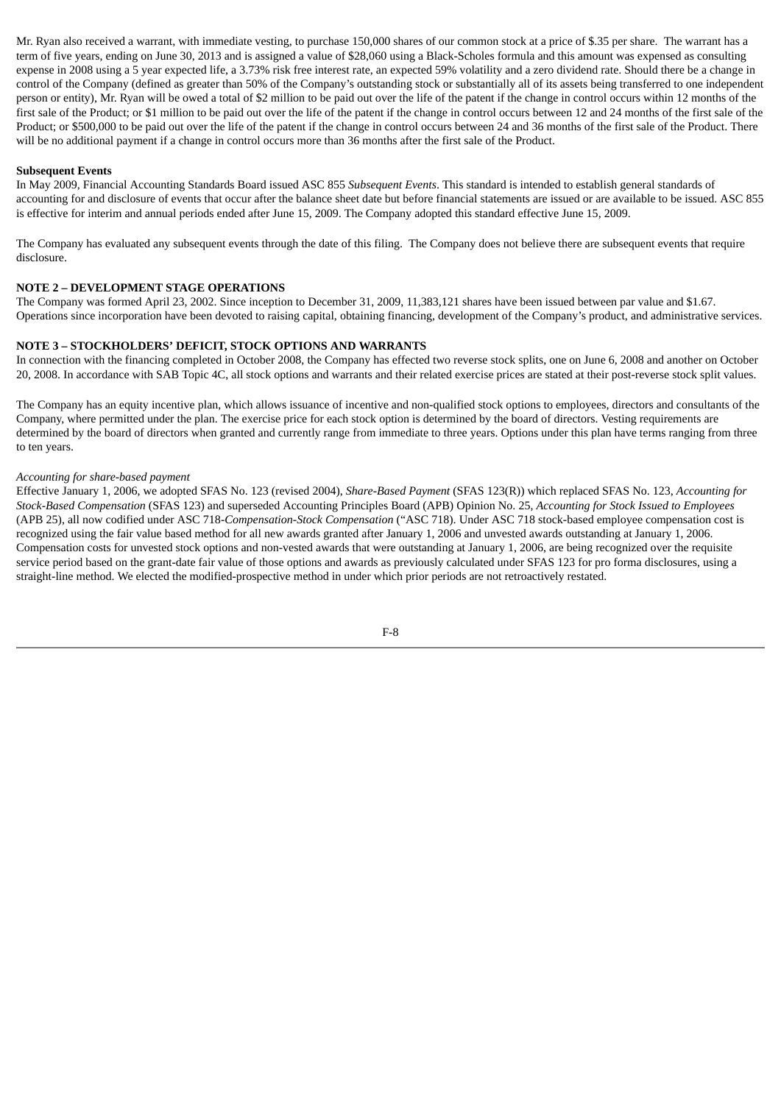Mr. Ryan also received a warrant, with immediate vesting, to purchase 150,000 shares of our common stock at a price of \$.35 per share. The warrant has a term of five years, ending on June 30, 2013 and is assigned a value of \$28,060 using a Black-Scholes formula and this amount was expensed as consulting expense in 2008 using a 5 year expected life, a 3.73% risk free interest rate, an expected 59% volatility and a zero dividend rate. Should there be a change in control of the Company (defined as greater than 50% of the Company's outstanding stock or substantially all of its assets being transferred to one independent person or entity), Mr. Ryan will be owed a total of \$2 million to be paid out over the life of the patent if the change in control occurs within 12 months of the first sale of the Product; or \$1 million to be paid out over the life of the patent if the change in control occurs between 12 and 24 months of the first sale of the Product; or \$500,000 to be paid out over the life of the patent if the change in control occurs between 24 and 36 months of the first sale of the Product. There will be no additional payment if a change in control occurs more than 36 months after the first sale of the Product.

# **Subsequent Events**

In May 2009, Financial Accounting Standards Board issued ASC 855 *Subsequent Events*. This standard is intended to establish general standards of accounting for and disclosure of events that occur after the balance sheet date but before financial statements are issued or are available to be issued. ASC 855 is effective for interim and annual periods ended after June 15, 2009. The Company adopted this standard effective June 15, 2009.

The Company has evaluated any subsequent events through the date of this filing. The Company does not believe there are subsequent events that require disclosure.

### **NOTE 2 – DEVELOPMENT STAGE OPERATIONS**

The Company was formed April 23, 2002. Since inception to December 31, 2009, 11,383,121 shares have been issued between par value and \$1.67. Operations since incorporation have been devoted to raising capital, obtaining financing, development of the Company's product, and administrative services.

### **NOTE 3 – STOCKHOLDERS' DEFICIT, STOCK OPTIONS AND WARRANTS**

In connection with the financing completed in October 2008, the Company has effected two reverse stock splits, one on June 6, 2008 and another on October 20, 2008. In accordance with SAB Topic 4C, all stock options and warrants and their related exercise prices are stated at their post-reverse stock split values.

The Company has an equity incentive plan, which allows issuance of incentive and non-qualified stock options to employees, directors and consultants of the Company, where permitted under the plan. The exercise price for each stock option is determined by the board of directors. Vesting requirements are determined by the board of directors when granted and currently range from immediate to three years. Options under this plan have terms ranging from three to ten years.

#### *Accounting for share-based payment*

Effective January 1, 2006, we adopted SFAS No. 123 (revised 2004), *Share-Based Payment* (SFAS 123(R)) which replaced SFAS No. 123, *Accounting for Stock-Based Compensation* (SFAS 123) and superseded Accounting Principles Board (APB) Opinion No. 25, *Accounting for Stock Issued to Employees* (APB 25), all now codified under ASC 718-*Compensation-Stock Compensation* ("ASC 718). Under ASC 718 stock-based employee compensation cost is recognized using the fair value based method for all new awards granted after January 1, 2006 and unvested awards outstanding at January 1, 2006. Compensation costs for unvested stock options and non-vested awards that were outstanding at January 1, 2006, are being recognized over the requisite service period based on the grant-date fair value of those options and awards as previously calculated under SFAS 123 for pro forma disclosures, using a straight-line method. We elected the modified-prospective method in under which prior periods are not retroactively restated.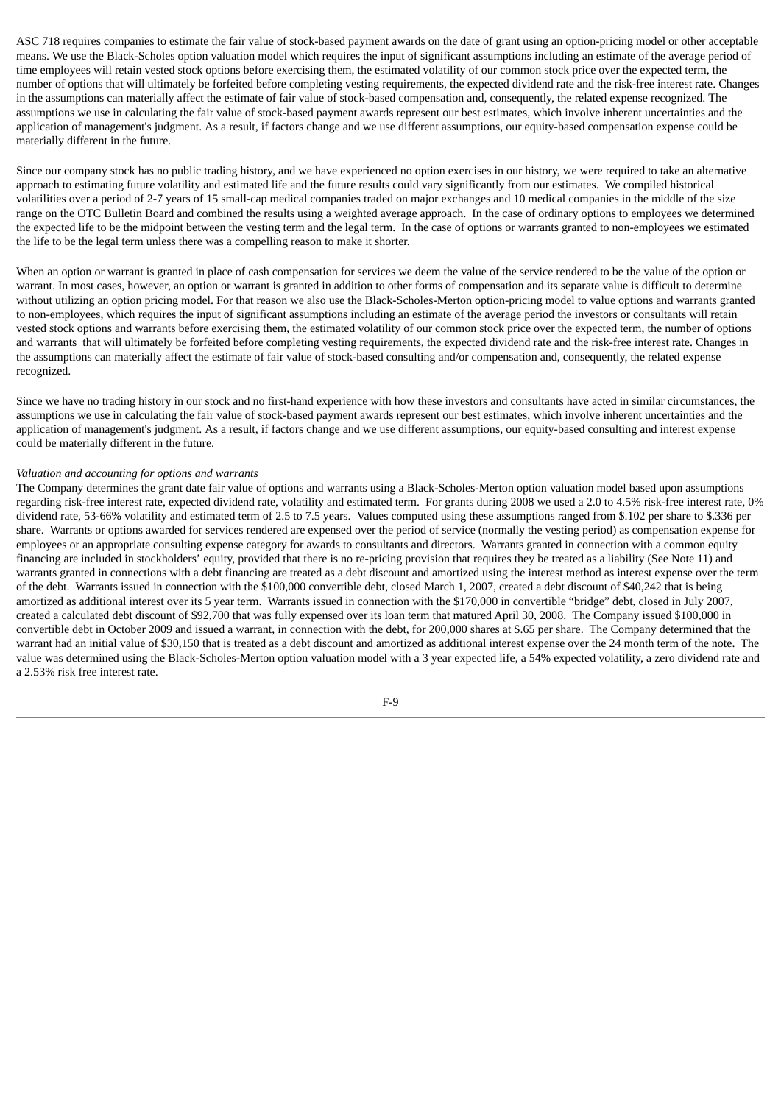ASC 718 requires companies to estimate the fair value of stock-based payment awards on the date of grant using an option-pricing model or other acceptable means. We use the Black-Scholes option valuation model which requires the input of significant assumptions including an estimate of the average period of time employees will retain vested stock options before exercising them, the estimated volatility of our common stock price over the expected term, the number of options that will ultimately be forfeited before completing vesting requirements, the expected dividend rate and the risk-free interest rate. Changes in the assumptions can materially affect the estimate of fair value of stock-based compensation and, consequently, the related expense recognized. The assumptions we use in calculating the fair value of stock-based payment awards represent our best estimates, which involve inherent uncertainties and the application of management's judgment. As a result, if factors change and we use different assumptions, our equity-based compensation expense could be materially different in the future.

Since our company stock has no public trading history, and we have experienced no option exercises in our history, we were required to take an alternative approach to estimating future volatility and estimated life and the future results could vary significantly from our estimates. We compiled historical volatilities over a period of 2-7 years of 15 small-cap medical companies traded on major exchanges and 10 medical companies in the middle of the size range on the OTC Bulletin Board and combined the results using a weighted average approach. In the case of ordinary options to employees we determined the expected life to be the midpoint between the vesting term and the legal term. In the case of options or warrants granted to non-employees we estimated the life to be the legal term unless there was a compelling reason to make it shorter.

When an option or warrant is granted in place of cash compensation for services we deem the value of the service rendered to be the value of the option or warrant. In most cases, however, an option or warrant is granted in addition to other forms of compensation and its separate value is difficult to determine without utilizing an option pricing model. For that reason we also use the Black-Scholes-Merton option-pricing model to value options and warrants granted to non-employees, which requires the input of significant assumptions including an estimate of the average period the investors or consultants will retain vested stock options and warrants before exercising them, the estimated volatility of our common stock price over the expected term, the number of options and warrants that will ultimately be forfeited before completing vesting requirements, the expected dividend rate and the risk-free interest rate. Changes in the assumptions can materially affect the estimate of fair value of stock-based consulting and/or compensation and, consequently, the related expense recognized.

Since we have no trading history in our stock and no first-hand experience with how these investors and consultants have acted in similar circumstances, the assumptions we use in calculating the fair value of stock-based payment awards represent our best estimates, which involve inherent uncertainties and the application of management's judgment. As a result, if factors change and we use different assumptions, our equity-based consulting and interest expense could be materially different in the future.

#### *Valuation and accounting for options and warrants*

The Company determines the grant date fair value of options and warrants using a Black-Scholes-Merton option valuation model based upon assumptions regarding risk-free interest rate, expected dividend rate, volatility and estimated term. For grants during 2008 we used a 2.0 to 4.5% risk-free interest rate, 0% dividend rate, 53-66% volatility and estimated term of 2.5 to 7.5 years. Values computed using these assumptions ranged from \$.102 per share to \$.336 per share. Warrants or options awarded for services rendered are expensed over the period of service (normally the vesting period) as compensation expense for employees or an appropriate consulting expense category for awards to consultants and directors. Warrants granted in connection with a common equity financing are included in stockholders' equity, provided that there is no re-pricing provision that requires they be treated as a liability (See Note 11) and warrants granted in connections with a debt financing are treated as a debt discount and amortized using the interest method as interest expense over the term of the debt. Warrants issued in connection with the \$100,000 convertible debt, closed March 1, 2007, created a debt discount of \$40,242 that is being amortized as additional interest over its 5 year term. Warrants issued in connection with the \$170,000 in convertible "bridge" debt, closed in July 2007, created a calculated debt discount of \$92,700 that was fully expensed over its loan term that matured April 30, 2008. The Company issued \$100,000 in convertible debt in October 2009 and issued a warrant, in connection with the debt, for 200,000 shares at \$.65 per share. The Company determined that the warrant had an initial value of \$30,150 that is treated as a debt discount and amortized as additional interest expense over the 24 month term of the note. The value was determined using the Black-Scholes-Merton option valuation model with a 3 year expected life, a 54% expected volatility, a zero dividend rate and a 2.53% risk free interest rate.

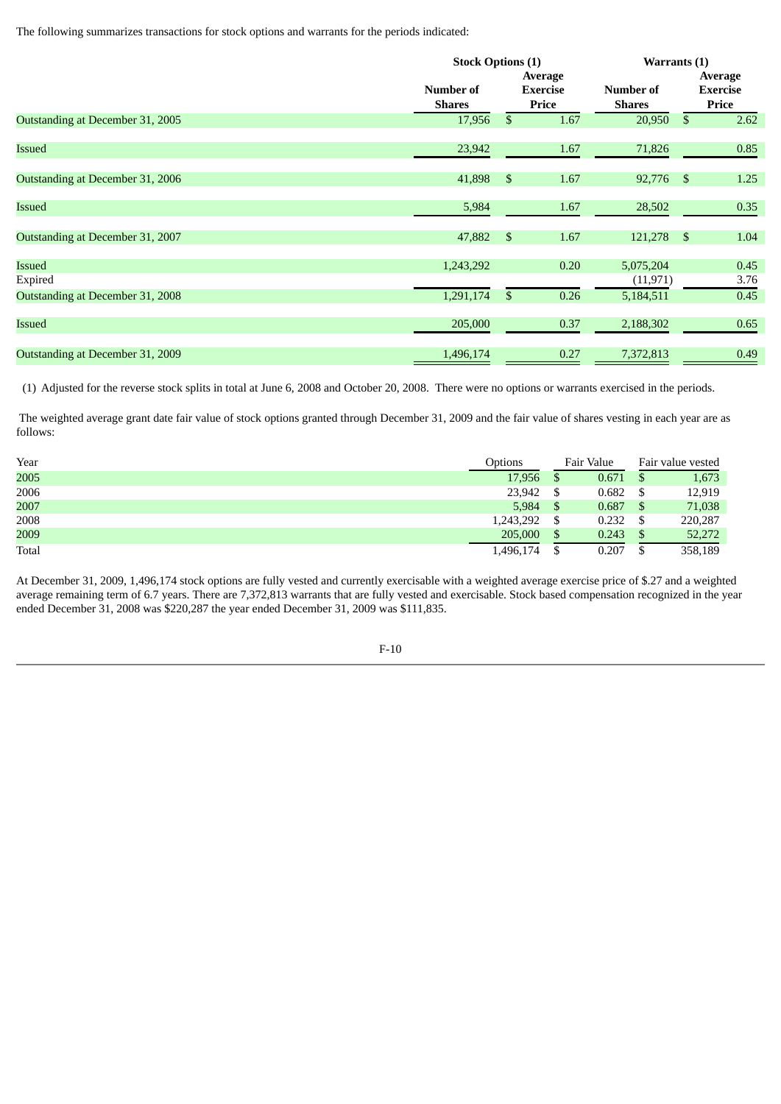The following summarizes transactions for stock options and warrants for the periods indicated:

|                                  |                            | <b>Stock Options (1)</b> |                                     |                            | Warrants (1)   |                                     |  |  |
|----------------------------------|----------------------------|--------------------------|-------------------------------------|----------------------------|----------------|-------------------------------------|--|--|
|                                  | Number of<br><b>Shares</b> |                          | Average<br><b>Exercise</b><br>Price | Number of<br><b>Shares</b> |                | Average<br><b>Exercise</b><br>Price |  |  |
| Outstanding at December 31, 2005 | 17,956                     | \$                       | 1.67                                | 20,950                     | <sup>\$</sup>  | 2.62                                |  |  |
| <b>Issued</b>                    | 23,942                     |                          | 1.67                                | 71,826                     |                | 0.85                                |  |  |
| Outstanding at December 31, 2006 | 41,898                     | \$                       | 1.67                                | 92,776                     | $\mathfrak{S}$ | 1.25                                |  |  |
| <b>Issued</b>                    | 5,984                      |                          | 1.67                                | 28,502                     |                | 0.35                                |  |  |
| Outstanding at December 31, 2007 | 47,882                     | \$                       | 1.67                                | 121,278                    | $\mathfrak{S}$ | 1.04                                |  |  |
| Issued<br>Expired                | 1,243,292                  |                          | 0.20                                | 5,075,204<br>(11, 971)     |                | 0.45<br>3.76                        |  |  |
| Outstanding at December 31, 2008 | 1,291,174                  | $\mathbb{S}$             | 0.26                                | 5,184,511                  |                | 0.45                                |  |  |
| Issued                           | 205,000                    |                          | 0.37                                | 2,188,302                  |                | 0.65                                |  |  |
| Outstanding at December 31, 2009 | 1,496,174                  |                          | 0.27                                | 7,372,813                  |                | 0.49                                |  |  |

(1) Adjusted for the reverse stock splits in total at June 6, 2008 and October 20, 2008. There were no options or warrants exercised in the periods.

The weighted average grant date fair value of stock options granted through December 31, 2009 and the fair value of shares vesting in each year are as follows:

| Year  | Options   | Fair Value |       | Fair value vested |         |
|-------|-----------|------------|-------|-------------------|---------|
| 2005  | 17,956    |            | 0.671 | <sup>\$</sup>     | 1,673   |
| 2006  | 23,942    |            | 0.682 |                   | 12,919  |
| 2007  | 5,984     |            | 0.687 |                   | 71,038  |
| 2008  | 1,243,292 |            | 0.232 |                   | 220,287 |
| 2009  | 205,000   |            | 0.243 |                   | 52,272  |
| Total | 1,496,174 |            | 0.207 |                   | 358,189 |

At December 31, 2009, 1,496,174 stock options are fully vested and currently exercisable with a weighted average exercise price of \$.27 and a weighted average remaining term of 6.7 years. There are 7,372,813 warrants that are fully vested and exercisable. Stock based compensation recognized in the year ended December 31, 2008 was \$220,287 the year ended December 31, 2009 was \$111,835.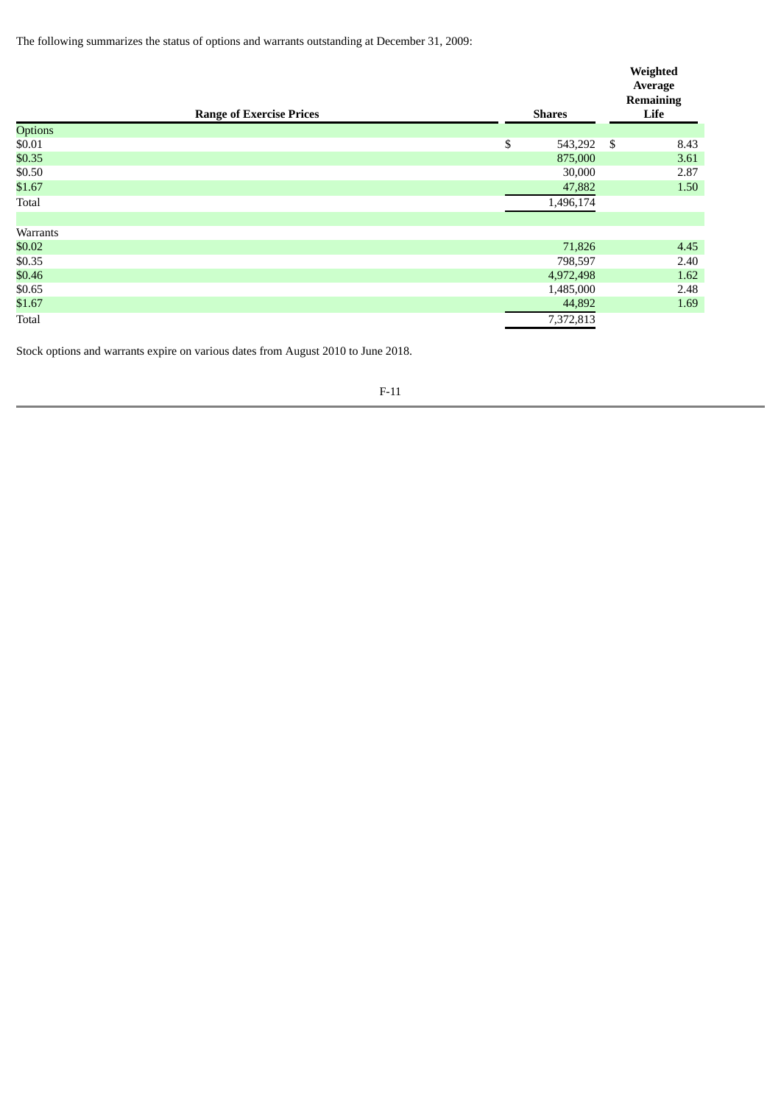The following summarizes the status of options and warrants outstanding at December 31, 2009:

|          | <b>Range of Exercise Prices</b> | <b>Shares</b> | Weighted<br>Average<br><b>Remaining</b><br>Life |
|----------|---------------------------------|---------------|-------------------------------------------------|
| Options  |                                 |               |                                                 |
| \$0.01   |                                 | \$<br>543,292 | \$<br>8.43                                      |
| \$0.35   |                                 | 875,000       | 3.61                                            |
| \$0.50   |                                 | 30,000        | 2.87                                            |
| \$1.67   |                                 | 47,882        | 1.50                                            |
| Total    |                                 | 1,496,174     |                                                 |
|          |                                 |               |                                                 |
| Warrants |                                 |               |                                                 |
| \$0.02   |                                 | 71,826        | 4.45                                            |
| \$0.35   |                                 | 798,597       | 2.40                                            |
| \$0.46   |                                 | 4,972,498     | 1.62                                            |
| \$0.65   |                                 | 1,485,000     | 2.48                                            |
| \$1.67   |                                 | 44,892        | 1.69                                            |
| Total    |                                 | 7,372,813     |                                                 |

Stock options and warrants expire on various dates from August 2010 to June 2018.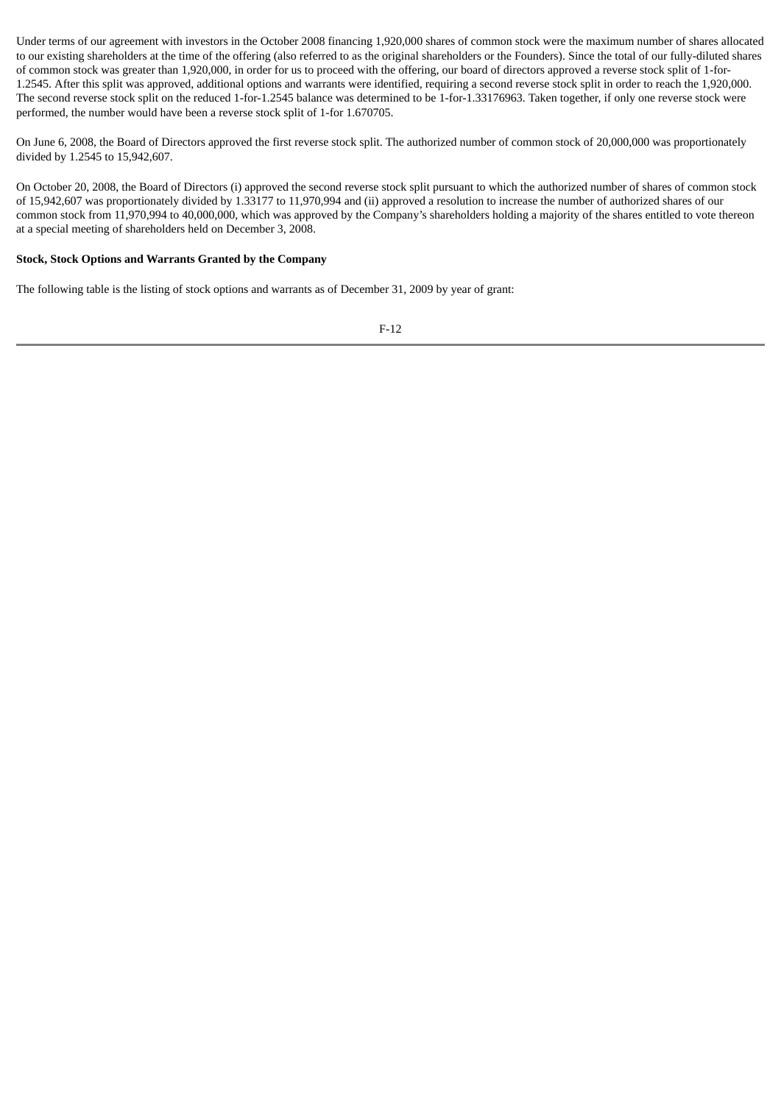Under terms of our agreement with investors in the October 2008 financing 1,920,000 shares of common stock were the maximum number of shares allocated to our existing shareholders at the time of the offering (also referred to as the original shareholders or the Founders). Since the total of our fully-diluted shares of common stock was greater than 1,920,000, in order for us to proceed with the offering, our board of directors approved a reverse stock split of 1-for-1.2545. After this split was approved, additional options and warrants were identified, requiring a second reverse stock split in order to reach the 1,920,000. The second reverse stock split on the reduced 1-for-1.2545 balance was determined to be 1-for-1.33176963. Taken together, if only one reverse stock were performed, the number would have been a reverse stock split of 1-for 1.670705.

On June 6, 2008, the Board of Directors approved the first reverse stock split. The authorized number of common stock of 20,000,000 was proportionately divided by 1.2545 to 15,942,607.

On October 20, 2008, the Board of Directors (i) approved the second reverse stock split pursuant to which the authorized number of shares of common stock of 15,942,607 was proportionately divided by 1.33177 to 11,970,994 and (ii) approved a resolution to increase the number of authorized shares of our common stock from 11,970,994 to 40,000,000, which was approved by the Company's shareholders holding a majority of the shares entitled to vote thereon at a special meeting of shareholders held on December 3, 2008.

### **Stock, Stock Options and Warrants Granted by the Company**

The following table is the listing of stock options and warrants as of December 31, 2009 by year of grant: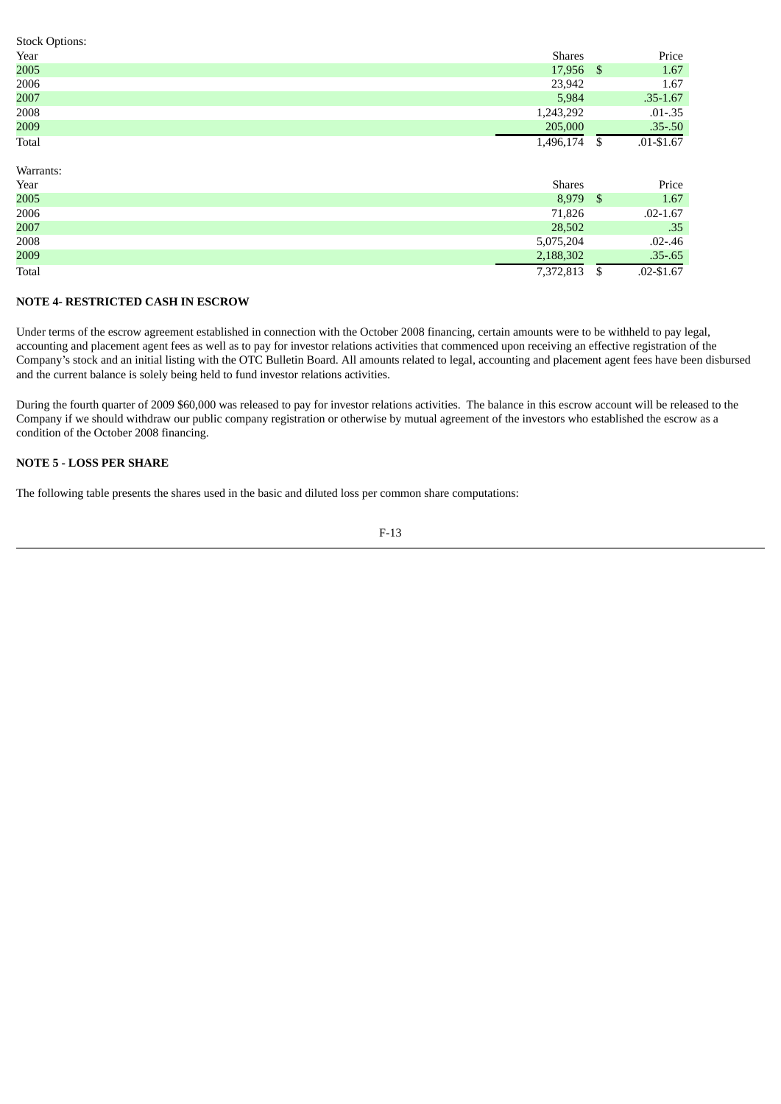| <b>Stock Options:</b> |               |      |               |
|-----------------------|---------------|------|---------------|
| Year                  | <b>Shares</b> |      | Price         |
| 2005                  | 17,956        | - \$ | 1.67          |
| 2006                  | 23,942        |      | 1.67          |
| 2007                  | 5,984         |      | $.35 - 1.67$  |
| 2008                  | 1,243,292     |      | $.01 - .35$   |
| 2009                  | 205,000       |      | $.35 - .50$   |
| Total                 | 1,496,174     |      | $.01 - $1.67$ |

Warrants:

| Year  | <b>Shares</b> | Price         |
|-------|---------------|---------------|
| 2005  | 8,979         | 1.67          |
| 2006  | 71,826        | $.02 - 1.67$  |
| 2007  | 28,502        | .35           |
| 2008  | 5,075,204     | $.02 - .46$   |
| 2009  | 2,188,302     | $.35 - .65$   |
| Total | 7,372,813     | $.02 - $1.67$ |

# **NOTE 4- RESTRICTED CASH IN ESCROW**

Under terms of the escrow agreement established in connection with the October 2008 financing, certain amounts were to be withheld to pay legal, accounting and placement agent fees as well as to pay for investor relations activities that commenced upon receiving an effective registration of the Company's stock and an initial listing with the OTC Bulletin Board. All amounts related to legal, accounting and placement agent fees have been disbursed and the current balance is solely being held to fund investor relations activities.

During the fourth quarter of 2009 \$60,000 was released to pay for investor relations activities. The balance in this escrow account will be released to the Company if we should withdraw our public company registration or otherwise by mutual agreement of the investors who established the escrow as a condition of the October 2008 financing.

# **NOTE 5 - LOSS PER SHARE**

The following table presents the shares used in the basic and diluted loss per common share computations:

$$
F-13
$$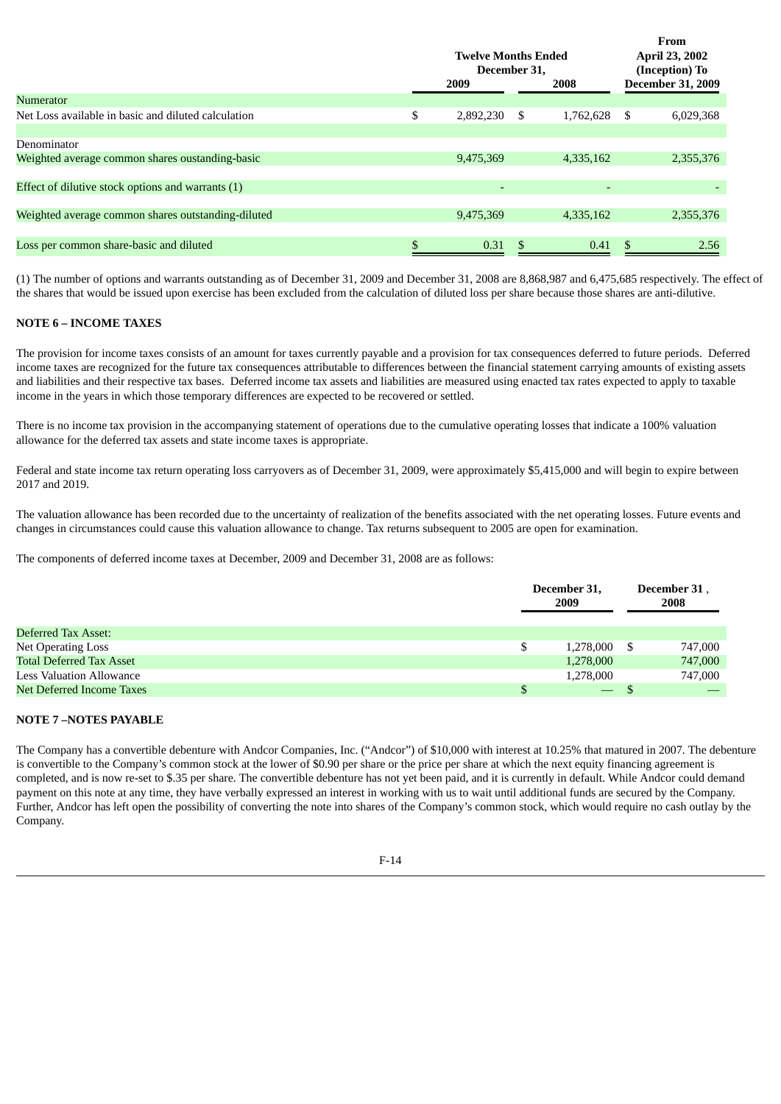|                                                     | <b>Twelve Months Ended</b><br>December 31, |           |    | <b>From</b><br>April 23, 2002<br>(Inception) To<br><b>December 31, 2009</b> |    |           |
|-----------------------------------------------------|--------------------------------------------|-----------|----|-----------------------------------------------------------------------------|----|-----------|
|                                                     |                                            | 2009      |    | 2008                                                                        |    |           |
| Numerator                                           |                                            |           |    |                                                                             |    |           |
| Net Loss available in basic and diluted calculation | \$                                         | 2,892,230 | \$ | 1,762,628                                                                   | S. | 6,029,368 |
|                                                     |                                            |           |    |                                                                             |    |           |
| Denominator                                         |                                            |           |    |                                                                             |    |           |
| Weighted average common shares oustanding-basic     |                                            | 9,475,369 |    | 4,335,162                                                                   |    | 2,355,376 |
|                                                     |                                            |           |    |                                                                             |    |           |
| Effect of dilutive stock options and warrants (1)   |                                            |           |    |                                                                             |    |           |
|                                                     |                                            |           |    |                                                                             |    |           |
| Weighted average common shares outstanding-diluted  |                                            | 9,475,369 |    | 4,335,162                                                                   |    | 2,355,376 |
|                                                     |                                            |           |    |                                                                             |    |           |
| Loss per common share-basic and diluted             |                                            | 0.31      |    | 0.41                                                                        |    | 2.56      |
|                                                     |                                            |           |    |                                                                             |    |           |

(1) The number of options and warrants outstanding as of December 31, 2009 and December 31, 2008 are 8,868,987 and 6,475,685 respectively. The effect of the shares that would be issued upon exercise has been excluded from the calculation of diluted loss per share because those shares are anti-dilutive.

# **NOTE 6 – INCOME TAXES**

The provision for income taxes consists of an amount for taxes currently payable and a provision for tax consequences deferred to future periods. Deferred income taxes are recognized for the future tax consequences attributable to differences between the financial statement carrying amounts of existing assets and liabilities and their respective tax bases. Deferred income tax assets and liabilities are measured using enacted tax rates expected to apply to taxable income in the years in which those temporary differences are expected to be recovered or settled.

There is no income tax provision in the accompanying statement of operations due to the cumulative operating losses that indicate a 100% valuation allowance for the deferred tax assets and state income taxes is appropriate.

Federal and state income tax return operating loss carryovers as of December 31, 2009, were approximately \$5,415,000 and will begin to expire between 2017 and 2019.

The valuation allowance has been recorded due to the uncertainty of realization of the benefits associated with the net operating losses. Future events and changes in circumstances could cause this valuation allowance to change. Tax returns subsequent to 2005 are open for examination.

The components of deferred income taxes at December, 2009 and December 31, 2008 are as follows:

|                                 | December 31,<br>2009     |      | December 31.<br>2008 |
|---------------------------------|--------------------------|------|----------------------|
| Deferred Tax Asset:             |                          |      |                      |
| Net Operating Loss              | \$<br>1,278,000          | - \$ | 747,000              |
| <b>Total Deferred Tax Asset</b> | 1,278,000                |      | 747,000              |
| <b>Less Valuation Allowance</b> | 1,278,000                |      | 747,000              |
| Net Deferred Income Taxes       | $\overline{\phantom{0}}$ |      |                      |

### **NOTE 7 –NOTES PAYABLE**

The Company has a convertible debenture with Andcor Companies, Inc. ("Andcor") of \$10,000 with interest at 10.25% that matured in 2007. The debenture is convertible to the Company's common stock at the lower of \$0.90 per share or the price per share at which the next equity financing agreement is completed, and is now re-set to \$.35 per share. The convertible debenture has not yet been paid, and it is currently in default. While Andcor could demand payment on this note at any time, they have verbally expressed an interest in working with us to wait until additional funds are secured by the Company. Further, Andcor has left open the possibility of converting the note into shares of the Company's common stock, which would require no cash outlay by the Company.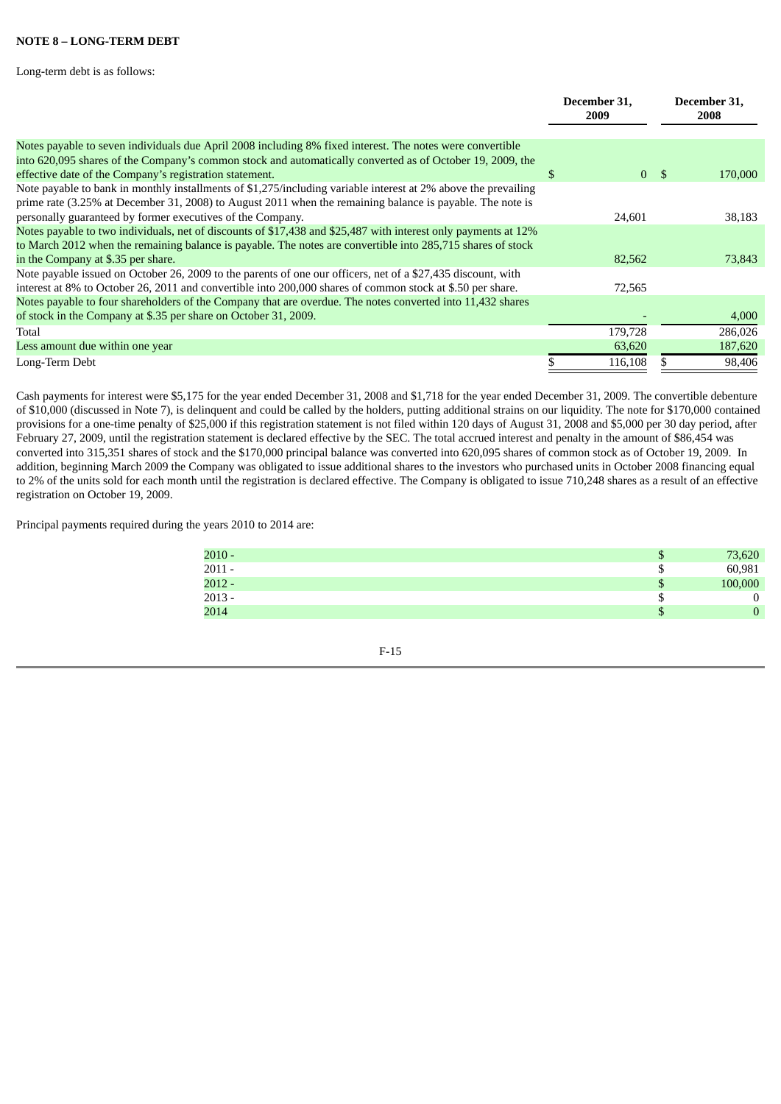# **NOTE 8 – LONG-TERM DEBT**

Long-term debt is as follows:

|                                                                                                                                                                                                                                                                                           | December 31,<br>2009 |                | December 31,<br>2008 |
|-------------------------------------------------------------------------------------------------------------------------------------------------------------------------------------------------------------------------------------------------------------------------------------------|----------------------|----------------|----------------------|
| Notes payable to seven individuals due April 2008 including 8% fixed interest. The notes were convertible                                                                                                                                                                                 |                      |                |                      |
| into 620,095 shares of the Company's common stock and automatically converted as of October 19, 2009, the<br>effective date of the Company's registration statement.                                                                                                                      | S                    | 0 <sup>5</sup> | 170,000              |
| Note payable to bank in monthly installments of \$1,275/including variable interest at 2% above the prevailing<br>prime rate (3.25% at December 31, 2008) to August 2011 when the remaining balance is payable. The note is<br>personally guaranteed by former executives of the Company. | 24,601               |                | 38,183               |
| Notes payable to two individuals, net of discounts of \$17,438 and \$25,487 with interest only payments at 12%                                                                                                                                                                            |                      |                |                      |
| to March 2012 when the remaining balance is payable. The notes are convertible into 285,715 shares of stock                                                                                                                                                                               |                      |                |                      |
| in the Company at \$.35 per share.                                                                                                                                                                                                                                                        | 82,562               |                | 73,843               |
| Note payable issued on October 26, 2009 to the parents of one our officers, net of a \$27,435 discount, with                                                                                                                                                                              |                      |                |                      |
| interest at 8% to October 26, 2011 and convertible into 200,000 shares of common stock at \$.50 per share.                                                                                                                                                                                | 72,565               |                |                      |
| Notes payable to four shareholders of the Company that are overdue. The notes converted into 11,432 shares                                                                                                                                                                                |                      |                |                      |
| of stock in the Company at \$.35 per share on October 31, 2009.                                                                                                                                                                                                                           |                      |                | 4,000                |
| Total                                                                                                                                                                                                                                                                                     | 179,728              |                | 286,026              |
| Less amount due within one year                                                                                                                                                                                                                                                           | 63,620               |                | 187,620              |
| Long-Term Debt                                                                                                                                                                                                                                                                            | 116,108              |                | 98,406               |

Cash payments for interest were \$5,175 for the year ended December 31, 2008 and \$1,718 for the year ended December 31, 2009. The convertible debenture of \$10,000 (discussed in Note 7), is delinquent and could be called by the holders, putting additional strains on our liquidity. The note for \$170,000 contained provisions for a one-time penalty of \$25,000 if this registration statement is not filed within 120 days of August 31, 2008 and \$5,000 per 30 day period, after February 27, 2009, until the registration statement is declared effective by the SEC. The total accrued interest and penalty in the amount of \$86,454 was converted into 315,351 shares of stock and the \$170,000 principal balance was converted into 620,095 shares of common stock as of October 19, 2009. In addition, beginning March 2009 the Company was obligated to issue additional shares to the investors who purchased units in October 2008 financing equal to 2% of the units sold for each month until the registration is declared effective. The Company is obligated to issue 710,248 shares as a result of an effective registration on October 19, 2009.

Principal payments required during the years 2010 to 2014 are:

| $2010 -$ |   | 73,620  |
|----------|---|---------|
| $2011 -$ | Œ | 60,981  |
| $2012 -$ | ъ | 100,000 |
| $2013 -$ |   | 0       |
| 2014     |   | 0       |
|          |   |         |

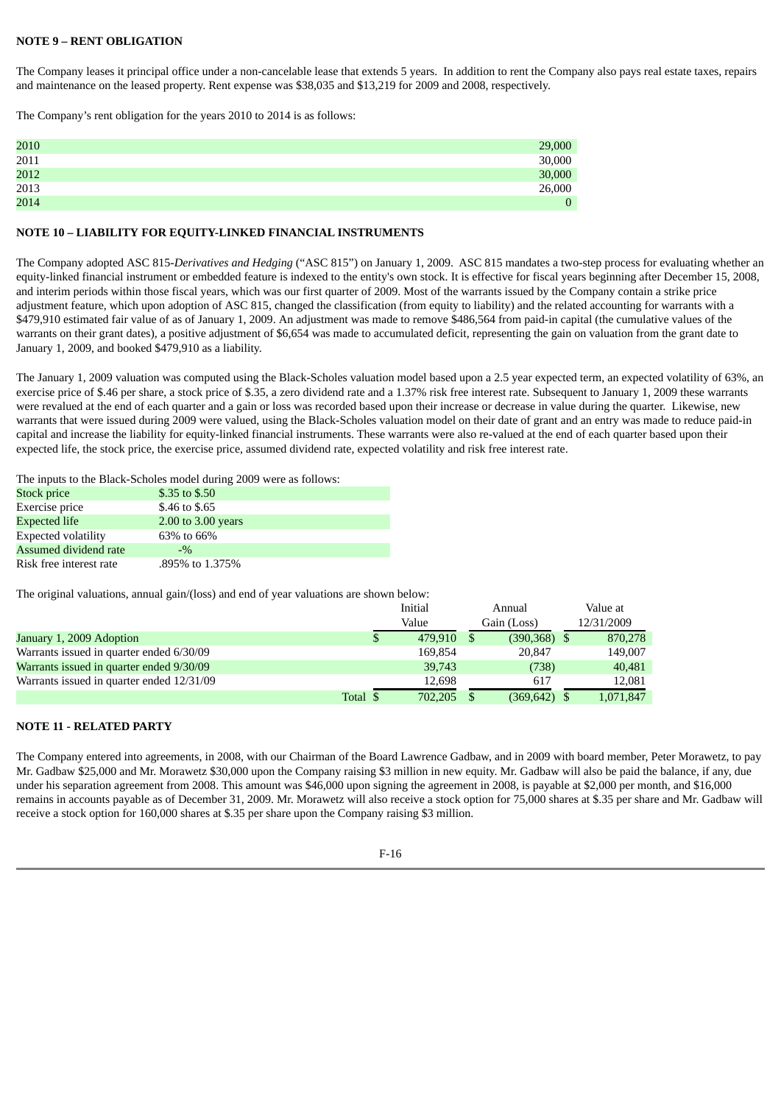# **NOTE 9 – RENT OBLIGATION**

The Company leases it principal office under a non-cancelable lease that extends 5 years. In addition to rent the Company also pays real estate taxes, repairs and maintenance on the leased property. Rent expense was \$38,035 and \$13,219 for 2009 and 2008, respectively.

The Company's rent obligation for the years 2010 to 2014 is as follows:

| 2010 | 29,000         |
|------|----------------|
| 2011 | 30,000         |
| 2012 | 30,000         |
| 2013 | 26,000         |
| 2014 | $\overline{0}$ |

#### **NOTE 10 – LIABILITY FOR EQUITY-LINKED FINANCIAL INSTRUMENTS**

The Company adopted ASC 815-*Derivatives and Hedging* ("ASC 815") on January 1, 2009. ASC 815 mandates a two-step process for evaluating whether an equity-linked financial instrument or embedded feature is indexed to the entity's own stock. It is effective for fiscal years beginning after December 15, 2008, and interim periods within those fiscal years, which was our first quarter of 2009. Most of the warrants issued by the Company contain a strike price adjustment feature, which upon adoption of ASC 815, changed the classification (from equity to liability) and the related accounting for warrants with a \$479,910 estimated fair value of as of January 1, 2009. An adjustment was made to remove \$486,564 from paid-in capital (the cumulative values of the warrants on their grant dates), a positive adjustment of \$6,654 was made to accumulated deficit, representing the gain on valuation from the grant date to January 1, 2009, and booked \$479,910 as a liability.

The January 1, 2009 valuation was computed using the Black-Scholes valuation model based upon a 2.5 year expected term, an expected volatility of 63%, an exercise price of \$.46 per share, a stock price of \$.35, a zero dividend rate and a 1.37% risk free interest rate. Subsequent to January 1, 2009 these warrants were revalued at the end of each quarter and a gain or loss was recorded based upon their increase or decrease in value during the quarter. Likewise, new warrants that were issued during 2009 were valued, using the Black-Scholes valuation model on their date of grant and an entry was made to reduce paid-in capital and increase the liability for equity-linked financial instruments. These warrants were also re-valued at the end of each quarter based upon their expected life, the stock price, the exercise price, assumed dividend rate, expected volatility and risk free interest rate.

The inputs to the Black-Scholes model during 2009 were as follows:

| <b>Stock price</b>         | \$.35 to \$.50     |  |
|----------------------------|--------------------|--|
| Exercise price             | \$.46 to \$.65     |  |
| Expected life              | 2.00 to 3.00 years |  |
| <b>Expected volatility</b> | 63% to 66%         |  |
| Assumed dividend rate      | $-9/2$             |  |
| Risk free interest rate    | .895% to 1.375%    |  |

The original valuations, annual gain/(loss) and end of year valuations are shown below:

|                                           |          | Initial       | Annual          | Value at   |
|-------------------------------------------|----------|---------------|-----------------|------------|
|                                           |          | Value         | Gain (Loss)     | 12/31/2009 |
| January 1, 2009 Adoption                  |          | \$<br>479.910 | $(390, 368)$ \$ | 870,278    |
| Warrants issued in quarter ended 6/30/09  |          | 169.854       | 20.847          | 149,007    |
| Warrants issued in quarter ended 9/30/09  |          | 39,743        | (738)           | 40,481     |
| Warrants issued in quarter ended 12/31/09 |          | 12.698        | 617             | 12.081     |
|                                           | Total \$ | 702.205       | $(369, 642)$ \$ | 1,071,847  |

# **NOTE 11 - RELATED PARTY**

The Company entered into agreements, in 2008, with our Chairman of the Board Lawrence Gadbaw, and in 2009 with board member, Peter Morawetz, to pay Mr. Gadbaw \$25,000 and Mr. Morawetz \$30,000 upon the Company raising \$3 million in new equity. Mr. Gadbaw will also be paid the balance, if any, due under his separation agreement from 2008. This amount was \$46,000 upon signing the agreement in 2008, is payable at \$2,000 per month, and \$16,000 remains in accounts payable as of December 31, 2009. Mr. Morawetz will also receive a stock option for 75,000 shares at \$.35 per share and Mr. Gadbaw will receive a stock option for 160,000 shares at \$.35 per share upon the Company raising \$3 million.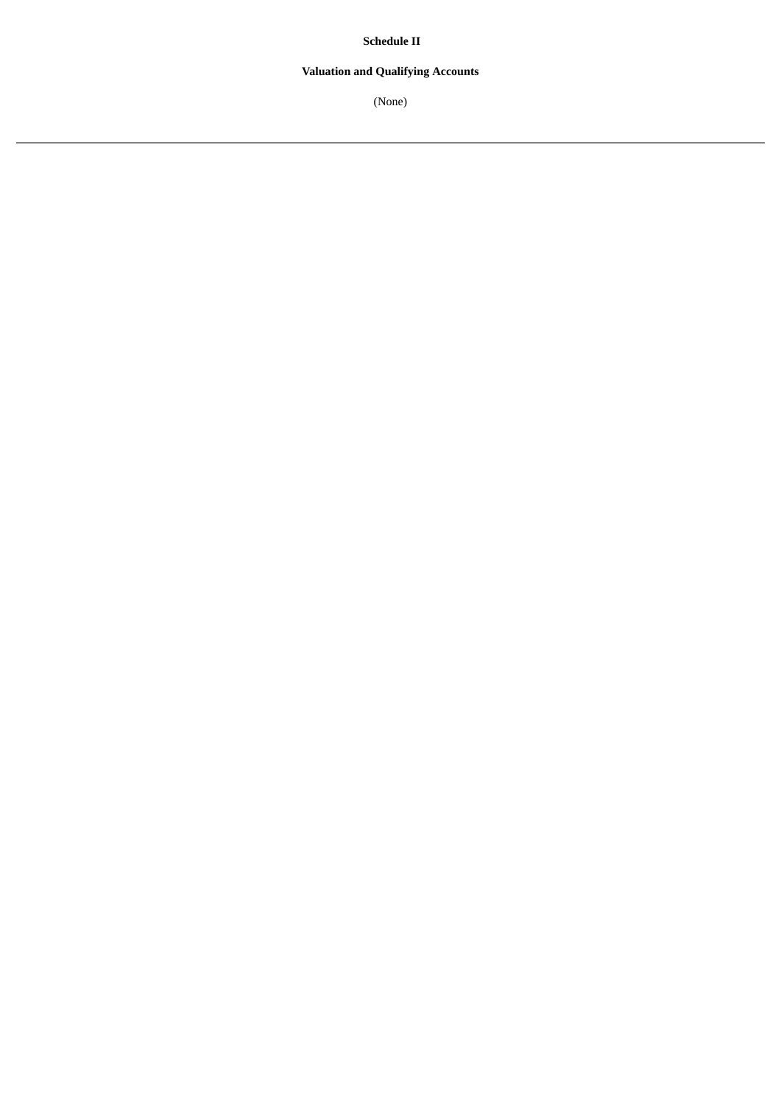**Schedule II**

# **Valuation and Qualifying Accounts**

(None)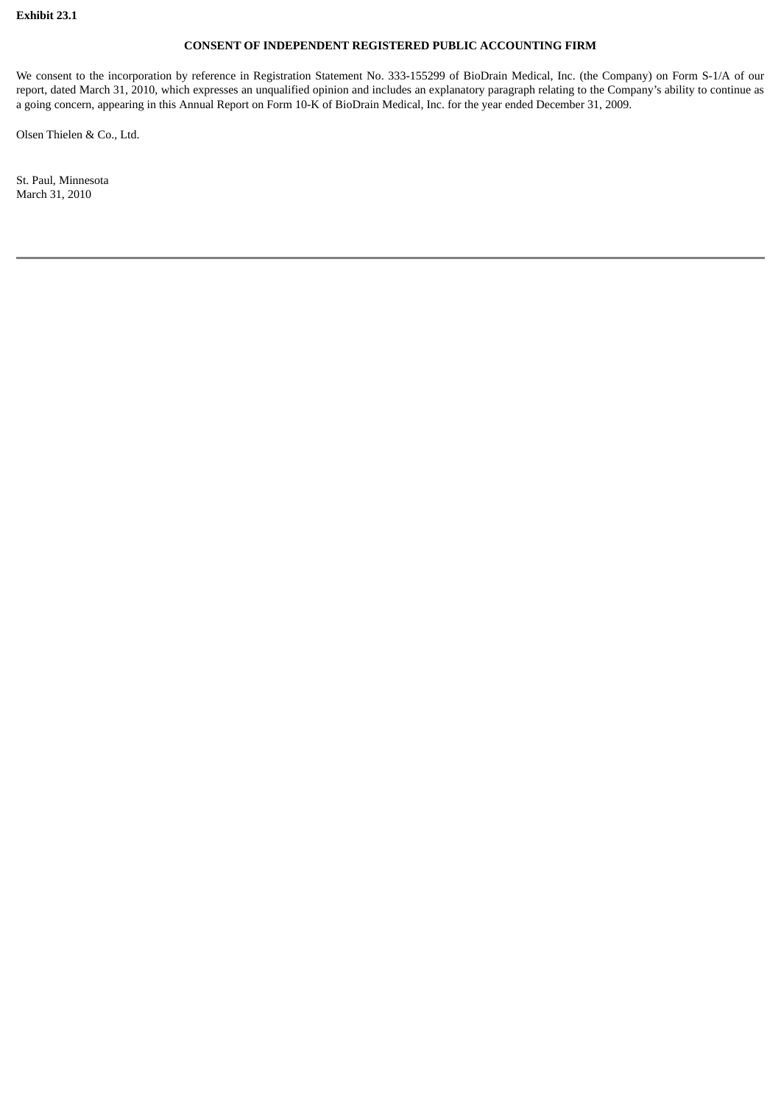# **CONSENT OF INDEPENDENT REGISTERED PUBLIC ACCOUNTING FIRM**

We consent to the incorporation by reference in Registration Statement No. 333-155299 of BioDrain Medical, Inc. (the Company) on Form S-1/A of our report, dated March 31, 2010, which expresses an unqualified opinion and includes an explanatory paragraph relating to the Company's ability to continue as a going concern, appearing in this Annual Report on Form 10-K of BioDrain Medical, Inc. for the year ended December 31, 2009.

Olsen Thielen & Co., Ltd.

St. Paul, Minnesota March 31, 2010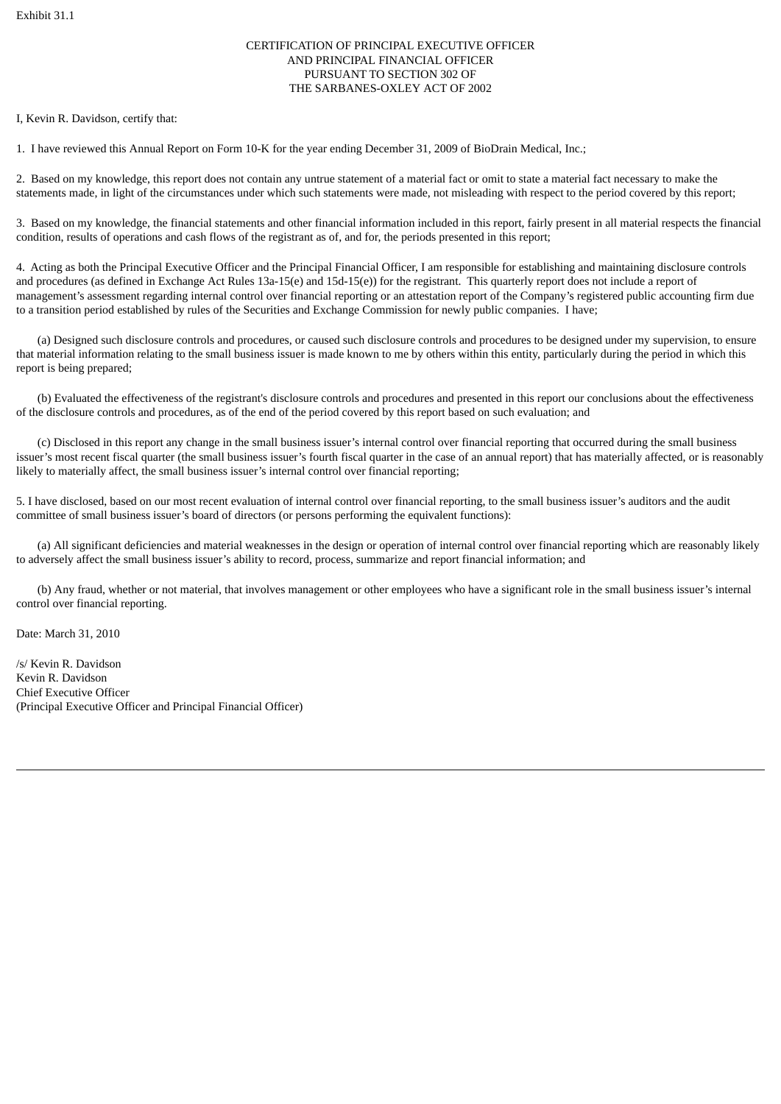# CERTIFICATION OF PRINCIPAL EXECUTIVE OFFICER AND PRINCIPAL FINANCIAL OFFICER PURSUANT TO SECTION 302 OF THE SARBANES-OXLEY ACT OF 2002

I, Kevin R. Davidson, certify that:

1. I have reviewed this Annual Report on Form 10-K for the year ending December 31, 2009 of BioDrain Medical, Inc.;

2. Based on my knowledge, this report does not contain any untrue statement of a material fact or omit to state a material fact necessary to make the statements made, in light of the circumstances under which such statements were made, not misleading with respect to the period covered by this report;

3. Based on my knowledge, the financial statements and other financial information included in this report, fairly present in all material respects the financial condition, results of operations and cash flows of the registrant as of, and for, the periods presented in this report;

4. Acting as both the Principal Executive Officer and the Principal Financial Officer, I am responsible for establishing and maintaining disclosure controls and procedures (as defined in Exchange Act Rules 13a-15(e) and 15d-15(e)) for the registrant. This quarterly report does not include a report of management's assessment regarding internal control over financial reporting or an attestation report of the Company's registered public accounting firm due to a transition period established by rules of the Securities and Exchange Commission for newly public companies. I have;

(a) Designed such disclosure controls and procedures, or caused such disclosure controls and procedures to be designed under my supervision, to ensure that material information relating to the small business issuer is made known to me by others within this entity, particularly during the period in which this report is being prepared;

(b) Evaluated the effectiveness of the registrant's disclosure controls and procedures and presented in this report our conclusions about the effectiveness of the disclosure controls and procedures, as of the end of the period covered by this report based on such evaluation; and

(c) Disclosed in this report any change in the small business issuer's internal control over financial reporting that occurred during the small business issuer's most recent fiscal quarter (the small business issuer's fourth fiscal quarter in the case of an annual report) that has materially affected, or is reasonably likely to materially affect, the small business issuer's internal control over financial reporting;

5. I have disclosed, based on our most recent evaluation of internal control over financial reporting, to the small business issuer's auditors and the audit committee of small business issuer's board of directors (or persons performing the equivalent functions):

(a) All significant deficiencies and material weaknesses in the design or operation of internal control over financial reporting which are reasonably likely to adversely affect the small business issuer's ability to record, process, summarize and report financial information; and

(b) Any fraud, whether or not material, that involves management or other employees who have a significant role in the small business issuer's internal control over financial reporting.

Date: March 31, 2010

/s/ Kevin R. Davidson Kevin R. Davidson Chief Executive Officer (Principal Executive Officer and Principal Financial Officer)